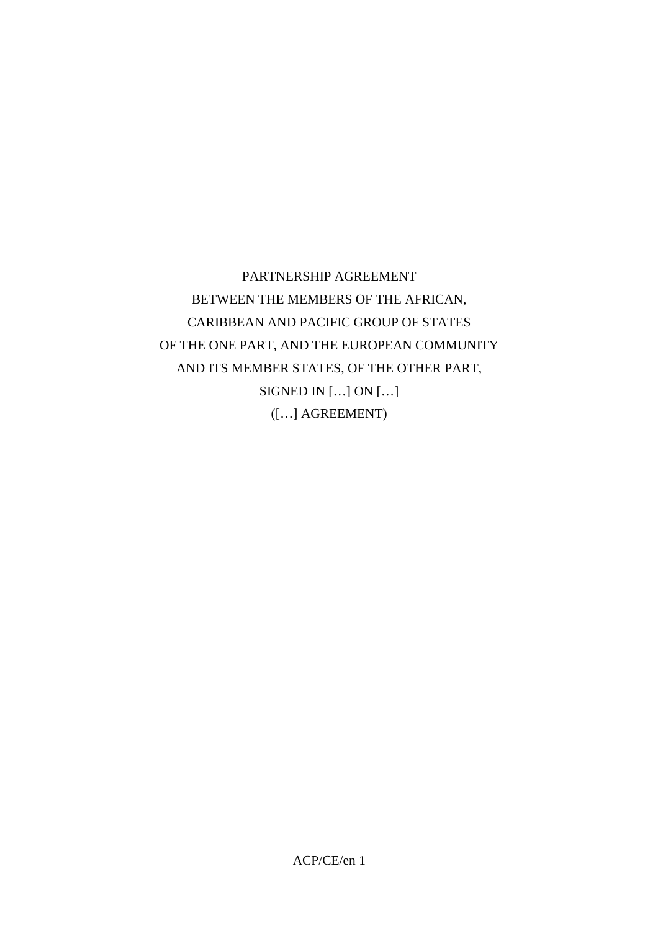PARTNERSHIP AGREEMENT BETWEEN THE MEMBERS OF THE AFRICAN, CARIBBEAN AND PACIFIC GROUP OF STATES OF THE ONE PART, AND THE EUROPEAN COMMUNITY AND ITS MEMBER STATES, OF THE OTHER PART, SIGNED IN […] ON […] ([…] AGREEMENT)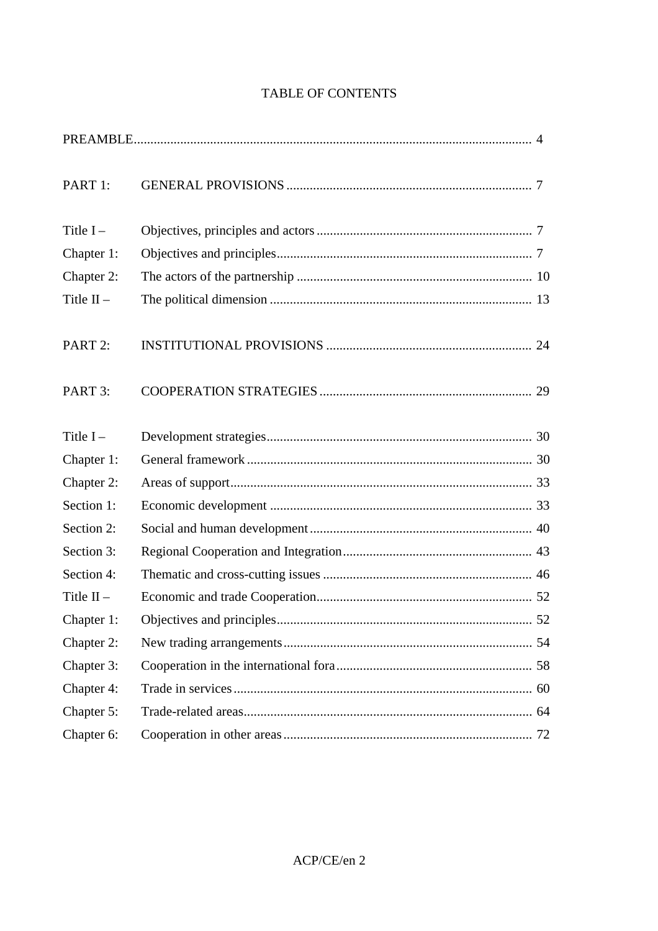# TABLE OF CONTENTS

| PART 1:      |  |
|--------------|--|
| Title $I -$  |  |
| Chapter 1:   |  |
| Chapter 2:   |  |
| Title $II -$ |  |
| PART 2:      |  |
| PART 3:      |  |
| Title $I -$  |  |
| Chapter 1:   |  |
| Chapter 2:   |  |
| Section 1:   |  |
| Section 2:   |  |
| Section 3:   |  |
| Section 4:   |  |
| Title $II -$ |  |
| Chapter 1:   |  |
| Chapter 2:   |  |
| Chapter 3:   |  |
| Chapter 4:   |  |
| Chapter 5:   |  |
| Chapter 6:   |  |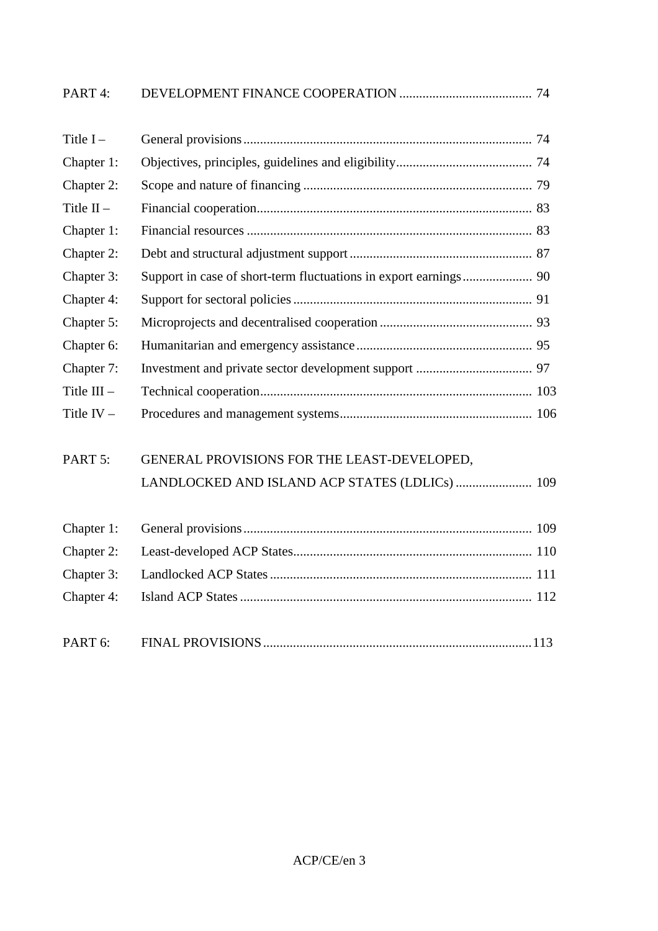| PART 4:             |                                                |  |
|---------------------|------------------------------------------------|--|
| Title $I -$         |                                                |  |
| Chapter 1:          |                                                |  |
| Chapter 2:          |                                                |  |
| Title $II -$        |                                                |  |
| Chapter 1:          |                                                |  |
| Chapter 2:          |                                                |  |
| Chapter 3:          |                                                |  |
| Chapter 4:          |                                                |  |
| Chapter 5:          |                                                |  |
| Chapter 6:          |                                                |  |
| Chapter 7:          |                                                |  |
| Title $III -$       |                                                |  |
| Title $IV -$        |                                                |  |
| PART 5:             | GENERAL PROVISIONS FOR THE LEAST-DEVELOPED,    |  |
|                     | LANDLOCKED AND ISLAND ACP STATES (LDLICs)  109 |  |
| Chapter 1:          |                                                |  |
| Chapter 2:          |                                                |  |
| Chapter 3:          |                                                |  |
| Chapter 4:          |                                                |  |
| PART <sub>6</sub> : |                                                |  |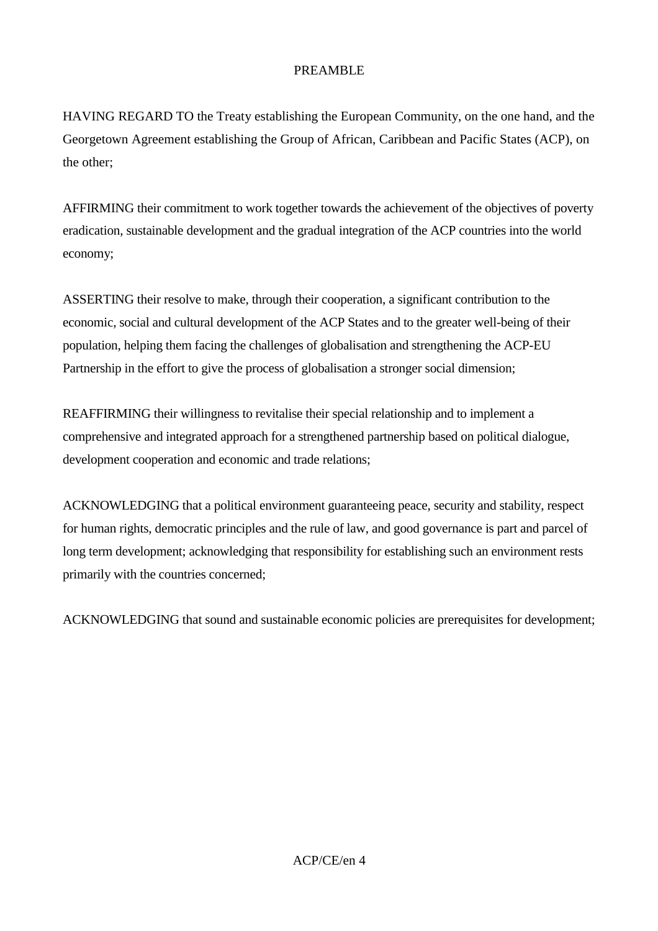## PREAMBLE

HAVING REGARD TO the Treaty establishing the European Community, on the one hand, and the Georgetown Agreement establishing the Group of African, Caribbean and Pacific States (ACP), on the other;

AFFIRMING their commitment to work together towards the achievement of the objectives of poverty eradication, sustainable development and the gradual integration of the ACP countries into the world economy;

ASSERTING their resolve to make, through their cooperation, a significant contribution to the economic, social and cultural development of the ACP States and to the greater well-being of their population, helping them facing the challenges of globalisation and strengthening the ACP-EU Partnership in the effort to give the process of globalisation a stronger social dimension;

REAFFIRMING their willingness to revitalise their special relationship and to implement a comprehensive and integrated approach for a strengthened partnership based on political dialogue, development cooperation and economic and trade relations;

ACKNOWLEDGING that a political environment guaranteeing peace, security and stability, respect for human rights, democratic principles and the rule of law, and good governance is part and parcel of long term development; acknowledging that responsibility for establishing such an environment rests primarily with the countries concerned;

ACKNOWLEDGING that sound and sustainable economic policies are prerequisites for development;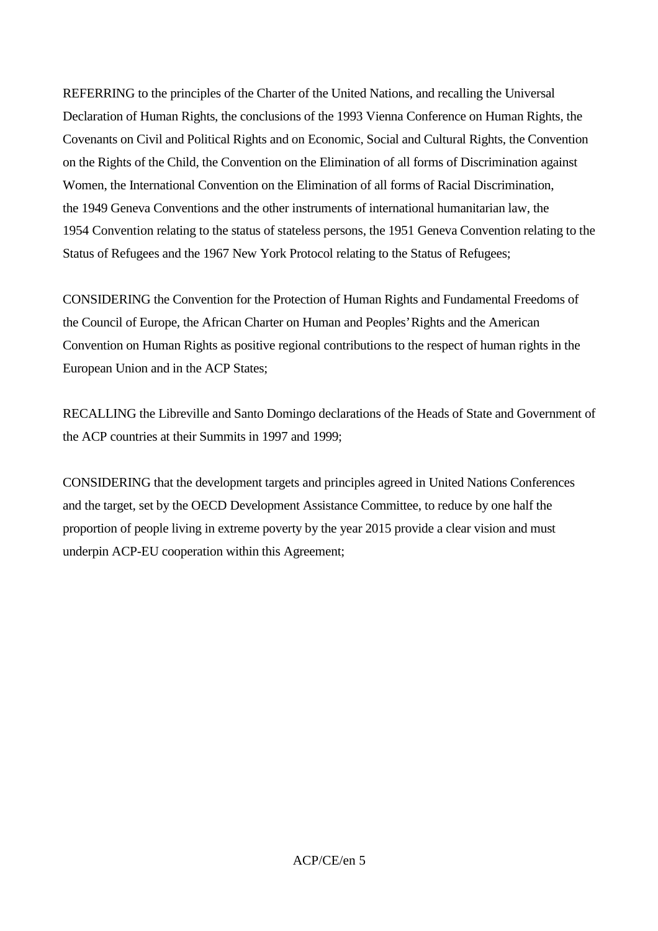REFERRING to the principles of the Charter of the United Nations, and recalling the Universal Declaration of Human Rights, the conclusions of the 1993 Vienna Conference on Human Rights, the Covenants on Civil and Political Rights and on Economic, Social and Cultural Rights, the Convention on the Rights of the Child, the Convention on the Elimination of all forms of Discrimination against Women, the International Convention on the Elimination of all forms of Racial Discrimination, the 1949 Geneva Conventions and the other instruments of international humanitarian law, the 1954 Convention relating to the status of stateless persons, the 1951 Geneva Convention relating to the Status of Refugees and the 1967 New York Protocol relating to the Status of Refugees;

CONSIDERING the Convention for the Protection of Human Rights and Fundamental Freedoms of the Council of Europe, the African Charter on Human and Peoples' Rights and the American Convention on Human Rights as positive regional contributions to the respect of human rights in the European Union and in the ACP States;

RECALLING the Libreville and Santo Domingo declarations of the Heads of State and Government of the ACP countries at their Summits in 1997 and 1999;

CONSIDERING that the development targets and principles agreed in United Nations Conferences and the target, set by the OECD Development Assistance Committee, to reduce by one half the proportion of people living in extreme poverty by the year 2015 provide a clear vision and must underpin ACP-EU cooperation within this Agreement;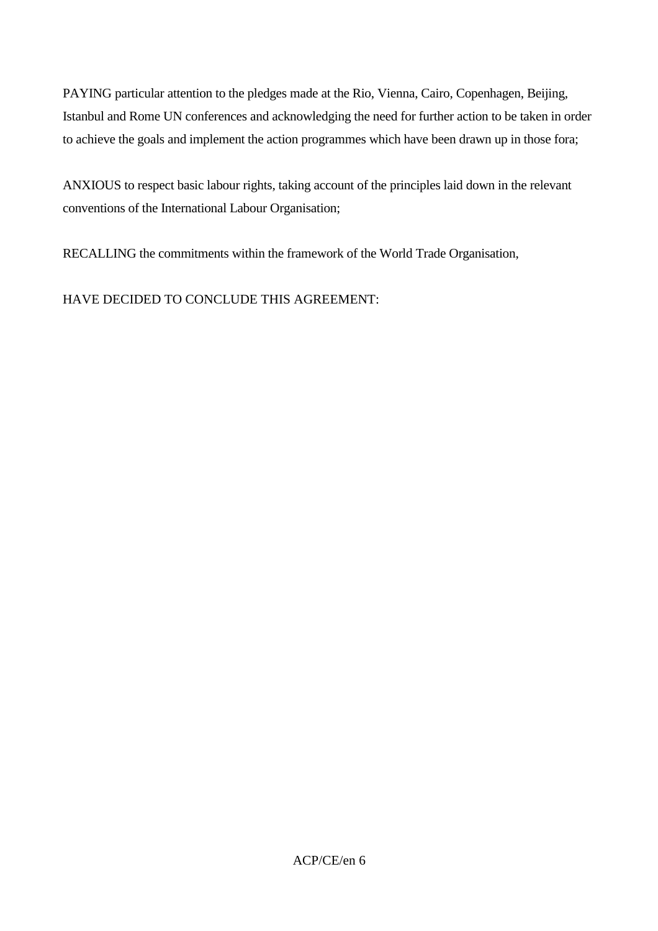PAYING particular attention to the pledges made at the Rio, Vienna, Cairo, Copenhagen, Beijing, Istanbul and Rome UN conferences and acknowledging the need for further action to be taken in order to achieve the goals and implement the action programmes which have been drawn up in those fora;

ANXIOUS to respect basic labour rights, taking account of the principles laid down in the relevant conventions of the International Labour Organisation;

RECALLING the commitments within the framework of the World Trade Organisation,

HAVE DECIDED TO CONCLUDE THIS AGREEMENT: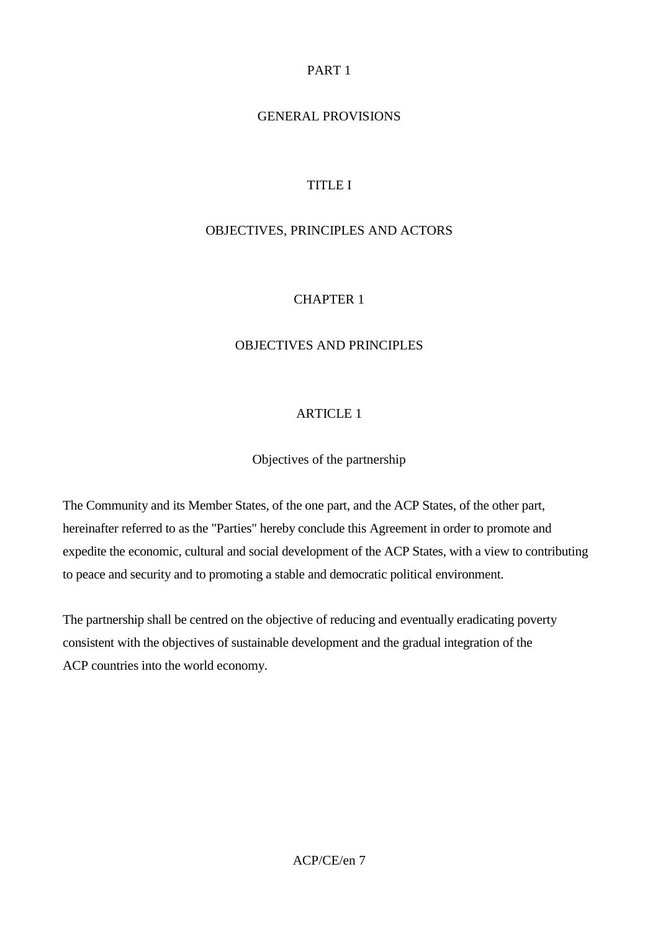## PART 1

# GENERAL PROVISIONS

# TITLE I

## OBJECTIVES, PRINCIPLES AND ACTORS

## CHAPTER 1

#### OBJECTIVES AND PRINCIPLES

#### ARTICLE 1

Objectives of the partnership

The Community and its Member States, of the one part, and the ACP States, of the other part, hereinafter referred to as the "Parties" hereby conclude this Agreement in order to promote and expedite the economic, cultural and social development of the ACP States, with a view to contributing to peace and security and to promoting a stable and democratic political environment.

The partnership shall be centred on the objective of reducing and eventually eradicating poverty consistent with the objectives of sustainable development and the gradual integration of the ACP countries into the world economy.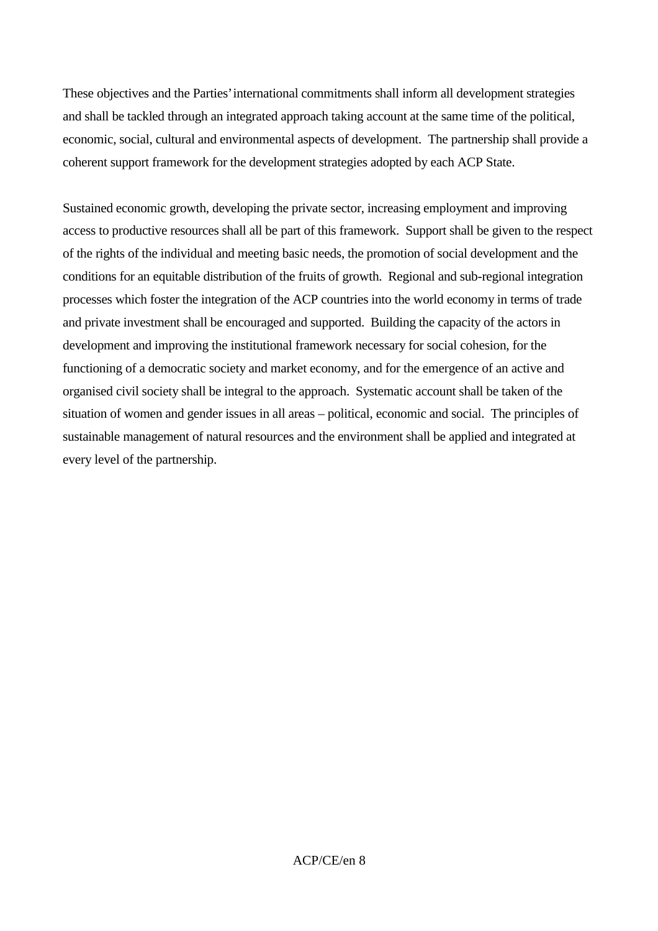These objectives and the Parties' international commitments shall inform all development strategies and shall be tackled through an integrated approach taking account at the same time of the political, economic, social, cultural and environmental aspects of development. The partnership shall provide a coherent support framework for the development strategies adopted by each ACP State.

Sustained economic growth, developing the private sector, increasing employment and improving access to productive resources shall all be part of this framework. Support shall be given to the respect of the rights of the individual and meeting basic needs, the promotion of social development and the conditions for an equitable distribution of the fruits of growth. Regional and sub-regional integration processes which foster the integration of the ACP countries into the world economy in terms of trade and private investment shall be encouraged and supported. Building the capacity of the actors in development and improving the institutional framework necessary for social cohesion, for the functioning of a democratic society and market economy, and for the emergence of an active and organised civil society shall be integral to the approach. Systematic account shall be taken of the situation of women and gender issues in all areas – political, economic and social. The principles of sustainable management of natural resources and the environment shall be applied and integrated at every level of the partnership.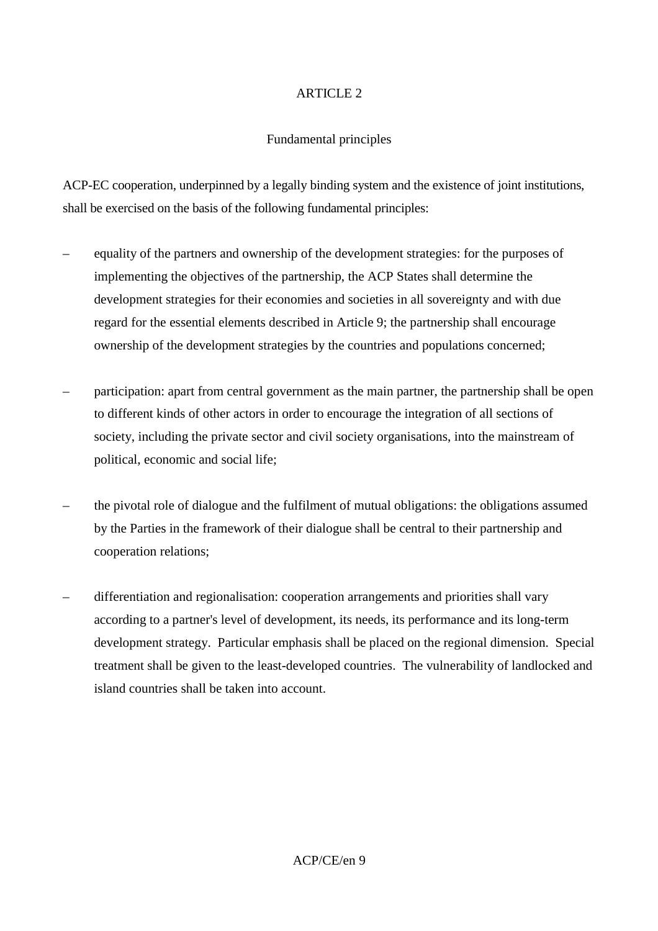#### Fundamental principles

ACP-EC cooperation, underpinned by a legally binding system and the existence of joint institutions, shall be exercised on the basis of the following fundamental principles:

- equality of the partners and ownership of the development strategies: for the purposes of implementing the objectives of the partnership, the ACP States shall determine the development strategies for their economies and societies in all sovereignty and with due regard for the essential elements described in Article 9; the partnership shall encourage ownership of the development strategies by the countries and populations concerned;
- participation: apart from central government as the main partner, the partnership shall be open to different kinds of other actors in order to encourage the integration of all sections of society, including the private sector and civil society organisations, into the mainstream of political, economic and social life;
- the pivotal role of dialogue and the fulfilment of mutual obligations: the obligations assumed by the Parties in the framework of their dialogue shall be central to their partnership and cooperation relations;
- differentiation and regionalisation: cooperation arrangements and priorities shall vary according to a partner's level of development, its needs, its performance and its long-term development strategy. Particular emphasis shall be placed on the regional dimension. Special treatment shall be given to the least-developed countries. The vulnerability of landlocked and island countries shall be taken into account.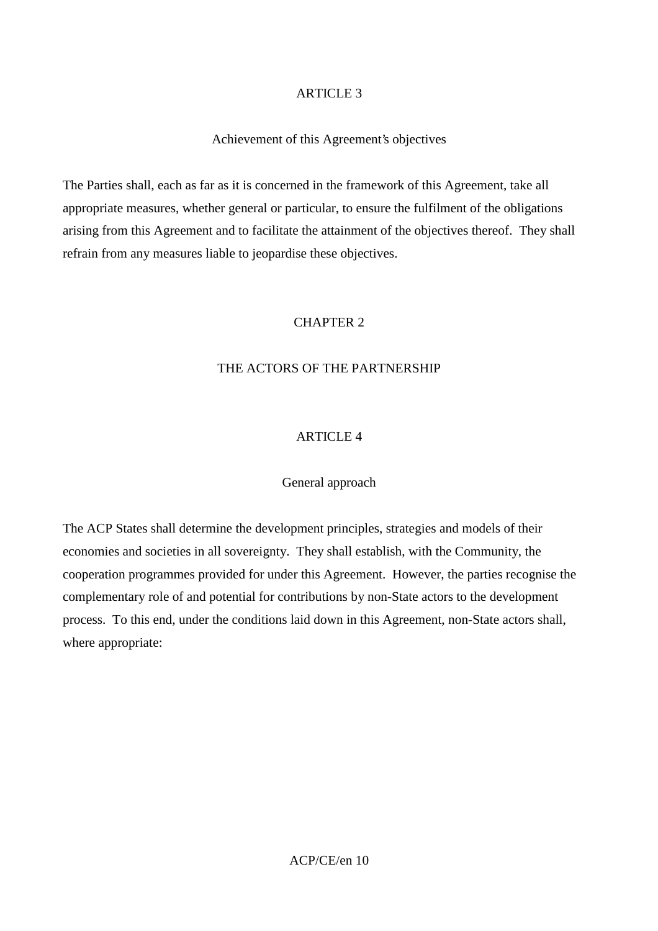#### Achievement of this Agreement's objectives

The Parties shall, each as far as it is concerned in the framework of this Agreement, take all appropriate measures, whether general or particular, to ensure the fulfilment of the obligations arising from this Agreement and to facilitate the attainment of the objectives thereof. They shall refrain from any measures liable to jeopardise these objectives.

## CHAPTER 2

#### THE ACTORS OF THE PARTNERSHIP

#### ARTICLE 4

#### General approach

The ACP States shall determine the development principles, strategies and models of their economies and societies in all sovereignty. They shall establish, with the Community, the cooperation programmes provided for under this Agreement. However, the parties recognise the complementary role of and potential for contributions by non-State actors to the development process. To this end, under the conditions laid down in this Agreement, non-State actors shall, where appropriate: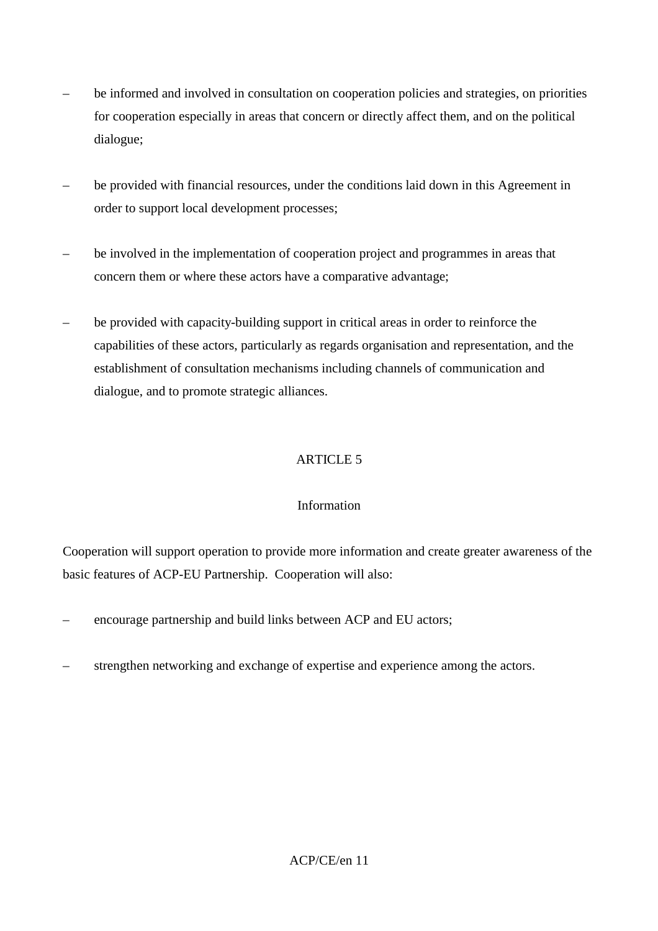- be informed and involved in consultation on cooperation policies and strategies, on priorities for cooperation especially in areas that concern or directly affect them, and on the political dialogue;
- be provided with financial resources, under the conditions laid down in this Agreement in order to support local development processes;
- be involved in the implementation of cooperation project and programmes in areas that concern them or where these actors have a comparative advantage;
- be provided with capacity-building support in critical areas in order to reinforce the capabilities of these actors, particularly as regards organisation and representation, and the establishment of consultation mechanisms including channels of communication and dialogue, and to promote strategic alliances.

## Information

Cooperation will support operation to provide more information and create greater awareness of the basic features of ACP-EU Partnership. Cooperation will also:

- encourage partnership and build links between ACP and EU actors;
- strengthen networking and exchange of expertise and experience among the actors.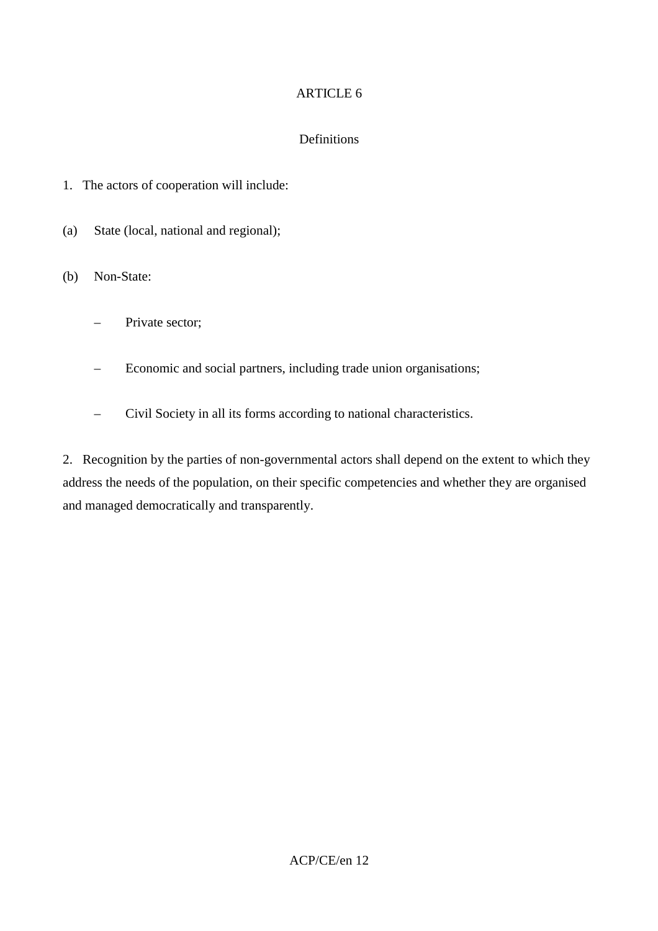## Definitions

- 1. The actors of cooperation will include:
- (a) State (local, national and regional);

(b) Non-State:

- Private sector;
- Economic and social partners, including trade union organisations;
- Civil Society in all its forms according to national characteristics.

2. Recognition by the parties of non-governmental actors shall depend on the extent to which they address the needs of the population, on their specific competencies and whether they are organised and managed democratically and transparently.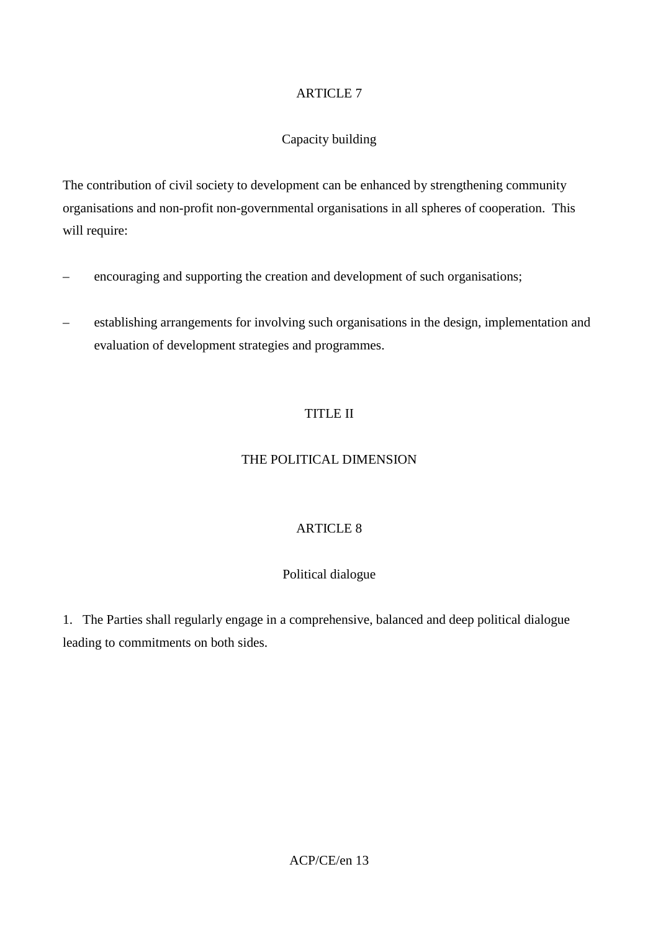#### Capacity building

The contribution of civil society to development can be enhanced by strengthening community organisations and non-profit non-governmental organisations in all spheres of cooperation. This will require:

- encouraging and supporting the creation and development of such organisations;
- establishing arrangements for involving such organisations in the design, implementation and evaluation of development strategies and programmes.

## TITLE II

#### THE POLITICAL DIMENSION

## ARTICLE 8

## Political dialogue

1. The Parties shall regularly engage in a comprehensive, balanced and deep political dialogue leading to commitments on both sides.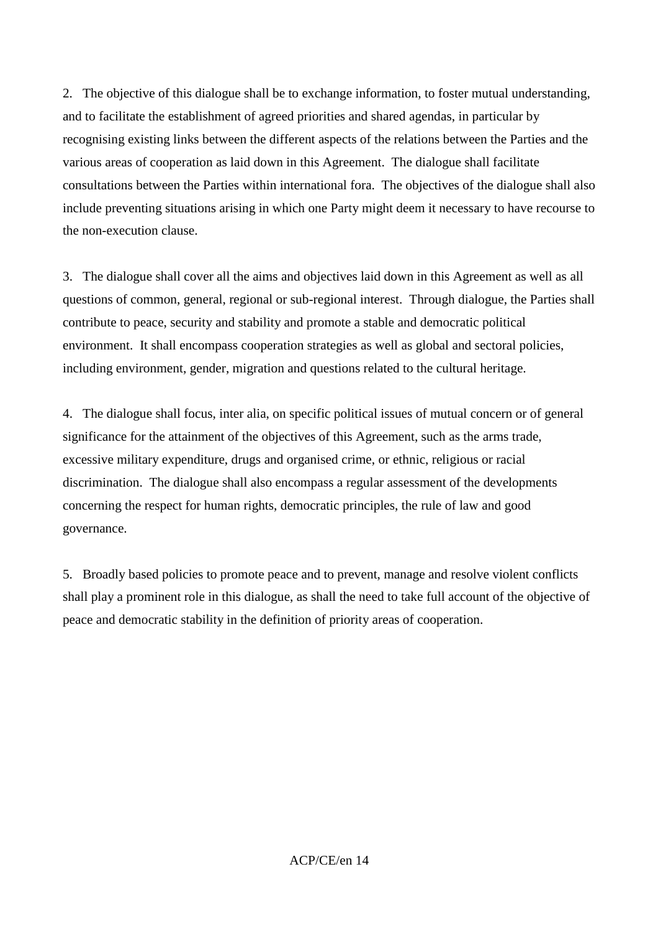2. The objective of this dialogue shall be to exchange information, to foster mutual understanding, and to facilitate the establishment of agreed priorities and shared agendas, in particular by recognising existing links between the different aspects of the relations between the Parties and the various areas of cooperation as laid down in this Agreement. The dialogue shall facilitate consultations between the Parties within international fora. The objectives of the dialogue shall also include preventing situations arising in which one Party might deem it necessary to have recourse to the non-execution clause.

3. The dialogue shall cover all the aims and objectives laid down in this Agreement as well as all questions of common, general, regional or sub-regional interest. Through dialogue, the Parties shall contribute to peace, security and stability and promote a stable and democratic political environment. It shall encompass cooperation strategies as well as global and sectoral policies, including environment, gender, migration and questions related to the cultural heritage.

4. The dialogue shall focus, inter alia, on specific political issues of mutual concern or of general significance for the attainment of the objectives of this Agreement, such as the arms trade, excessive military expenditure, drugs and organised crime, or ethnic, religious or racial discrimination. The dialogue shall also encompass a regular assessment of the developments concerning the respect for human rights, democratic principles, the rule of law and good governance.

5. Broadly based policies to promote peace and to prevent, manage and resolve violent conflicts shall play a prominent role in this dialogue, as shall the need to take full account of the objective of peace and democratic stability in the definition of priority areas of cooperation.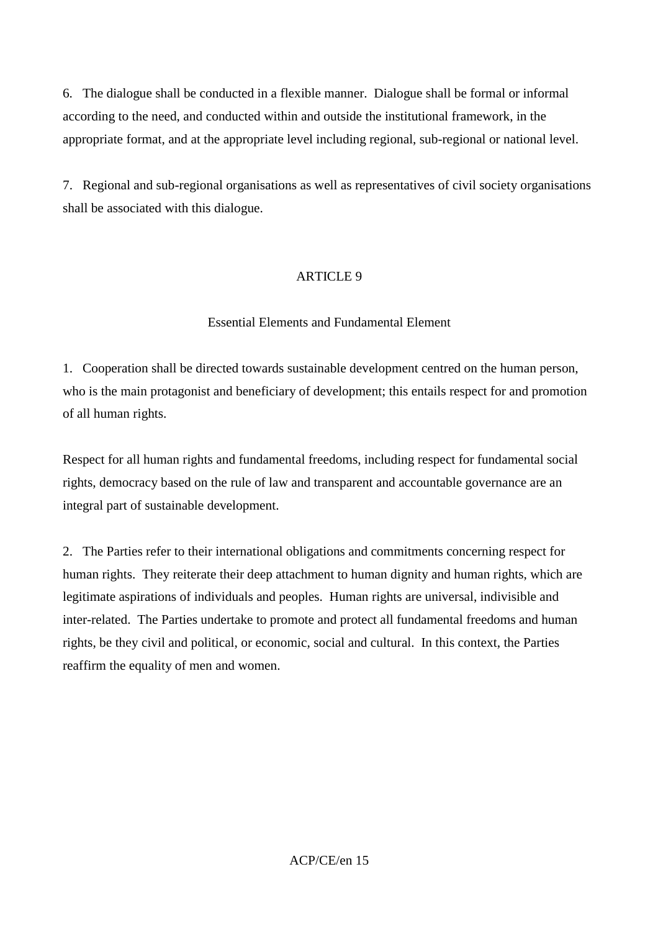6. The dialogue shall be conducted in a flexible manner. Dialogue shall be formal or informal according to the need, and conducted within and outside the institutional framework, in the appropriate format, and at the appropriate level including regional, sub-regional or national level.

7. Regional and sub-regional organisations as well as representatives of civil society organisations shall be associated with this dialogue.

## ARTICLE 9

#### Essential Elements and Fundamental Element

1. Cooperation shall be directed towards sustainable development centred on the human person, who is the main protagonist and beneficiary of development; this entails respect for and promotion of all human rights.

Respect for all human rights and fundamental freedoms, including respect for fundamental social rights, democracy based on the rule of law and transparent and accountable governance are an integral part of sustainable development.

2. The Parties refer to their international obligations and commitments concerning respect for human rights. They reiterate their deep attachment to human dignity and human rights, which are legitimate aspirations of individuals and peoples. Human rights are universal, indivisible and inter-related. The Parties undertake to promote and protect all fundamental freedoms and human rights, be they civil and political, or economic, social and cultural. In this context, the Parties reaffirm the equality of men and women.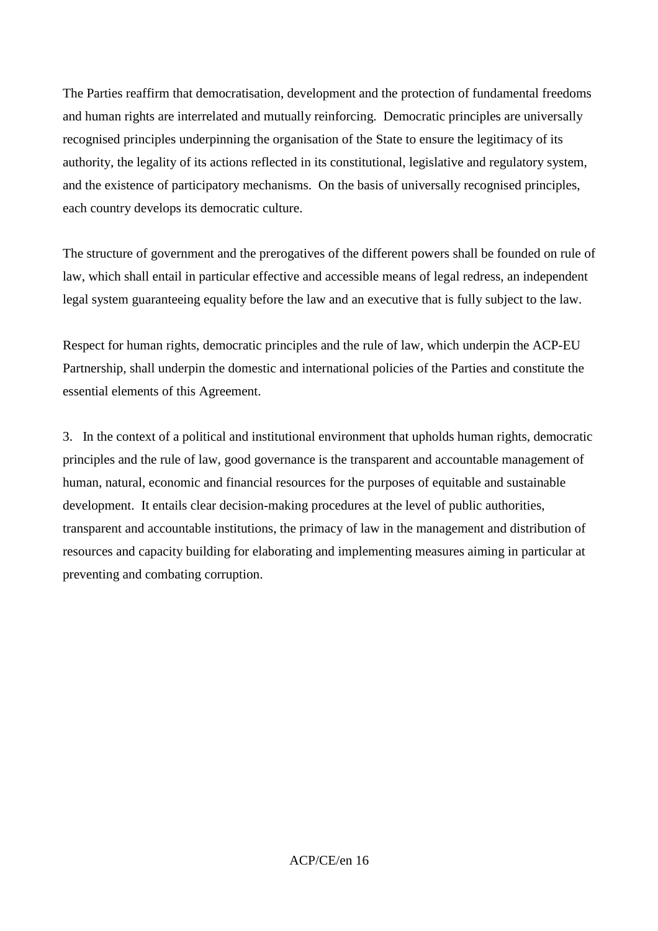The Parties reaffirm that democratisation, development and the protection of fundamental freedoms and human rights are interrelated and mutually reinforcing. Democratic principles are universally recognised principles underpinning the organisation of the State to ensure the legitimacy of its authority, the legality of its actions reflected in its constitutional, legislative and regulatory system, and the existence of participatory mechanisms. On the basis of universally recognised principles, each country develops its democratic culture.

The structure of government and the prerogatives of the different powers shall be founded on rule of law, which shall entail in particular effective and accessible means of legal redress, an independent legal system guaranteeing equality before the law and an executive that is fully subject to the law.

Respect for human rights, democratic principles and the rule of law, which underpin the ACP-EU Partnership, shall underpin the domestic and international policies of the Parties and constitute the essential elements of this Agreement.

3. In the context of a political and institutional environment that upholds human rights, democratic principles and the rule of law, good governance is the transparent and accountable management of human, natural, economic and financial resources for the purposes of equitable and sustainable development. It entails clear decision-making procedures at the level of public authorities, transparent and accountable institutions, the primacy of law in the management and distribution of resources and capacity building for elaborating and implementing measures aiming in particular at preventing and combating corruption.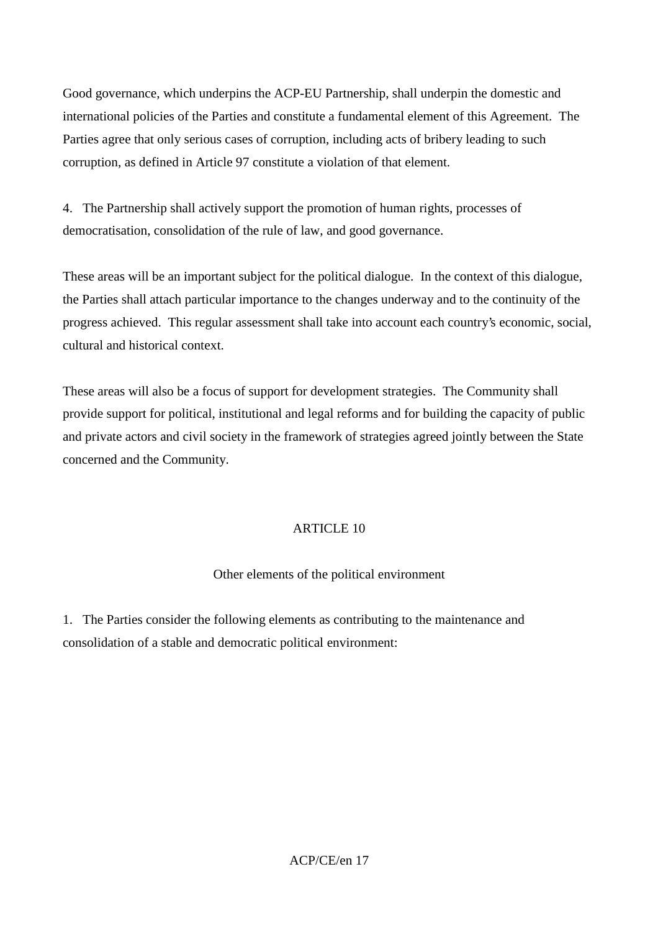Good governance, which underpins the ACP-EU Partnership, shall underpin the domestic and international policies of the Parties and constitute a fundamental element of this Agreement. The Parties agree that only serious cases of corruption, including acts of bribery leading to such corruption, as defined in Article 97 constitute a violation of that element.

4. The Partnership shall actively support the promotion of human rights, processes of democratisation, consolidation of the rule of law, and good governance.

These areas will be an important subject for the political dialogue. In the context of this dialogue, the Parties shall attach particular importance to the changes underway and to the continuity of the progress achieved. This regular assessment shall take into account each country's economic, social, cultural and historical context.

These areas will also be a focus of support for development strategies. The Community shall provide support for political, institutional and legal reforms and for building the capacity of public and private actors and civil society in the framework of strategies agreed jointly between the State concerned and the Community.

## ARTICLE 10

## Other elements of the political environment

1. The Parties consider the following elements as contributing to the maintenance and consolidation of a stable and democratic political environment: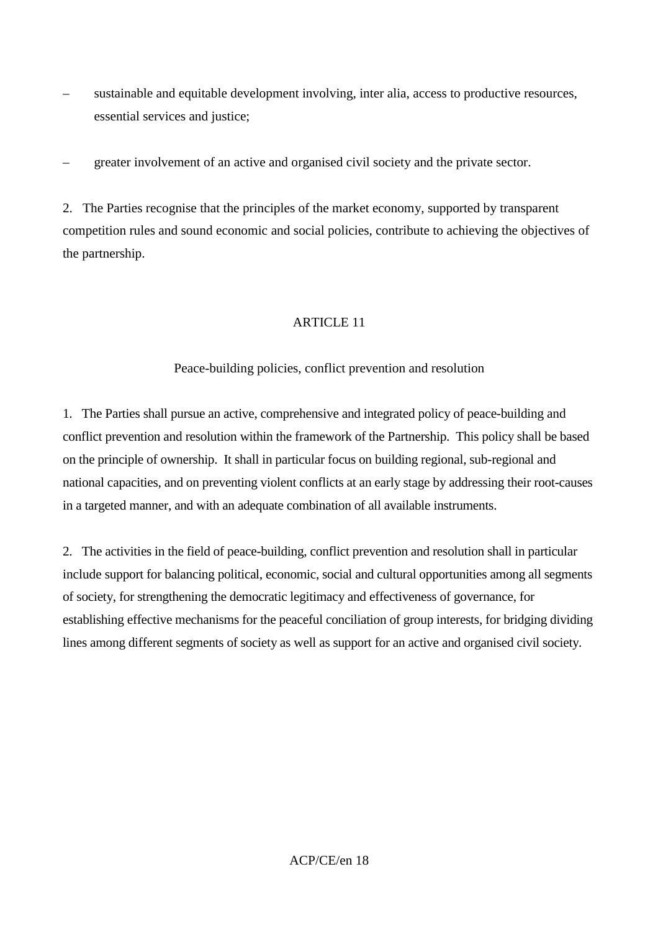- sustainable and equitable development involving, inter alia, access to productive resources, essential services and justice;
- greater involvement of an active and organised civil society and the private sector.

2. The Parties recognise that the principles of the market economy, supported by transparent competition rules and sound economic and social policies, contribute to achieving the objectives of the partnership.

## ARTICLE 11

#### Peace-building policies, conflict prevention and resolution

1. The Parties shall pursue an active, comprehensive and integrated policy of peace-building and conflict prevention and resolution within the framework of the Partnership. This policy shall be based on the principle of ownership. It shall in particular focus on building regional, sub-regional and national capacities, and on preventing violent conflicts at an early stage by addressing their root-causes in a targeted manner, and with an adequate combination of all available instruments.

2. The activities in the field of peace-building, conflict prevention and resolution shall in particular include support for balancing political, economic, social and cultural opportunities among all segments of society, for strengthening the democratic legitimacy and effectiveness of governance, for establishing effective mechanisms for the peaceful conciliation of group interests, for bridging dividing lines among different segments of society as well as support for an active and organised civil society.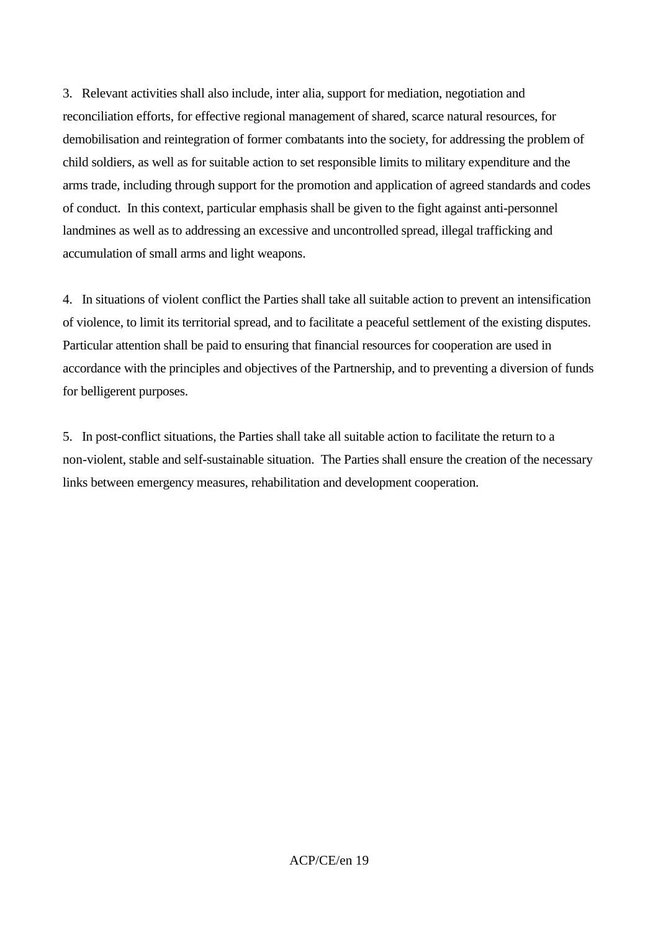3. Relevant activities shall also include, inter alia, support for mediation, negotiation and reconciliation efforts, for effective regional management of shared, scarce natural resources, for demobilisation and reintegration of former combatants into the society, for addressing the problem of child soldiers, as well as for suitable action to set responsible limits to military expenditure and the arms trade, including through support for the promotion and application of agreed standards and codes of conduct. In this context, particular emphasis shall be given to the fight against anti-personnel landmines as well as to addressing an excessive and uncontrolled spread, illegal trafficking and accumulation of small arms and light weapons.

4. In situations of violent conflict the Parties shall take all suitable action to prevent an intensification of violence, to limit its territorial spread, and to facilitate a peaceful settlement of the existing disputes. Particular attention shall be paid to ensuring that financial resources for cooperation are used in accordance with the principles and objectives of the Partnership, and to preventing a diversion of funds for belligerent purposes.

5. In post-conflict situations, the Parties shall take all suitable action to facilitate the return to a non-violent, stable and self-sustainable situation. The Parties shall ensure the creation of the necessary links between emergency measures, rehabilitation and development cooperation.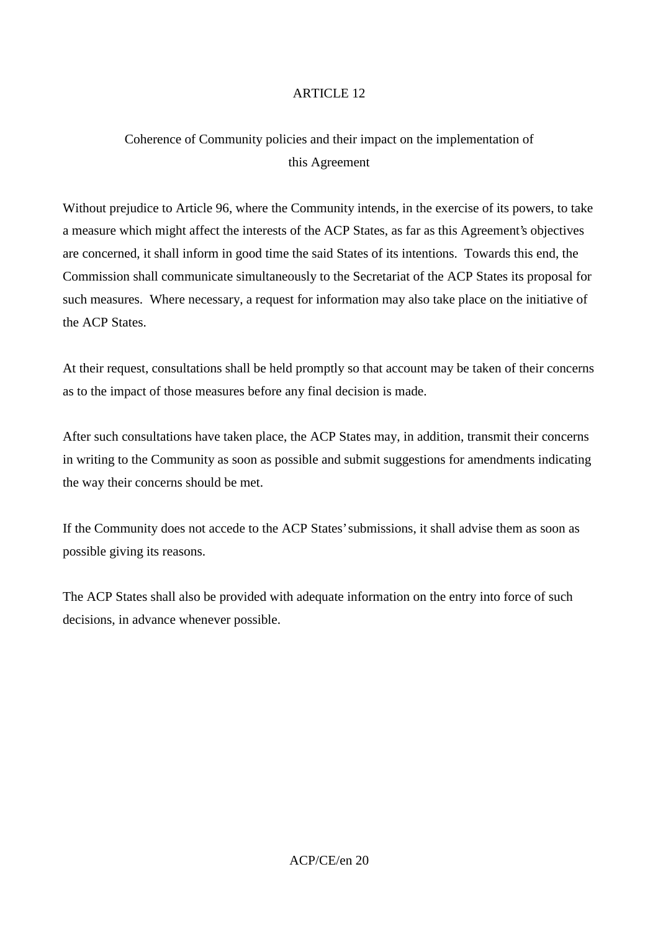# Coherence of Community policies and their impact on the implementation of this Agreement

Without prejudice to Article 96, where the Community intends, in the exercise of its powers, to take a measure which might affect the interests of the ACP States, as far as this Agreement's objectives are concerned, it shall inform in good time the said States of its intentions. Towards this end, the Commission shall communicate simultaneously to the Secretariat of the ACP States its proposal for such measures. Where necessary, a request for information may also take place on the initiative of the ACP States.

At their request, consultations shall be held promptly so that account may be taken of their concerns as to the impact of those measures before any final decision is made.

After such consultations have taken place, the ACP States may, in addition, transmit their concerns in writing to the Community as soon as possible and submit suggestions for amendments indicating the way their concerns should be met.

If the Community does not accede to the ACP States' submissions, it shall advise them as soon as possible giving its reasons.

The ACP States shall also be provided with adequate information on the entry into force of such decisions, in advance whenever possible.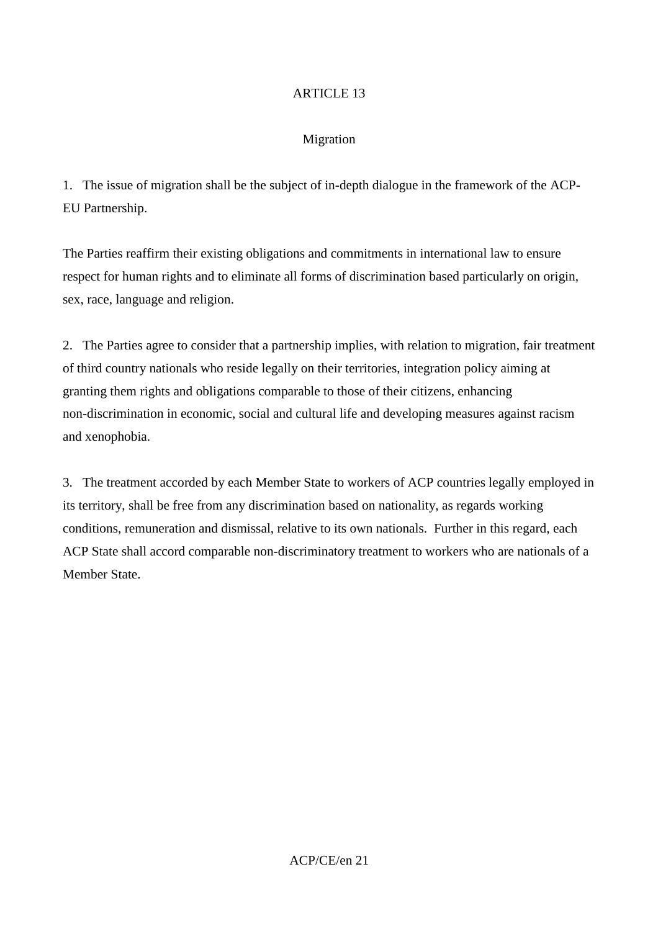#### Migration

1. The issue of migration shall be the subject of in-depth dialogue in the framework of the ACP-EU Partnership.

The Parties reaffirm their existing obligations and commitments in international law to ensure respect for human rights and to eliminate all forms of discrimination based particularly on origin, sex, race, language and religion.

2. The Parties agree to consider that a partnership implies, with relation to migration, fair treatment of third country nationals who reside legally on their territories, integration policy aiming at granting them rights and obligations comparable to those of their citizens, enhancing non-discrimination in economic, social and cultural life and developing measures against racism and xenophobia.

3. The treatment accorded by each Member State to workers of ACP countries legally employed in its territory, shall be free from any discrimination based on nationality, as regards working conditions, remuneration and dismissal, relative to its own nationals. Further in this regard, each ACP State shall accord comparable non-discriminatory treatment to workers who are nationals of a Member State.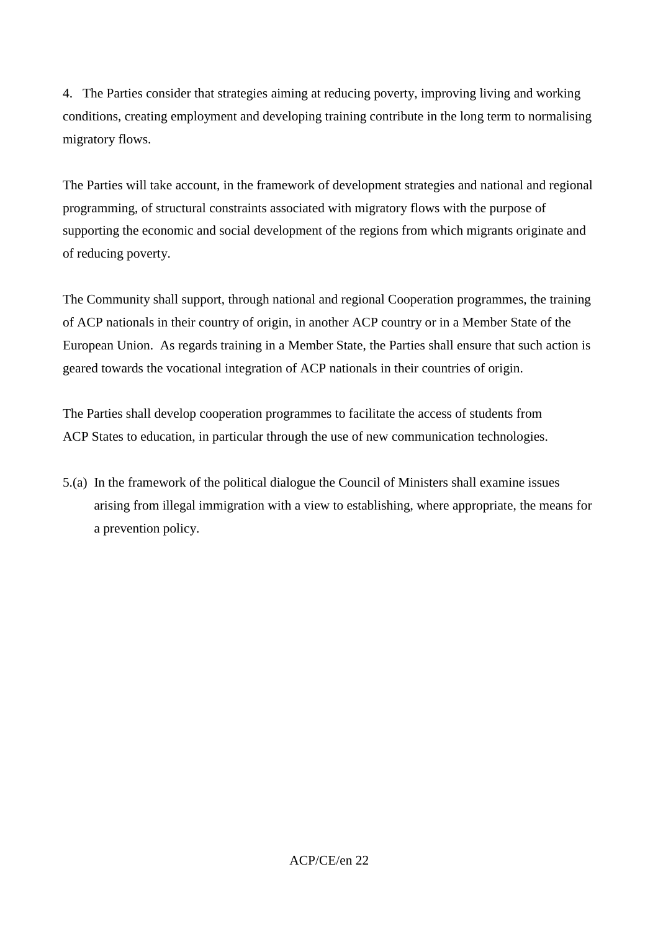4. The Parties consider that strategies aiming at reducing poverty, improving living and working conditions, creating employment and developing training contribute in the long term to normalising migratory flows.

The Parties will take account, in the framework of development strategies and national and regional programming, of structural constraints associated with migratory flows with the purpose of supporting the economic and social development of the regions from which migrants originate and of reducing poverty.

The Community shall support, through national and regional Cooperation programmes, the training of ACP nationals in their country of origin, in another ACP country or in a Member State of the European Union. As regards training in a Member State, the Parties shall ensure that such action is geared towards the vocational integration of ACP nationals in their countries of origin.

The Parties shall develop cooperation programmes to facilitate the access of students from ACP States to education, in particular through the use of new communication technologies.

5.(a) In the framework of the political dialogue the Council of Ministers shall examine issues arising from illegal immigration with a view to establishing, where appropriate, the means for a prevention policy.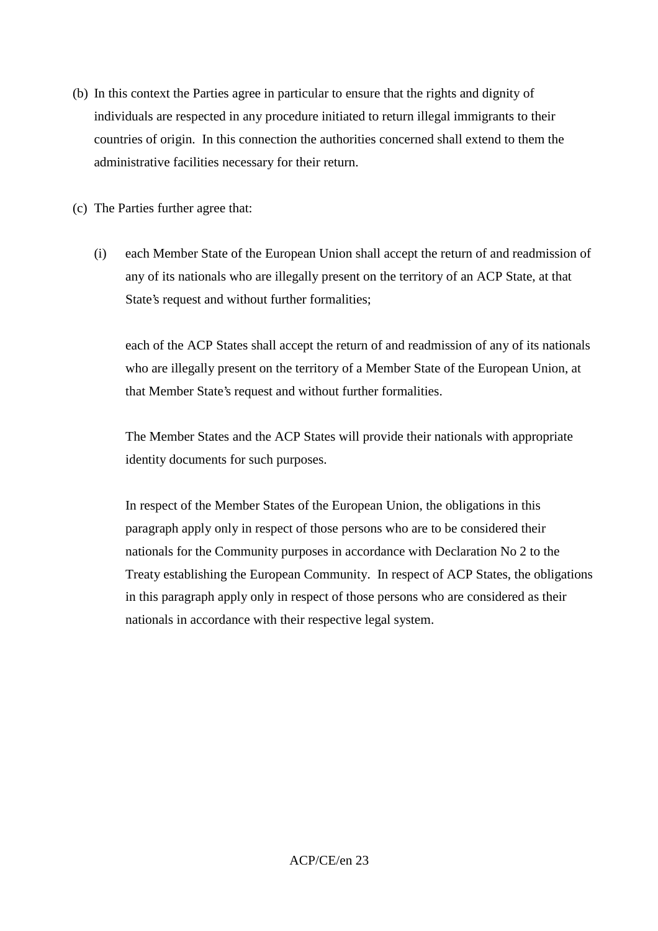- (b) In this context the Parties agree in particular to ensure that the rights and dignity of individuals are respected in any procedure initiated to return illegal immigrants to their countries of origin. In this connection the authorities concerned shall extend to them the administrative facilities necessary for their return.
- (c) The Parties further agree that:
	- (i) each Member State of the European Union shall accept the return of and readmission of any of its nationals who are illegally present on the territory of an ACP State, at that State's request and without further formalities;

each of the ACP States shall accept the return of and readmission of any of its nationals who are illegally present on the territory of a Member State of the European Union, at that Member State's request and without further formalities.

The Member States and the ACP States will provide their nationals with appropriate identity documents for such purposes.

In respect of the Member States of the European Union, the obligations in this paragraph apply only in respect of those persons who are to be considered their nationals for the Community purposes in accordance with Declaration No 2 to the Treaty establishing the European Community. In respect of ACP States, the obligations in this paragraph apply only in respect of those persons who are considered as their nationals in accordance with their respective legal system.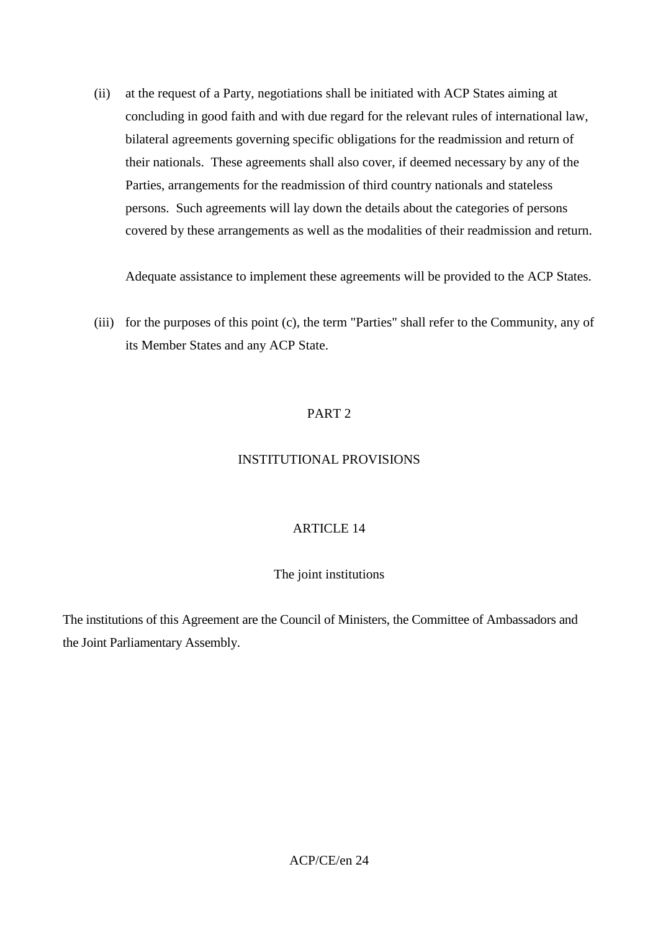(ii) at the request of a Party, negotiations shall be initiated with ACP States aiming at concluding in good faith and with due regard for the relevant rules of international law, bilateral agreements governing specific obligations for the readmission and return of their nationals. These agreements shall also cover, if deemed necessary by any of the Parties, arrangements for the readmission of third country nationals and stateless persons. Such agreements will lay down the details about the categories of persons covered by these arrangements as well as the modalities of their readmission and return.

Adequate assistance to implement these agreements will be provided to the ACP States.

(iii) for the purposes of this point (c), the term "Parties" shall refer to the Community, any of its Member States and any ACP State.

#### PART 2

#### INSTITUTIONAL PROVISIONS

#### ARTICLE 14

#### The joint institutions

The institutions of this Agreement are the Council of Ministers, the Committee of Ambassadors and the Joint Parliamentary Assembly.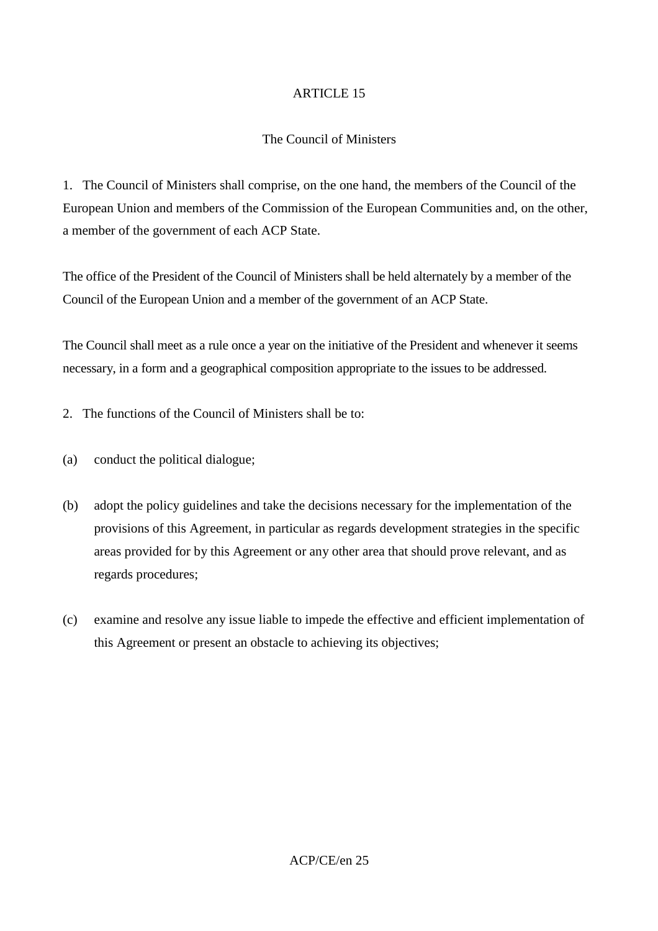#### The Council of Ministers

1. The Council of Ministers shall comprise, on the one hand, the members of the Council of the European Union and members of the Commission of the European Communities and, on the other, a member of the government of each ACP State.

The office of the President of the Council of Ministers shall be held alternately by a member of the Council of the European Union and a member of the government of an ACP State.

The Council shall meet as a rule once a year on the initiative of the President and whenever it seems necessary, in a form and a geographical composition appropriate to the issues to be addressed.

- 2. The functions of the Council of Ministers shall be to:
- (a) conduct the political dialogue;
- (b) adopt the policy guidelines and take the decisions necessary for the implementation of the provisions of this Agreement, in particular as regards development strategies in the specific areas provided for by this Agreement or any other area that should prove relevant, and as regards procedures;
- (c) examine and resolve any issue liable to impede the effective and efficient implementation of this Agreement or present an obstacle to achieving its objectives;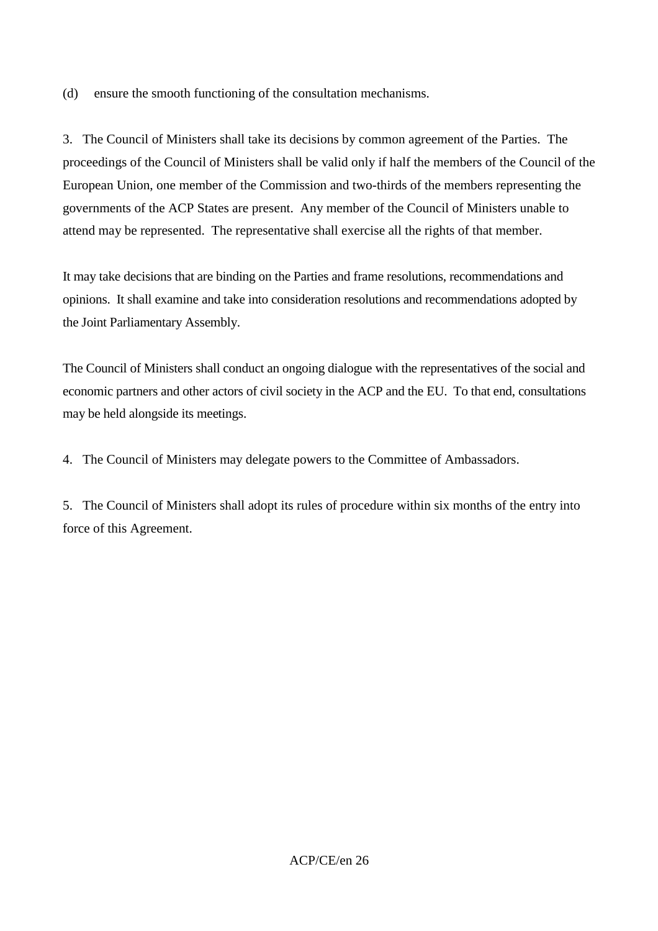(d) ensure the smooth functioning of the consultation mechanisms.

3. The Council of Ministers shall take its decisions by common agreement of the Parties. The proceedings of the Council of Ministers shall be valid only if half the members of the Council of the European Union, one member of the Commission and two-thirds of the members representing the governments of the ACP States are present. Any member of the Council of Ministers unable to attend may be represented. The representative shall exercise all the rights of that member.

It may take decisions that are binding on the Parties and frame resolutions, recommendations and opinions. It shall examine and take into consideration resolutions and recommendations adopted by the Joint Parliamentary Assembly.

The Council of Ministers shall conduct an ongoing dialogue with the representatives of the social and economic partners and other actors of civil society in the ACP and the EU. To that end, consultations may be held alongside its meetings.

4. The Council of Ministers may delegate powers to the Committee of Ambassadors.

5. The Council of Ministers shall adopt its rules of procedure within six months of the entry into force of this Agreement.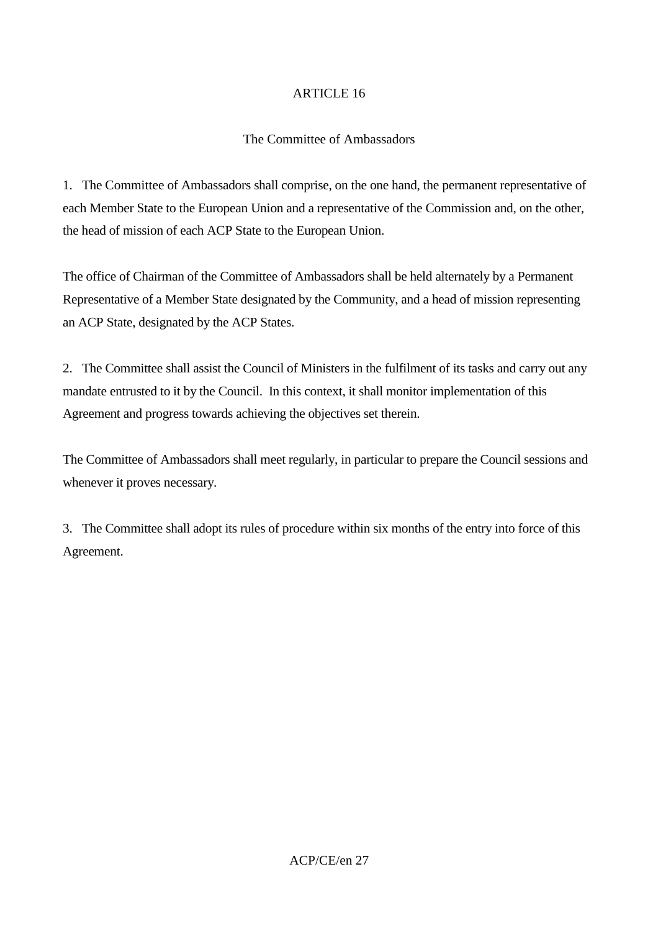#### The Committee of Ambassadors

1. The Committee of Ambassadors shall comprise, on the one hand, the permanent representative of each Member State to the European Union and a representative of the Commission and, on the other, the head of mission of each ACP State to the European Union.

The office of Chairman of the Committee of Ambassadors shall be held alternately by a Permanent Representative of a Member State designated by the Community, and a head of mission representing an ACP State, designated by the ACP States.

2. The Committee shall assist the Council of Ministers in the fulfilment of its tasks and carry out any mandate entrusted to it by the Council. In this context, it shall monitor implementation of this Agreement and progress towards achieving the objectives set therein.

The Committee of Ambassadors shall meet regularly, in particular to prepare the Council sessions and whenever it proves necessary.

3. The Committee shall adopt its rules of procedure within six months of the entry into force of this Agreement.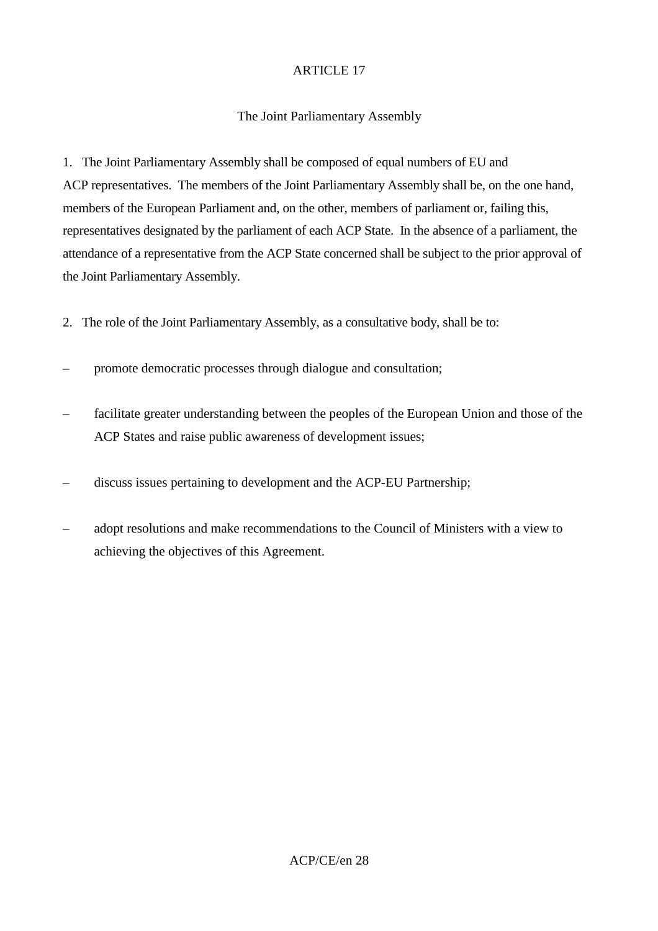#### The Joint Parliamentary Assembly

1. The Joint Parliamentary Assembly shall be composed of equal numbers of EU and ACP representatives. The members of the Joint Parliamentary Assembly shall be, on the one hand, members of the European Parliament and, on the other, members of parliament or, failing this, representatives designated by the parliament of each ACP State. In the absence of a parliament, the attendance of a representative from the ACP State concerned shall be subject to the prior approval of the Joint Parliamentary Assembly.

- 2. The role of the Joint Parliamentary Assembly, as a consultative body, shall be to:
- promote democratic processes through dialogue and consultation;
- facilitate greater understanding between the peoples of the European Union and those of the ACP States and raise public awareness of development issues;
- discuss issues pertaining to development and the ACP-EU Partnership;
- adopt resolutions and make recommendations to the Council of Ministers with a view to achieving the objectives of this Agreement.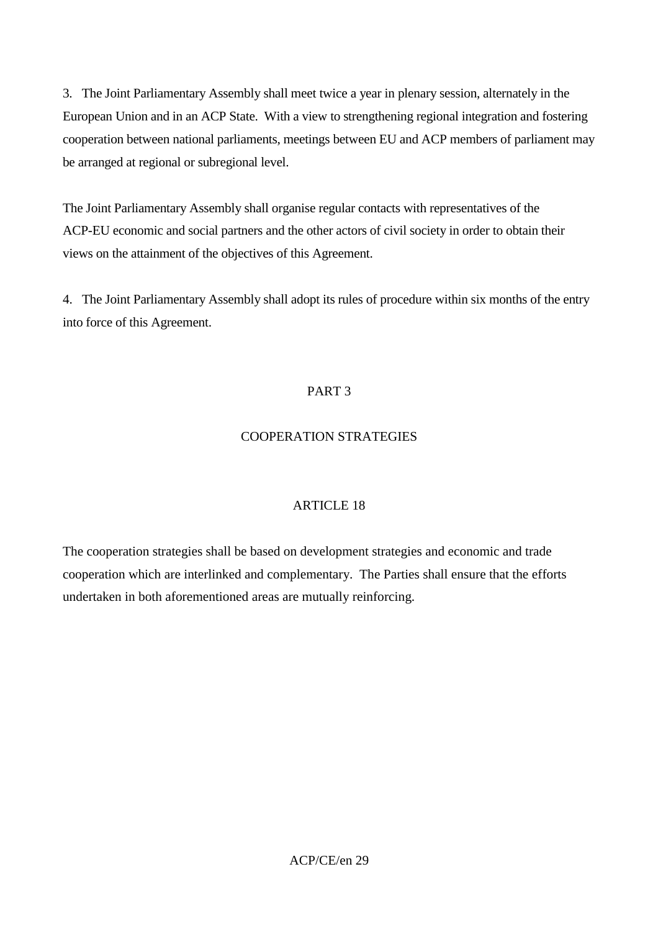3. The Joint Parliamentary Assembly shall meet twice a year in plenary session, alternately in the European Union and in an ACP State. With a view to strengthening regional integration and fostering cooperation between national parliaments, meetings between EU and ACP members of parliament may be arranged at regional or subregional level.

The Joint Parliamentary Assembly shall organise regular contacts with representatives of the ACP-EU economic and social partners and the other actors of civil society in order to obtain their views on the attainment of the objectives of this Agreement.

4. The Joint Parliamentary Assembly shall adopt its rules of procedure within six months of the entry into force of this Agreement.

# PART 3

# COOPERATION STRATEGIES

## ARTICLE 18

The cooperation strategies shall be based on development strategies and economic and trade cooperation which are interlinked and complementary. The Parties shall ensure that the efforts undertaken in both aforementioned areas are mutually reinforcing.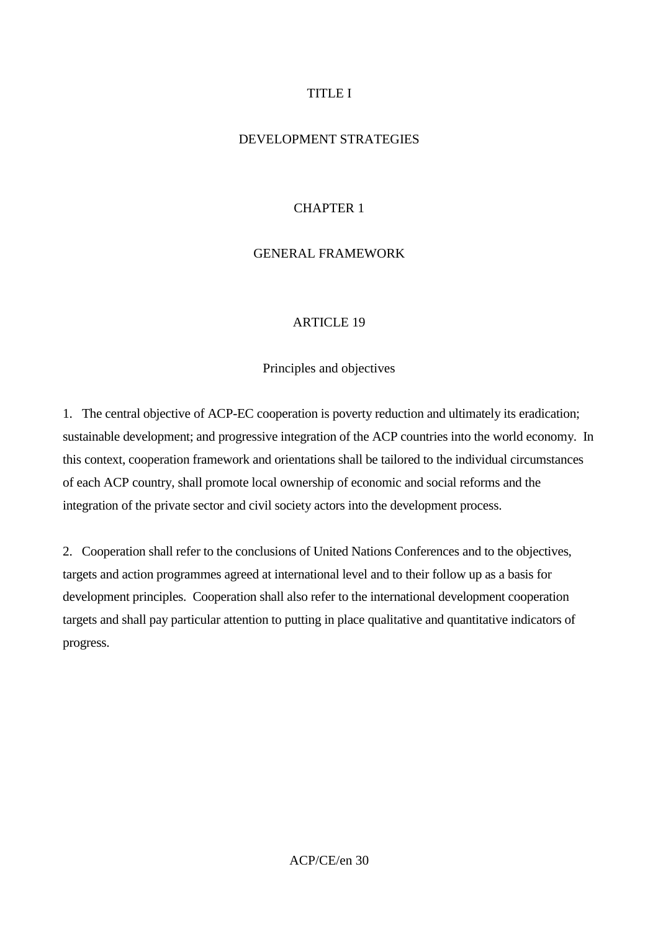## TITLE I

#### DEVELOPMENT STRATEGIES

#### CHAPTER 1

#### GENERAL FRAMEWORK

#### **ARTICLE 19**

#### Principles and objectives

1. The central objective of ACP-EC cooperation is poverty reduction and ultimately its eradication; sustainable development; and progressive integration of the ACP countries into the world economy. In this context, cooperation framework and orientations shall be tailored to the individual circumstances of each ACP country, shall promote local ownership of economic and social reforms and the integration of the private sector and civil society actors into the development process.

2. Cooperation shall refer to the conclusions of United Nations Conferences and to the objectives, targets and action programmes agreed at international level and to their follow up as a basis for development principles. Cooperation shall also refer to the international development cooperation targets and shall pay particular attention to putting in place qualitative and quantitative indicators of progress.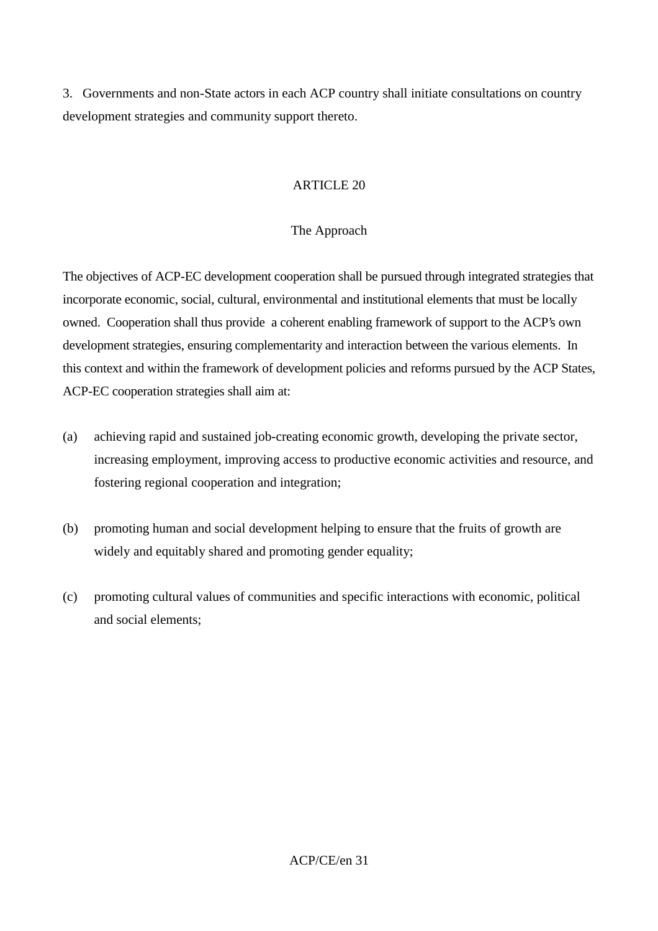3. Governments and non-State actors in each ACP country shall initiate consultations on country development strategies and community support thereto.

#### ARTICLE 20

#### The Approach

The objectives of ACP-EC development cooperation shall be pursued through integrated strategies that incorporate economic, social, cultural, environmental and institutional elements that must be locally owned. Cooperation shall thus provide a coherent enabling framework of support to the ACP's own development strategies, ensuring complementarity and interaction between the various elements. In this context and within the framework of development policies and reforms pursued by the ACP States, ACP-EC cooperation strategies shall aim at:

- (a) achieving rapid and sustained job-creating economic growth, developing the private sector, increasing employment, improving access to productive economic activities and resource, and fostering regional cooperation and integration;
- (b) promoting human and social development helping to ensure that the fruits of growth are widely and equitably shared and promoting gender equality;
- (c) promoting cultural values of communities and specific interactions with economic, political and social elements;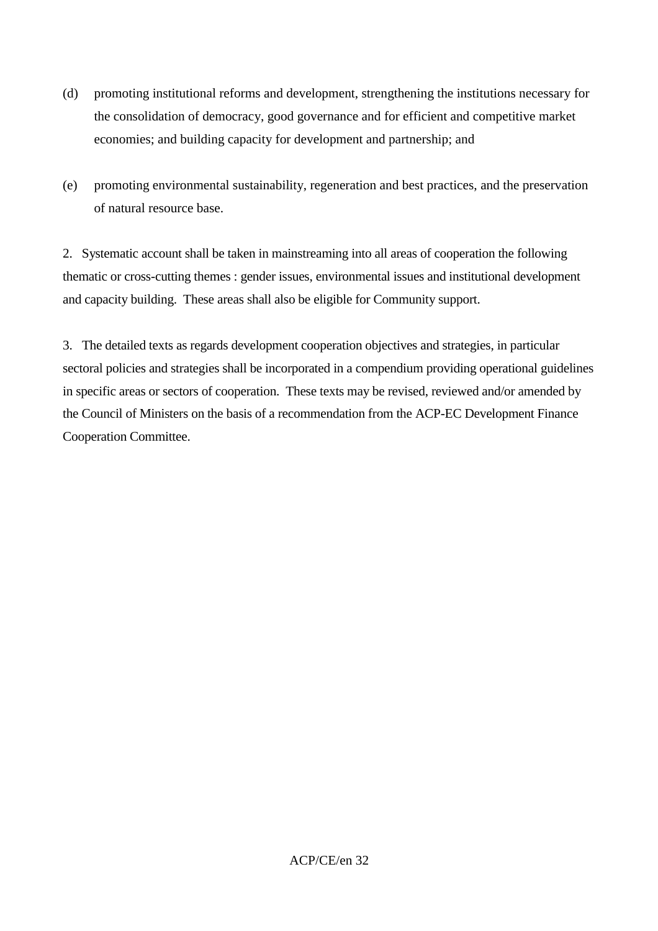- (d) promoting institutional reforms and development, strengthening the institutions necessary for the consolidation of democracy, good governance and for efficient and competitive market economies; and building capacity for development and partnership; and
- (e) promoting environmental sustainability, regeneration and best practices, and the preservation of natural resource base.

2. Systematic account shall be taken in mainstreaming into all areas of cooperation the following thematic or cross-cutting themes : gender issues, environmental issues and institutional development and capacity building. These areas shall also be eligible for Community support.

3. The detailed texts as regards development cooperation objectives and strategies, in particular sectoral policies and strategies shall be incorporated in a compendium providing operational guidelines in specific areas or sectors of cooperation. These texts may be revised, reviewed and/or amended by the Council of Ministers on the basis of a recommendation from the ACP-EC Development Finance Cooperation Committee.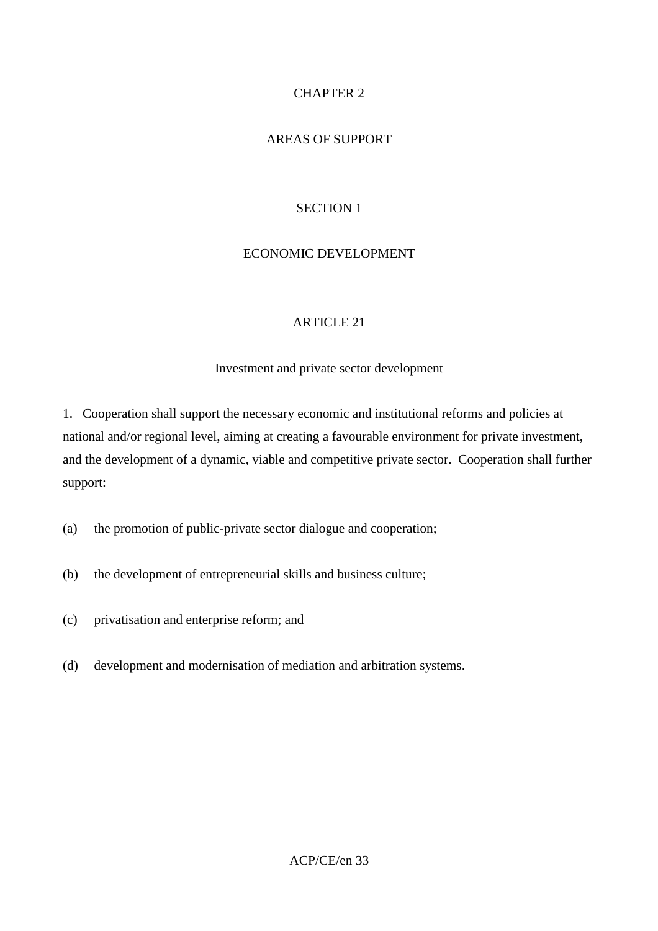# CHAPTER 2

# AREAS OF SUPPORT

## SECTION 1

# ECONOMIC DEVELOPMENT

## ARTICLE 21

#### Investment and private sector development

1. Cooperation shall support the necessary economic and institutional reforms and policies at national and/or regional level, aiming at creating a favourable environment for private investment, and the development of a dynamic, viable and competitive private sector. Cooperation shall further support:

- (a) the promotion of public-private sector dialogue and cooperation;
- (b) the development of entrepreneurial skills and business culture;
- (c) privatisation and enterprise reform; and
- (d) development and modernisation of mediation and arbitration systems.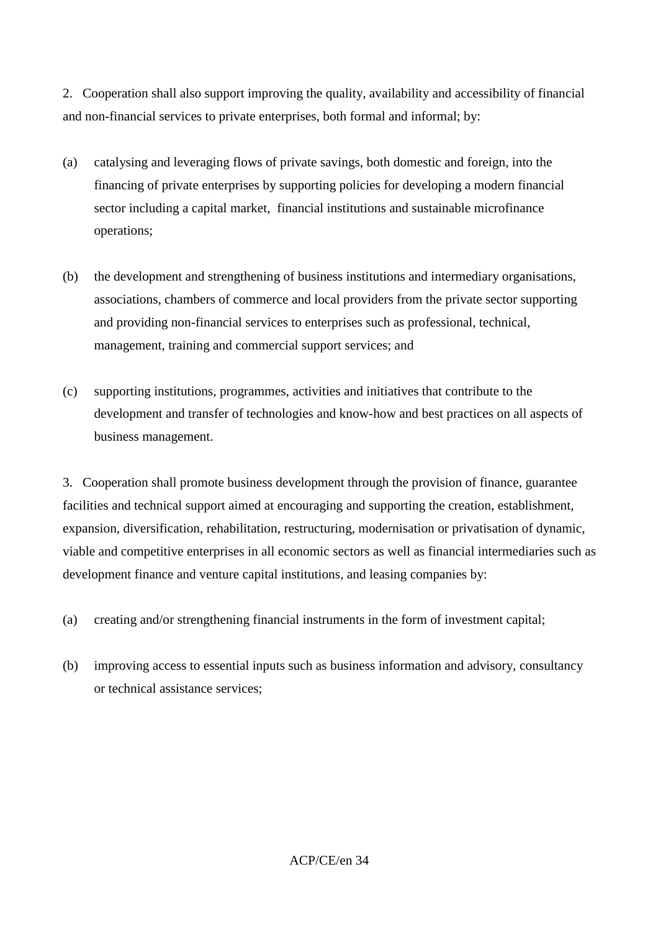2. Cooperation shall also support improving the quality, availability and accessibility of financial and non-financial services to private enterprises, both formal and informal; by:

- (a) catalysing and leveraging flows of private savings, both domestic and foreign, into the financing of private enterprises by supporting policies for developing a modern financial sector including a capital market, financial institutions and sustainable microfinance operations;
- (b) the development and strengthening of business institutions and intermediary organisations, associations, chambers of commerce and local providers from the private sector supporting and providing non-financial services to enterprises such as professional, technical, management, training and commercial support services; and
- (c) supporting institutions, programmes, activities and initiatives that contribute to the development and transfer of technologies and know-how and best practices on all aspects of business management.

3. Cooperation shall promote business development through the provision of finance, guarantee facilities and technical support aimed at encouraging and supporting the creation, establishment, expansion, diversification, rehabilitation, restructuring, modernisation or privatisation of dynamic, viable and competitive enterprises in all economic sectors as well as financial intermediaries such as development finance and venture capital institutions, and leasing companies by:

- (a) creating and/or strengthening financial instruments in the form of investment capital;
- (b) improving access to essential inputs such as business information and advisory, consultancy or technical assistance services;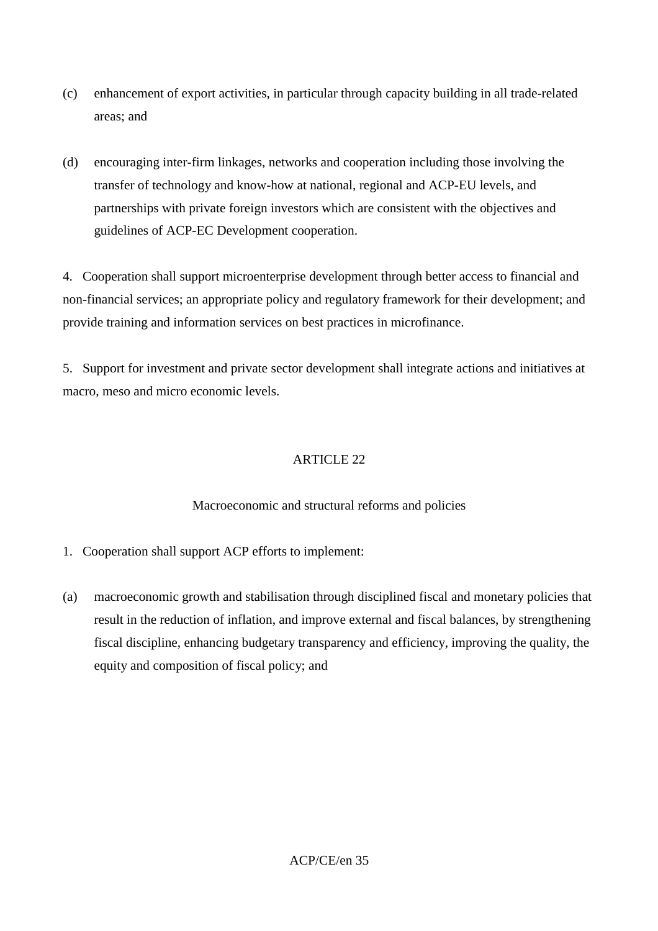- (c) enhancement of export activities, in particular through capacity building in all trade-related areas; and
- (d) encouraging inter-firm linkages, networks and cooperation including those involving the transfer of technology and know-how at national, regional and ACP-EU levels, and partnerships with private foreign investors which are consistent with the objectives and guidelines of ACP-EC Development cooperation.

4. Cooperation shall support microenterprise development through better access to financial and non-financial services; an appropriate policy and regulatory framework for their development; and provide training and information services on best practices in microfinance.

5. Support for investment and private sector development shall integrate actions and initiatives at macro, meso and micro economic levels.

# ARTICLE 22

## Macroeconomic and structural reforms and policies

- 1. Cooperation shall support ACP efforts to implement:
- (a) macroeconomic growth and stabilisation through disciplined fiscal and monetary policies that result in the reduction of inflation, and improve external and fiscal balances, by strengthening fiscal discipline, enhancing budgetary transparency and efficiency, improving the quality, the equity and composition of fiscal policy; and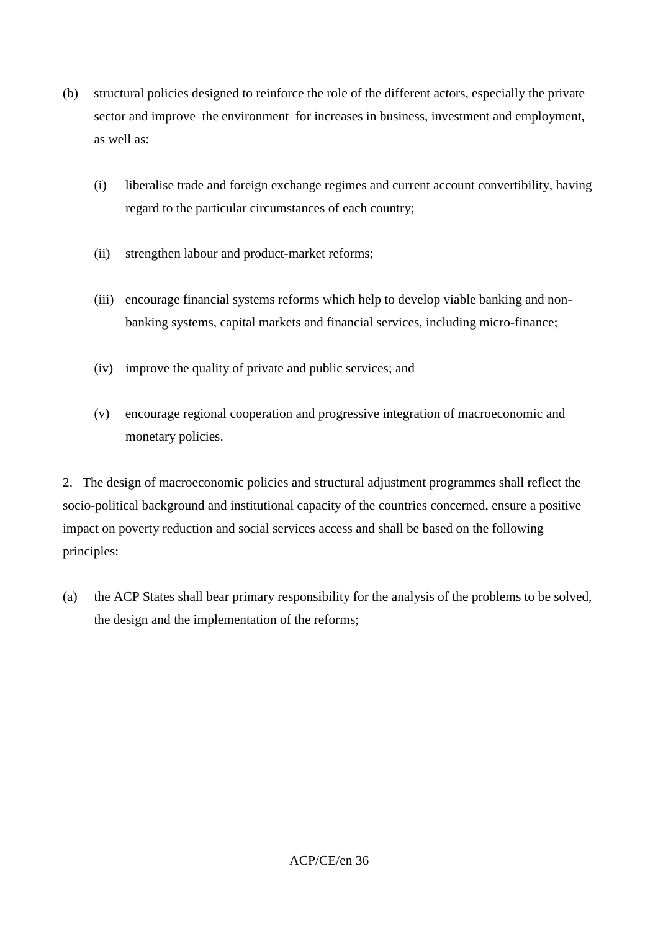- (b) structural policies designed to reinforce the role of the different actors, especially the private sector and improve the environment for increases in business, investment and employment, as well as:
	- (i) liberalise trade and foreign exchange regimes and current account convertibility, having regard to the particular circumstances of each country;
	- (ii) strengthen labour and product-market reforms;
	- (iii) encourage financial systems reforms which help to develop viable banking and nonbanking systems, capital markets and financial services, including micro-finance;
	- (iv) improve the quality of private and public services; and
	- (v) encourage regional cooperation and progressive integration of macroeconomic and monetary policies.

2. The design of macroeconomic policies and structural adjustment programmes shall reflect the socio-political background and institutional capacity of the countries concerned, ensure a positive impact on poverty reduction and social services access and shall be based on the following principles:

(a) the ACP States shall bear primary responsibility for the analysis of the problems to be solved, the design and the implementation of the reforms;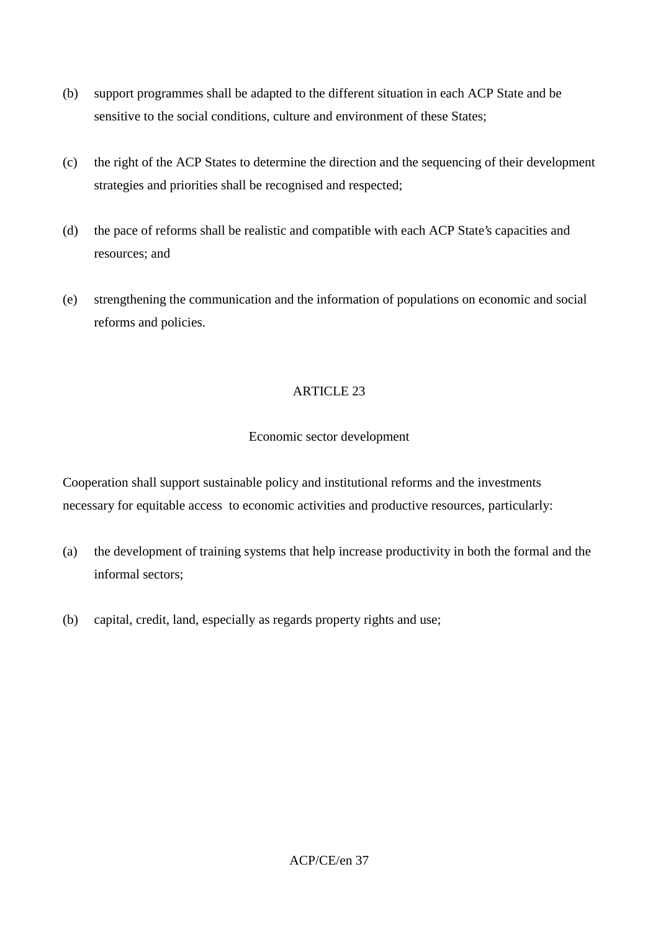- (b) support programmes shall be adapted to the different situation in each ACP State and be sensitive to the social conditions, culture and environment of these States;
- (c) the right of the ACP States to determine the direction and the sequencing of their development strategies and priorities shall be recognised and respected;
- (d) the pace of reforms shall be realistic and compatible with each ACP State's capacities and resources; and
- (e) strengthening the communication and the information of populations on economic and social reforms and policies.

## Economic sector development

Cooperation shall support sustainable policy and institutional reforms and the investments necessary for equitable access to economic activities and productive resources, particularly:

- (a) the development of training systems that help increase productivity in both the formal and the informal sectors;
- (b) capital, credit, land, especially as regards property rights and use;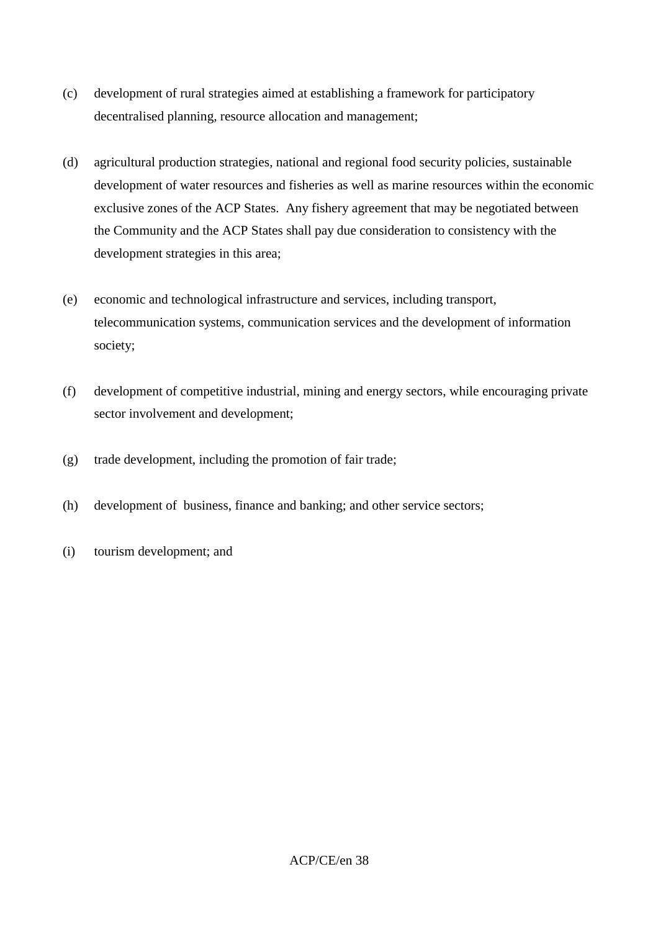- (c) development of rural strategies aimed at establishing a framework for participatory decentralised planning, resource allocation and management;
- (d) agricultural production strategies, national and regional food security policies, sustainable development of water resources and fisheries as well as marine resources within the economic exclusive zones of the ACP States. Any fishery agreement that may be negotiated between the Community and the ACP States shall pay due consideration to consistency with the development strategies in this area;
- (e) economic and technological infrastructure and services, including transport, telecommunication systems, communication services and the development of information society;
- (f) development of competitive industrial, mining and energy sectors, while encouraging private sector involvement and development;
- (g) trade development, including the promotion of fair trade;
- (h) development of business, finance and banking; and other service sectors;
- (i) tourism development; and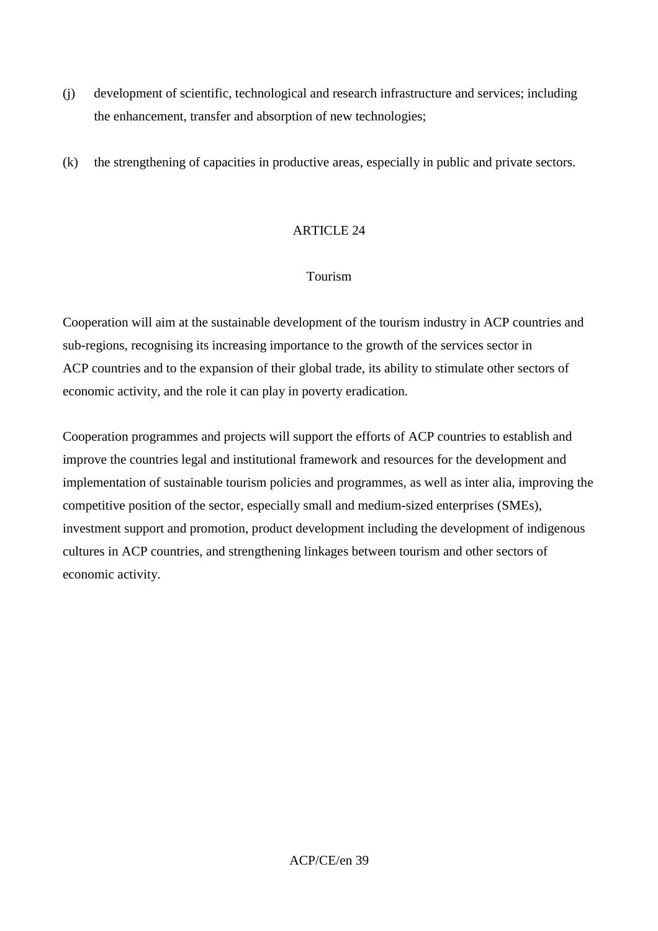- (j) development of scientific, technological and research infrastructure and services; including the enhancement, transfer and absorption of new technologies;
- (k) the strengthening of capacities in productive areas, especially in public and private sectors.

### Tourism

Cooperation will aim at the sustainable development of the tourism industry in ACP countries and sub-regions, recognising its increasing importance to the growth of the services sector in ACP countries and to the expansion of their global trade, its ability to stimulate other sectors of economic activity, and the role it can play in poverty eradication.

Cooperation programmes and projects will support the efforts of ACP countries to establish and improve the countries legal and institutional framework and resources for the development and implementation of sustainable tourism policies and programmes, as well as inter alia, improving the competitive position of the sector, especially small and medium-sized enterprises (SMEs), investment support and promotion, product development including the development of indigenous cultures in ACP countries, and strengthening linkages between tourism and other sectors of economic activity.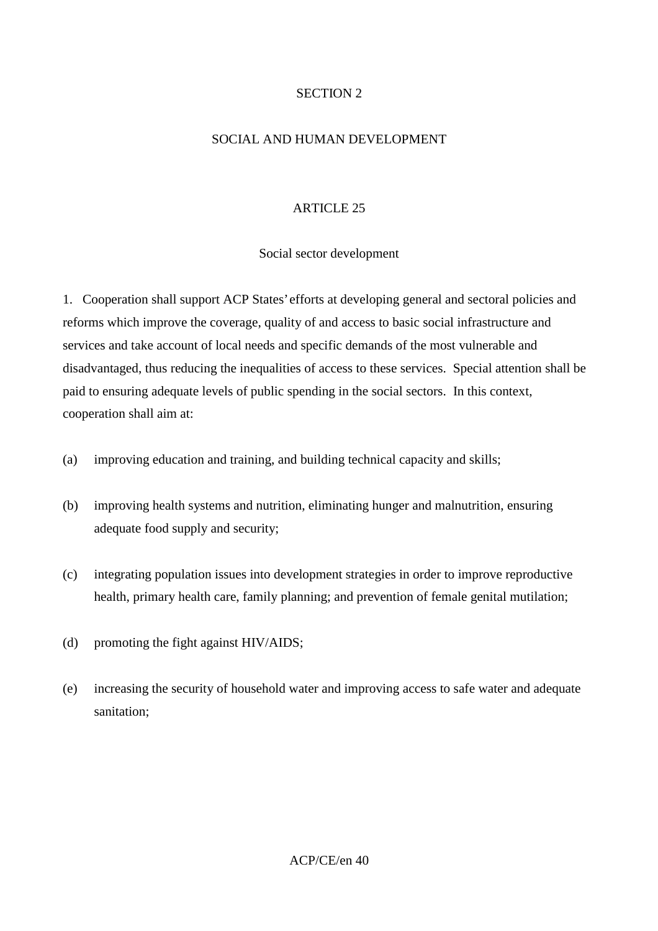# SECTION 2

# SOCIAL AND HUMAN DEVELOPMENT

# ARTICLE 25

## Social sector development

1. Cooperation shall support ACP States' efforts at developing general and sectoral policies and reforms which improve the coverage, quality of and access to basic social infrastructure and services and take account of local needs and specific demands of the most vulnerable and disadvantaged, thus reducing the inequalities of access to these services. Special attention shall be paid to ensuring adequate levels of public spending in the social sectors. In this context, cooperation shall aim at:

- (a) improving education and training, and building technical capacity and skills;
- (b) improving health systems and nutrition, eliminating hunger and malnutrition, ensuring adequate food supply and security;
- (c) integrating population issues into development strategies in order to improve reproductive health, primary health care, family planning; and prevention of female genital mutilation;
- (d) promoting the fight against HIV/AIDS;
- (e) increasing the security of household water and improving access to safe water and adequate sanitation;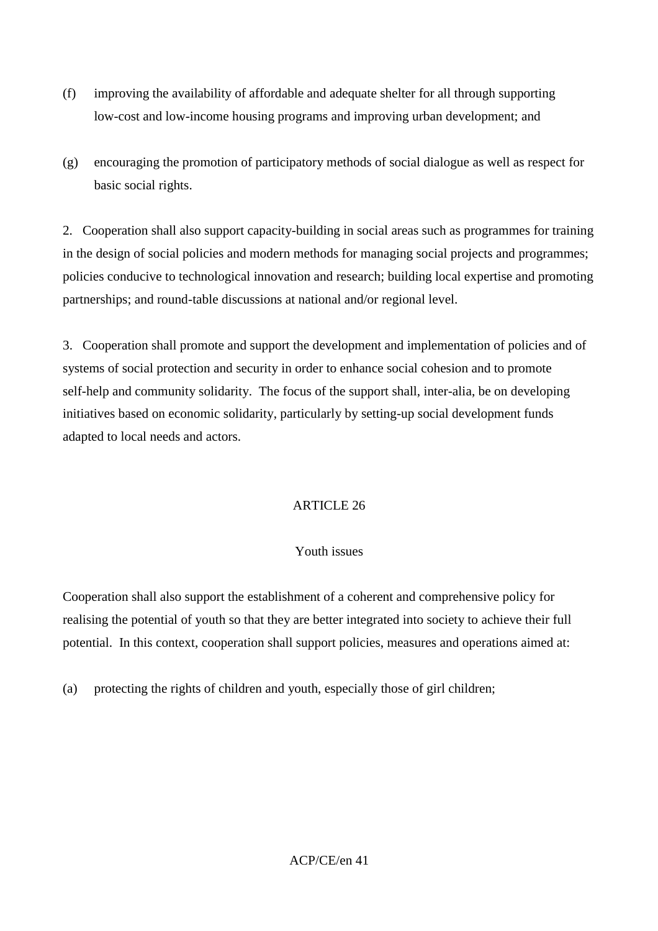- (f) improving the availability of affordable and adequate shelter for all through supporting low-cost and low-income housing programs and improving urban development; and
- (g) encouraging the promotion of participatory methods of social dialogue as well as respect for basic social rights.

2. Cooperation shall also support capacity-building in social areas such as programmes for training in the design of social policies and modern methods for managing social projects and programmes; policies conducive to technological innovation and research; building local expertise and promoting partnerships; and round-table discussions at national and/or regional level.

3. Cooperation shall promote and support the development and implementation of policies and of systems of social protection and security in order to enhance social cohesion and to promote self-help and community solidarity. The focus of the support shall, inter-alia, be on developing initiatives based on economic solidarity, particularly by setting-up social development funds adapted to local needs and actors.

# ARTICLE 26

# Youth issues

Cooperation shall also support the establishment of a coherent and comprehensive policy for realising the potential of youth so that they are better integrated into society to achieve their full potential. In this context, cooperation shall support policies, measures and operations aimed at:

(a) protecting the rights of children and youth, especially those of girl children;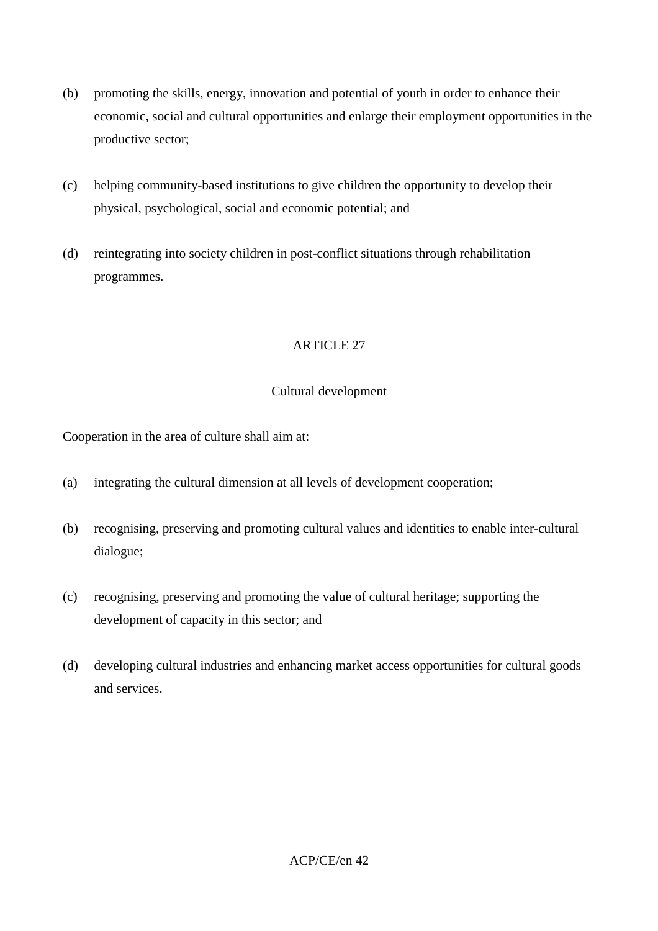- (b) promoting the skills, energy, innovation and potential of youth in order to enhance their economic, social and cultural opportunities and enlarge their employment opportunities in the productive sector;
- (c) helping community-based institutions to give children the opportunity to develop their physical, psychological, social and economic potential; and
- (d) reintegrating into society children in post-conflict situations through rehabilitation programmes.

# Cultural development

Cooperation in the area of culture shall aim at:

- (a) integrating the cultural dimension at all levels of development cooperation;
- (b) recognising, preserving and promoting cultural values and identities to enable inter-cultural dialogue;
- (c) recognising, preserving and promoting the value of cultural heritage; supporting the development of capacity in this sector; and
- (d) developing cultural industries and enhancing market access opportunities for cultural goods and services.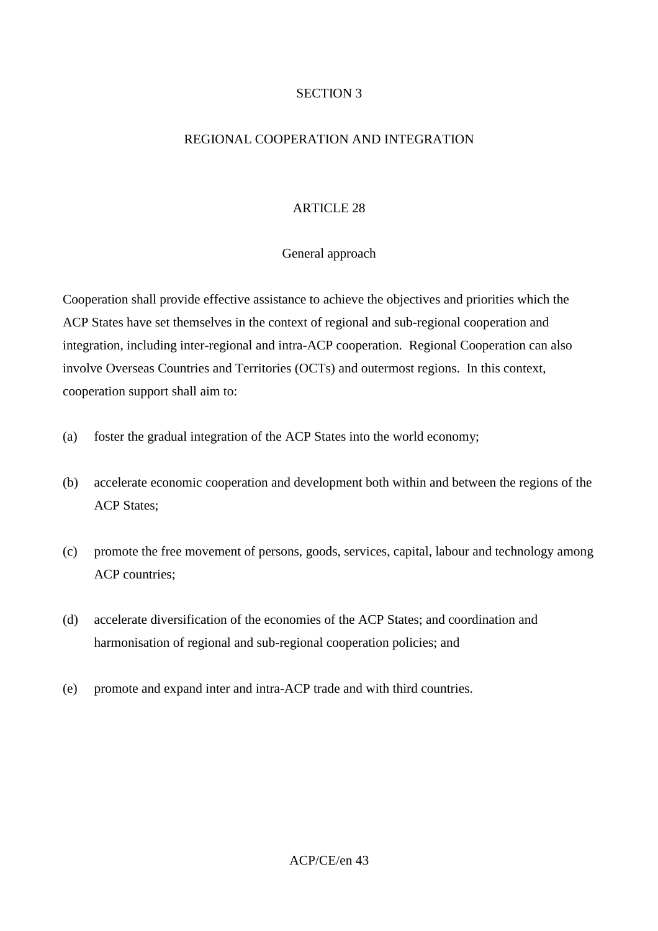### SECTION 3

## REGIONAL COOPERATION AND INTEGRATION

### ARTICLE 28

### General approach

Cooperation shall provide effective assistance to achieve the objectives and priorities which the ACP States have set themselves in the context of regional and sub-regional cooperation and integration, including inter-regional and intra-ACP cooperation. Regional Cooperation can also involve Overseas Countries and Territories (OCTs) and outermost regions. In this context, cooperation support shall aim to:

- (a) foster the gradual integration of the ACP States into the world economy;
- (b) accelerate economic cooperation and development both within and between the regions of the ACP States;
- (c) promote the free movement of persons, goods, services, capital, labour and technology among ACP countries;
- (d) accelerate diversification of the economies of the ACP States; and coordination and harmonisation of regional and sub-regional cooperation policies; and
- (e) promote and expand inter and intra-ACP trade and with third countries.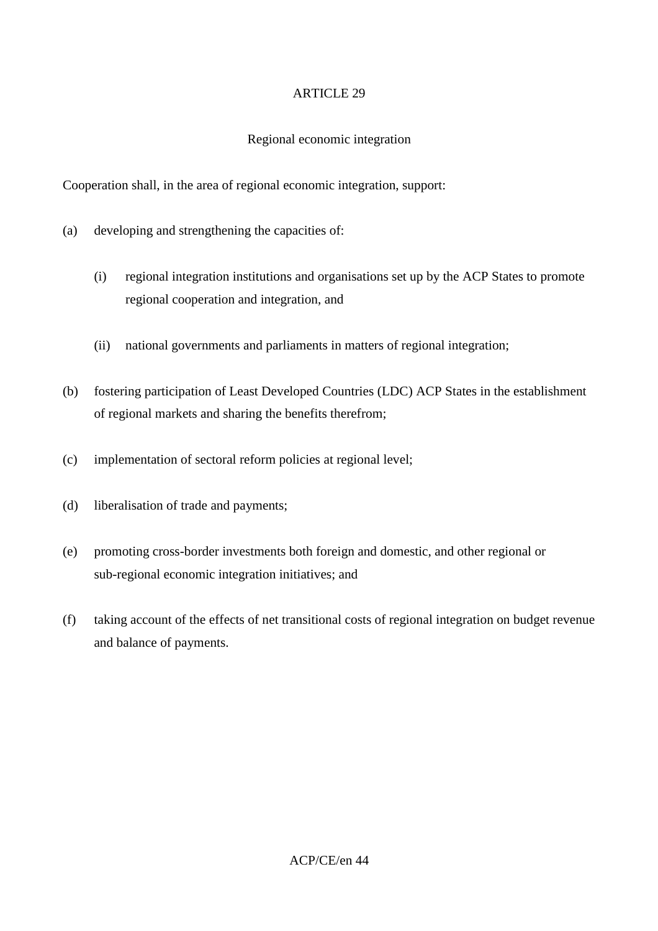## Regional economic integration

Cooperation shall, in the area of regional economic integration, support:

- (a) developing and strengthening the capacities of:
	- (i) regional integration institutions and organisations set up by the ACP States to promote regional cooperation and integration, and
	- (ii) national governments and parliaments in matters of regional integration;
- (b) fostering participation of Least Developed Countries (LDC) ACP States in the establishment of regional markets and sharing the benefits therefrom;
- (c) implementation of sectoral reform policies at regional level;
- (d) liberalisation of trade and payments;
- (e) promoting cross-border investments both foreign and domestic, and other regional or sub-regional economic integration initiatives; and
- (f) taking account of the effects of net transitional costs of regional integration on budget revenue and balance of payments.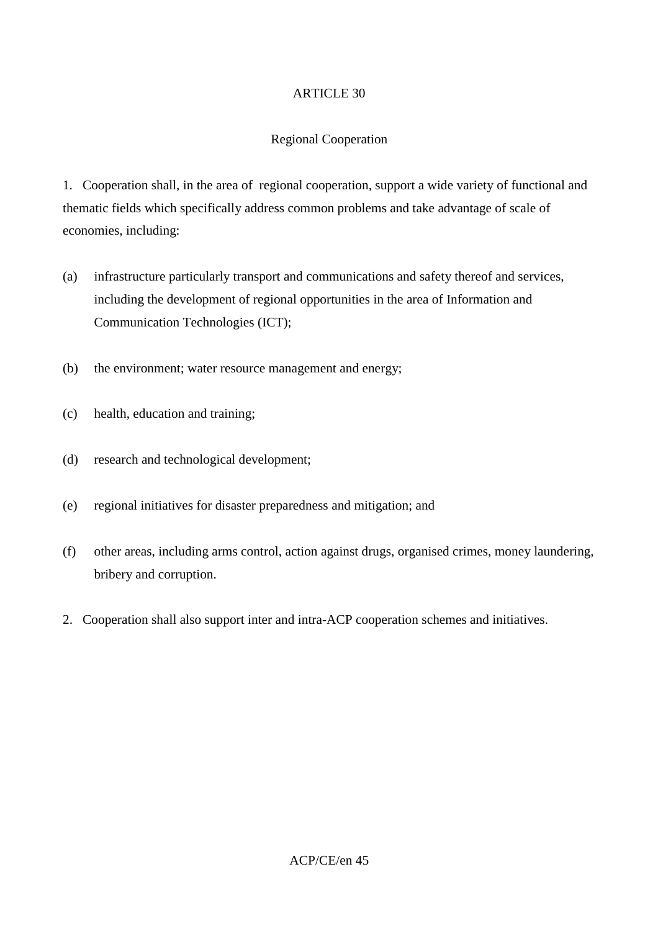## Regional Cooperation

1. Cooperation shall, in the area of regional cooperation, support a wide variety of functional and thematic fields which specifically address common problems and take advantage of scale of economies, including:

- (a) infrastructure particularly transport and communications and safety thereof and services, including the development of regional opportunities in the area of Information and Communication Technologies (ICT);
- (b) the environment; water resource management and energy;
- (c) health, education and training;
- (d) research and technological development;
- (e) regional initiatives for disaster preparedness and mitigation; and
- (f) other areas, including arms control, action against drugs, organised crimes, money laundering, bribery and corruption.
- 2. Cooperation shall also support inter and intra-ACP cooperation schemes and initiatives.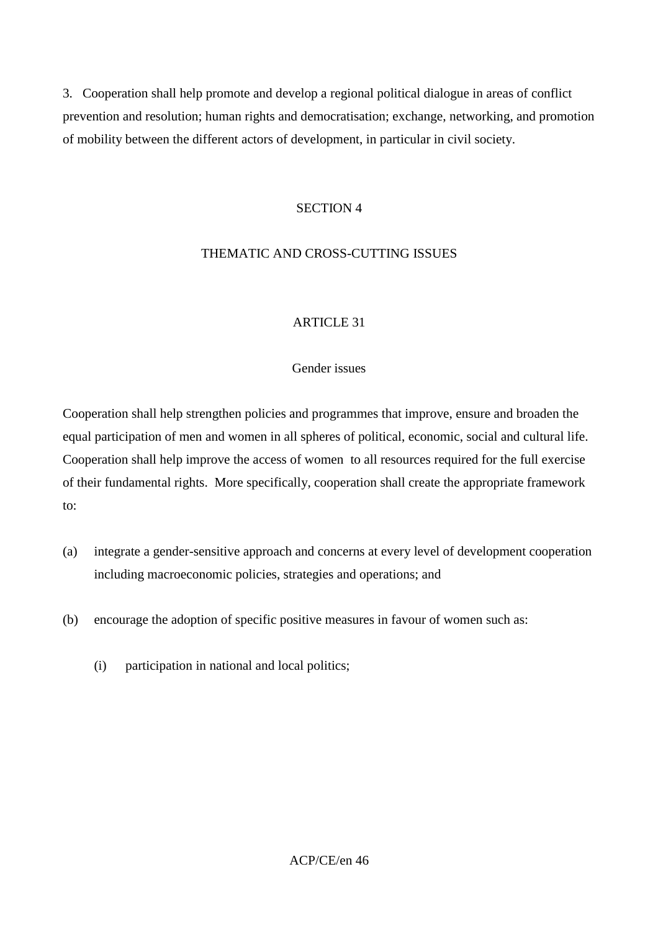3. Cooperation shall help promote and develop a regional political dialogue in areas of conflict prevention and resolution; human rights and democratisation; exchange, networking, and promotion of mobility between the different actors of development, in particular in civil society.

#### SECTION 4

## THEMATIC AND CROSS-CUTTING ISSUES

### ARTICLE 31

### Gender issues

Cooperation shall help strengthen policies and programmes that improve, ensure and broaden the equal participation of men and women in all spheres of political, economic, social and cultural life. Cooperation shall help improve the access of women to all resources required for the full exercise of their fundamental rights. More specifically, cooperation shall create the appropriate framework to:

- (a) integrate a gender-sensitive approach and concerns at every level of development cooperation including macroeconomic policies, strategies and operations; and
- (b) encourage the adoption of specific positive measures in favour of women such as:
	- (i) participation in national and local politics;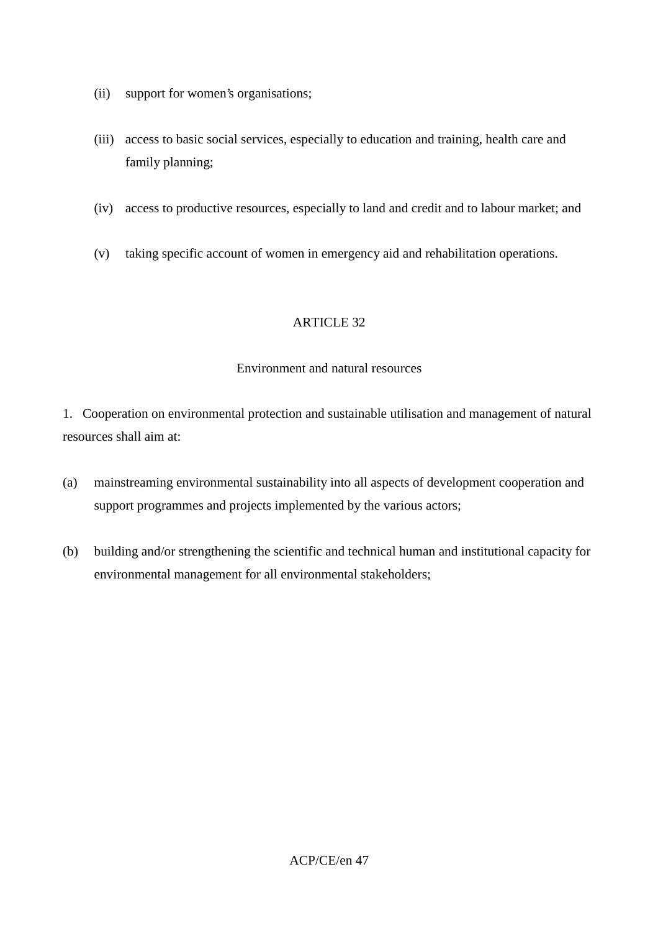- (ii) support for women's organisations;
- (iii) access to basic social services, especially to education and training, health care and family planning;
- (iv) access to productive resources, especially to land and credit and to labour market; and
- (v) taking specific account of women in emergency aid and rehabilitation operations.

#### Environment and natural resources

1. Cooperation on environmental protection and sustainable utilisation and management of natural resources shall aim at:

- (a) mainstreaming environmental sustainability into all aspects of development cooperation and support programmes and projects implemented by the various actors;
- (b) building and/or strengthening the scientific and technical human and institutional capacity for environmental management for all environmental stakeholders;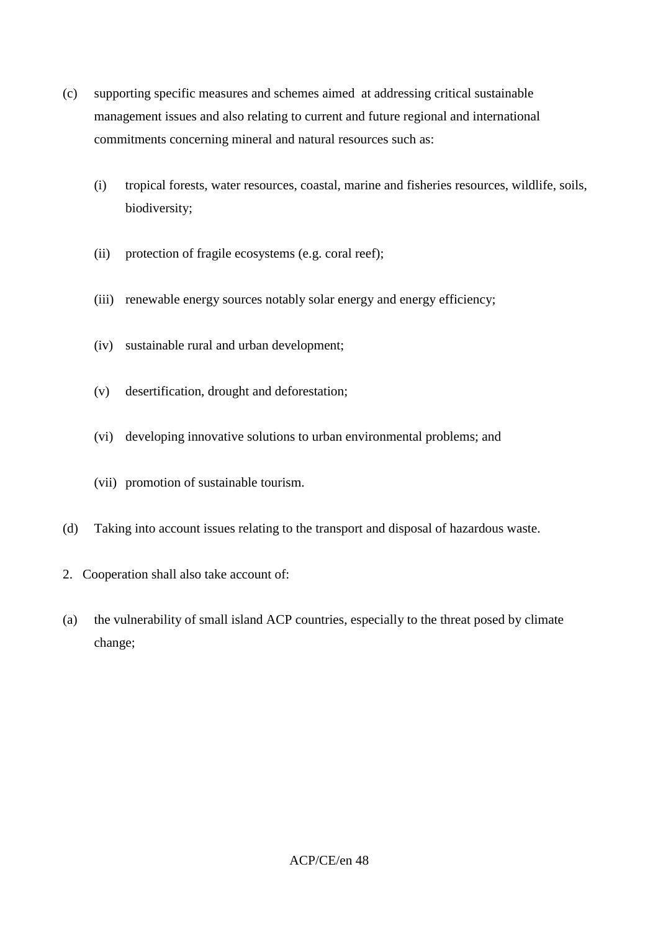- (c) supporting specific measures and schemes aimed at addressing critical sustainable management issues and also relating to current and future regional and international commitments concerning mineral and natural resources such as:
	- (i) tropical forests, water resources, coastal, marine and fisheries resources, wildlife, soils, biodiversity;
	- (ii) protection of fragile ecosystems (e.g. coral reef);
	- (iii) renewable energy sources notably solar energy and energy efficiency;
	- (iv) sustainable rural and urban development;
	- (v) desertification, drought and deforestation;
	- (vi) developing innovative solutions to urban environmental problems; and
	- (vii) promotion of sustainable tourism.
- (d) Taking into account issues relating to the transport and disposal of hazardous waste.
- 2. Cooperation shall also take account of:
- (a) the vulnerability of small island ACP countries, especially to the threat posed by climate change;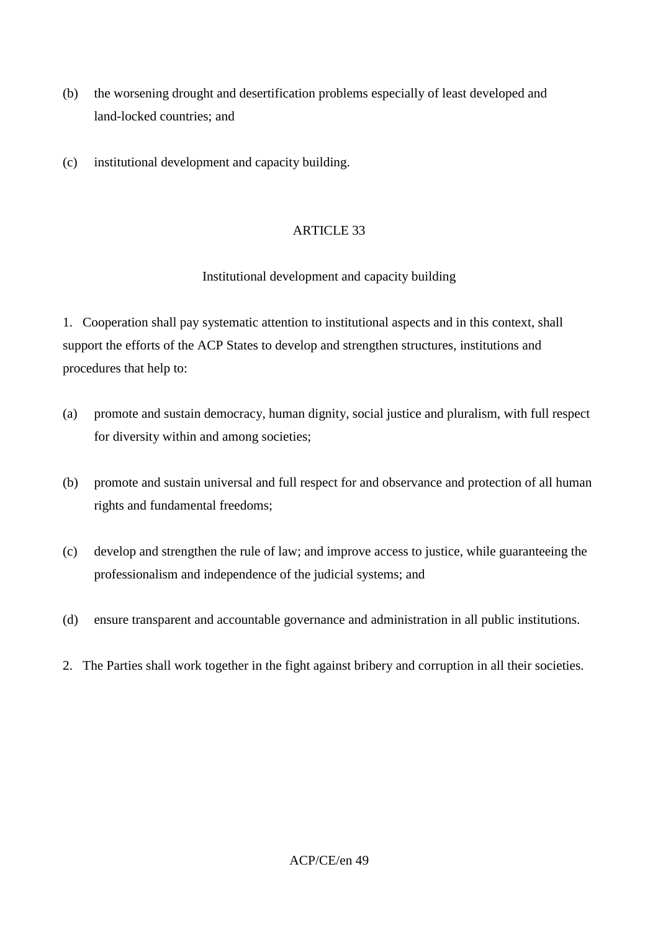- (b) the worsening drought and desertification problems especially of least developed and land-locked countries; and
- (c) institutional development and capacity building.

### Institutional development and capacity building

1. Cooperation shall pay systematic attention to institutional aspects and in this context, shall support the efforts of the ACP States to develop and strengthen structures, institutions and procedures that help to:

- (a) promote and sustain democracy, human dignity, social justice and pluralism, with full respect for diversity within and among societies;
- (b) promote and sustain universal and full respect for and observance and protection of all human rights and fundamental freedoms;
- (c) develop and strengthen the rule of law; and improve access to justice, while guaranteeing the professionalism and independence of the judicial systems; and
- (d) ensure transparent and accountable governance and administration in all public institutions.
- 2. The Parties shall work together in the fight against bribery and corruption in all their societies.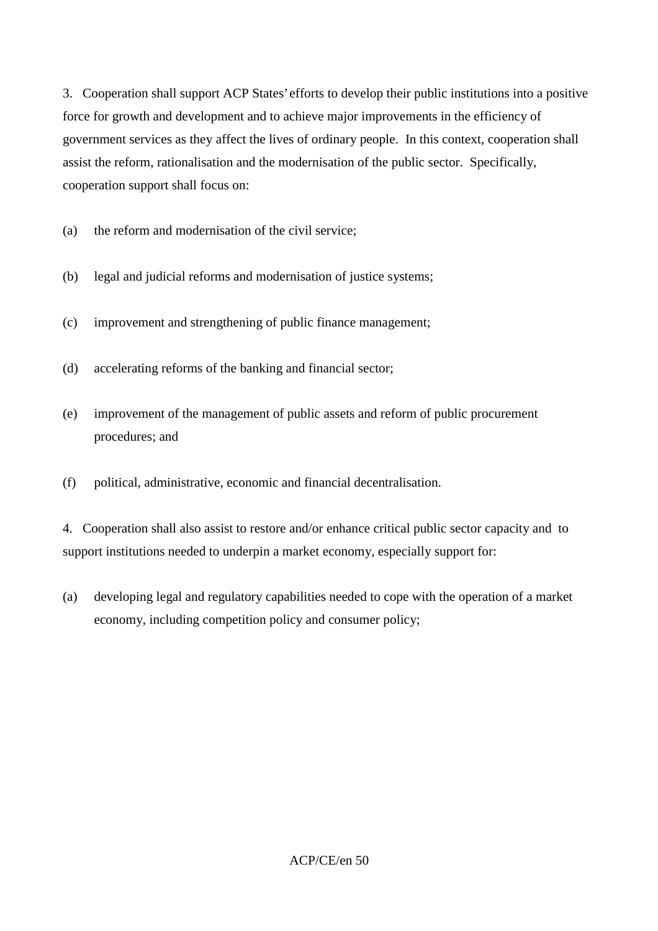3. Cooperation shall support ACP States' efforts to develop their public institutions into a positive force for growth and development and to achieve major improvements in the efficiency of government services as they affect the lives of ordinary people. In this context, cooperation shall assist the reform, rationalisation and the modernisation of the public sector. Specifically, cooperation support shall focus on:

(a) the reform and modernisation of the civil service;

- (b) legal and judicial reforms and modernisation of justice systems;
- (c) improvement and strengthening of public finance management;
- (d) accelerating reforms of the banking and financial sector;
- (e) improvement of the management of public assets and reform of public procurement procedures; and
- (f) political, administrative, economic and financial decentralisation.

4. Cooperation shall also assist to restore and/or enhance critical public sector capacity and to support institutions needed to underpin a market economy, especially support for:

(a) developing legal and regulatory capabilities needed to cope with the operation of a market economy, including competition policy and consumer policy;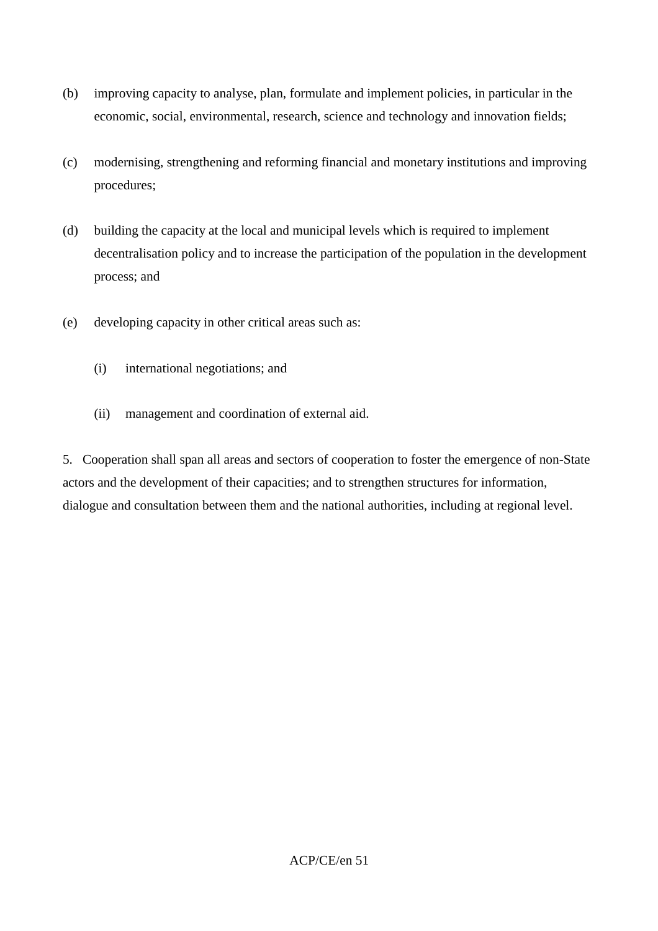- (b) improving capacity to analyse, plan, formulate and implement policies, in particular in the economic, social, environmental, research, science and technology and innovation fields;
- (c) modernising, strengthening and reforming financial and monetary institutions and improving procedures;
- (d) building the capacity at the local and municipal levels which is required to implement decentralisation policy and to increase the participation of the population in the development process; and
- (e) developing capacity in other critical areas such as:
	- (i) international negotiations; and
	- (ii) management and coordination of external aid.

5. Cooperation shall span all areas and sectors of cooperation to foster the emergence of non-State actors and the development of their capacities; and to strengthen structures for information, dialogue and consultation between them and the national authorities, including at regional level.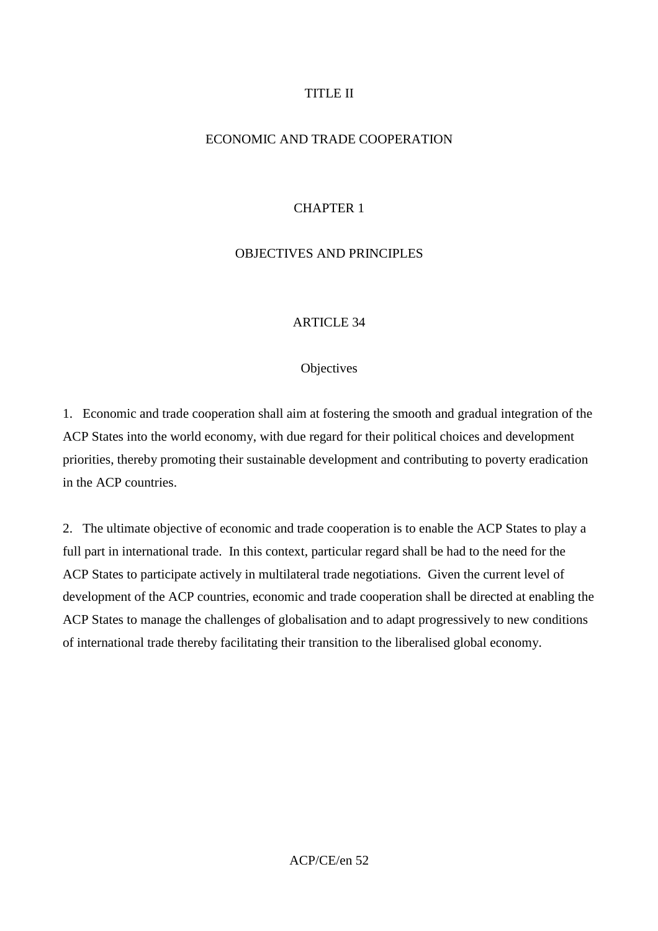## TITLE II

## ECONOMIC AND TRADE COOPERATION

## CHAPTER 1

## OBJECTIVES AND PRINCIPLES

#### **ARTICLE 34**

#### **Objectives**

1. Economic and trade cooperation shall aim at fostering the smooth and gradual integration of the ACP States into the world economy, with due regard for their political choices and development priorities, thereby promoting their sustainable development and contributing to poverty eradication in the ACP countries.

2. The ultimate objective of economic and trade cooperation is to enable the ACP States to play a full part in international trade. In this context, particular regard shall be had to the need for the ACP States to participate actively in multilateral trade negotiations. Given the current level of development of the ACP countries, economic and trade cooperation shall be directed at enabling the ACP States to manage the challenges of globalisation and to adapt progressively to new conditions of international trade thereby facilitating their transition to the liberalised global economy.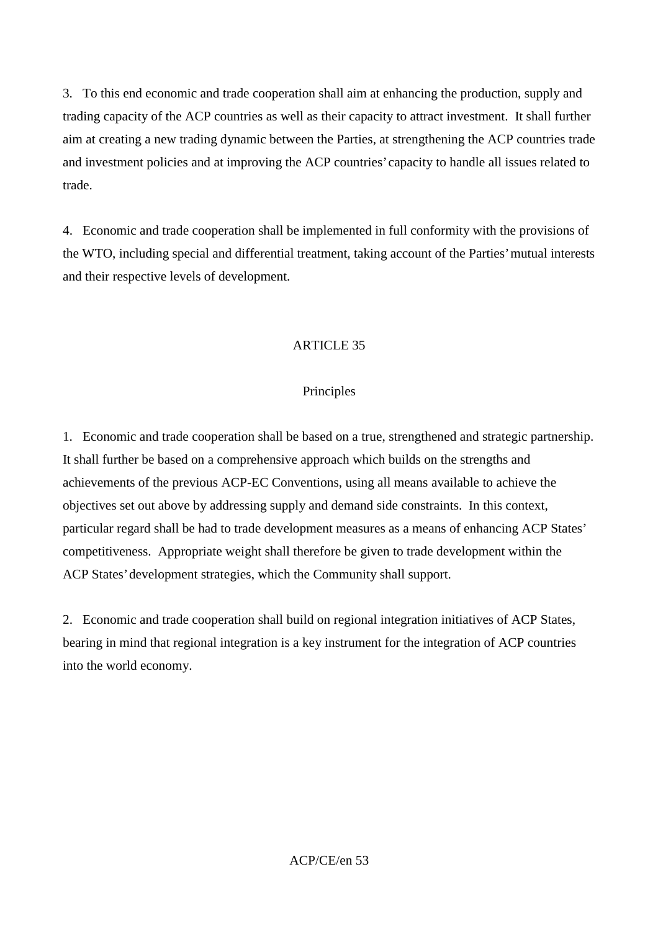3. To this end economic and trade cooperation shall aim at enhancing the production, supply and trading capacity of the ACP countries as well as their capacity to attract investment. It shall further aim at creating a new trading dynamic between the Parties, at strengthening the ACP countries trade and investment policies and at improving the ACP countries' capacity to handle all issues related to trade.

4. Economic and trade cooperation shall be implemented in full conformity with the provisions of the WTO, including special and differential treatment, taking account of the Parties' mutual interests and their respective levels of development.

## ARTICLE 35

### Principles

1. Economic and trade cooperation shall be based on a true, strengthened and strategic partnership. It shall further be based on a comprehensive approach which builds on the strengths and achievements of the previous ACP-EC Conventions, using all means available to achieve the objectives set out above by addressing supply and demand side constraints. In this context, particular regard shall be had to trade development measures as a means of enhancing ACP States' competitiveness. Appropriate weight shall therefore be given to trade development within the ACP States' development strategies, which the Community shall support.

2. Economic and trade cooperation shall build on regional integration initiatives of ACP States, bearing in mind that regional integration is a key instrument for the integration of ACP countries into the world economy.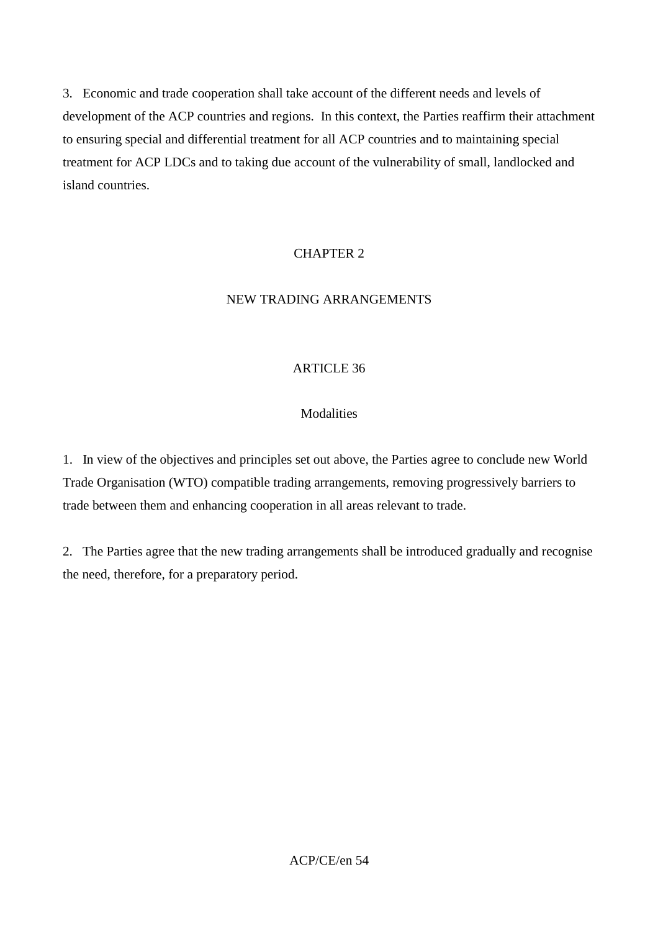3. Economic and trade cooperation shall take account of the different needs and levels of development of the ACP countries and regions. In this context, the Parties reaffirm their attachment to ensuring special and differential treatment for all ACP countries and to maintaining special treatment for ACP LDCs and to taking due account of the vulnerability of small, landlocked and island countries.

# CHAPTER 2

# NEW TRADING ARRANGEMENTS

# ARTICLE 36

# Modalities

1. In view of the objectives and principles set out above, the Parties agree to conclude new World Trade Organisation (WTO) compatible trading arrangements, removing progressively barriers to trade between them and enhancing cooperation in all areas relevant to trade.

2. The Parties agree that the new trading arrangements shall be introduced gradually and recognise the need, therefore, for a preparatory period.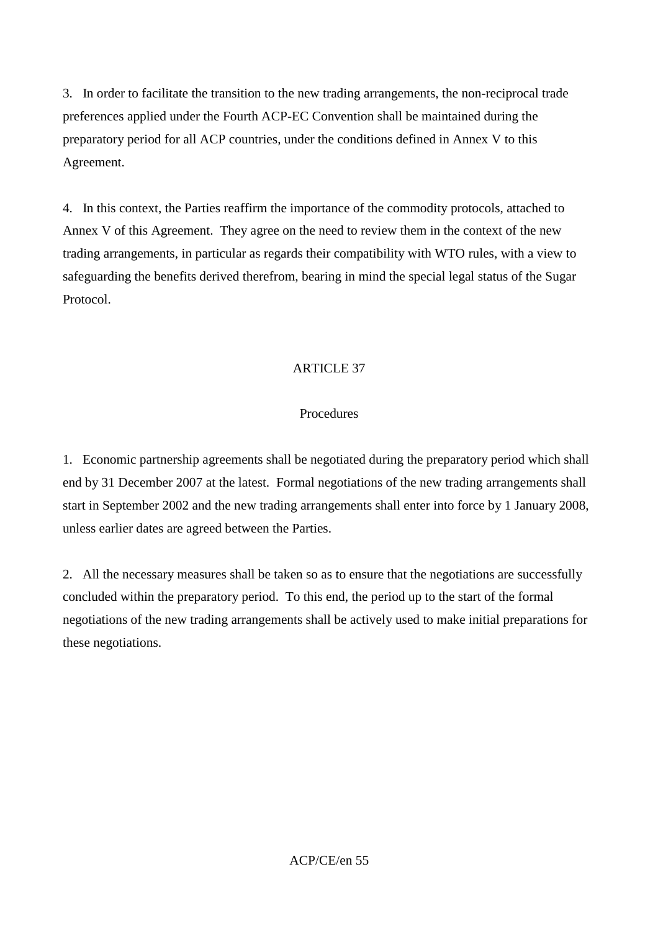3. In order to facilitate the transition to the new trading arrangements, the non-reciprocal trade preferences applied under the Fourth ACP-EC Convention shall be maintained during the preparatory period for all ACP countries, under the conditions defined in Annex V to this Agreement.

4. In this context, the Parties reaffirm the importance of the commodity protocols, attached to Annex V of this Agreement. They agree on the need to review them in the context of the new trading arrangements, in particular as regards their compatibility with WTO rules, with a view to safeguarding the benefits derived therefrom, bearing in mind the special legal status of the Sugar Protocol.

# ARTICLE 37

#### Procedures

1. Economic partnership agreements shall be negotiated during the preparatory period which shall end by 31 December 2007 at the latest. Formal negotiations of the new trading arrangements shall start in September 2002 and the new trading arrangements shall enter into force by 1 January 2008, unless earlier dates are agreed between the Parties.

2. All the necessary measures shall be taken so as to ensure that the negotiations are successfully concluded within the preparatory period. To this end, the period up to the start of the formal negotiations of the new trading arrangements shall be actively used to make initial preparations for these negotiations.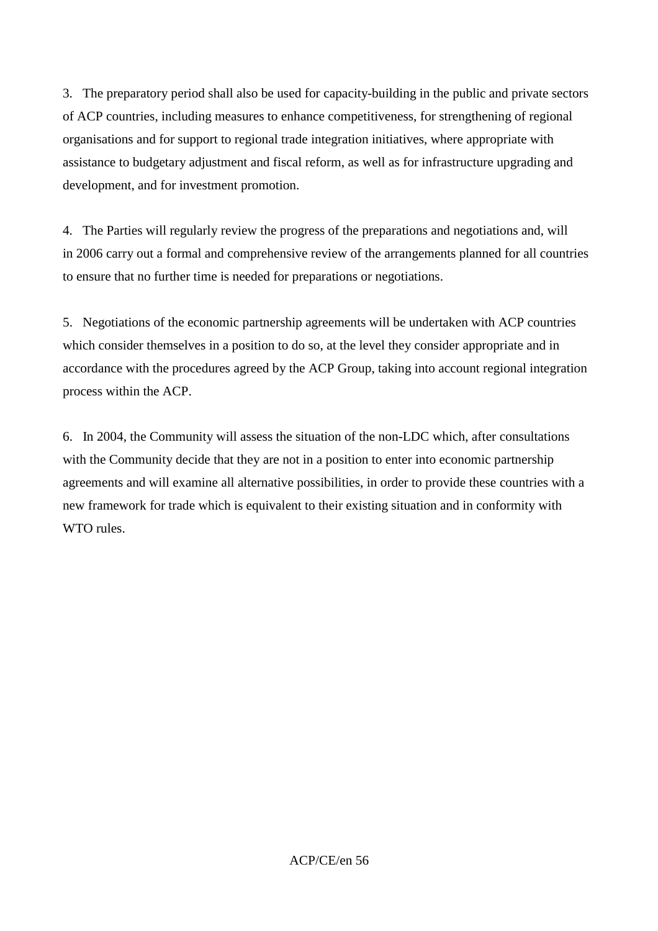3. The preparatory period shall also be used for capacity-building in the public and private sectors of ACP countries, including measures to enhance competitiveness, for strengthening of regional organisations and for support to regional trade integration initiatives, where appropriate with assistance to budgetary adjustment and fiscal reform, as well as for infrastructure upgrading and development, and for investment promotion.

4. The Parties will regularly review the progress of the preparations and negotiations and, will in 2006 carry out a formal and comprehensive review of the arrangements planned for all countries to ensure that no further time is needed for preparations or negotiations.

5. Negotiations of the economic partnership agreements will be undertaken with ACP countries which consider themselves in a position to do so, at the level they consider appropriate and in accordance with the procedures agreed by the ACP Group, taking into account regional integration process within the ACP.

6. In 2004, the Community will assess the situation of the non-LDC which, after consultations with the Community decide that they are not in a position to enter into economic partnership agreements and will examine all alternative possibilities, in order to provide these countries with a new framework for trade which is equivalent to their existing situation and in conformity with WTO rules.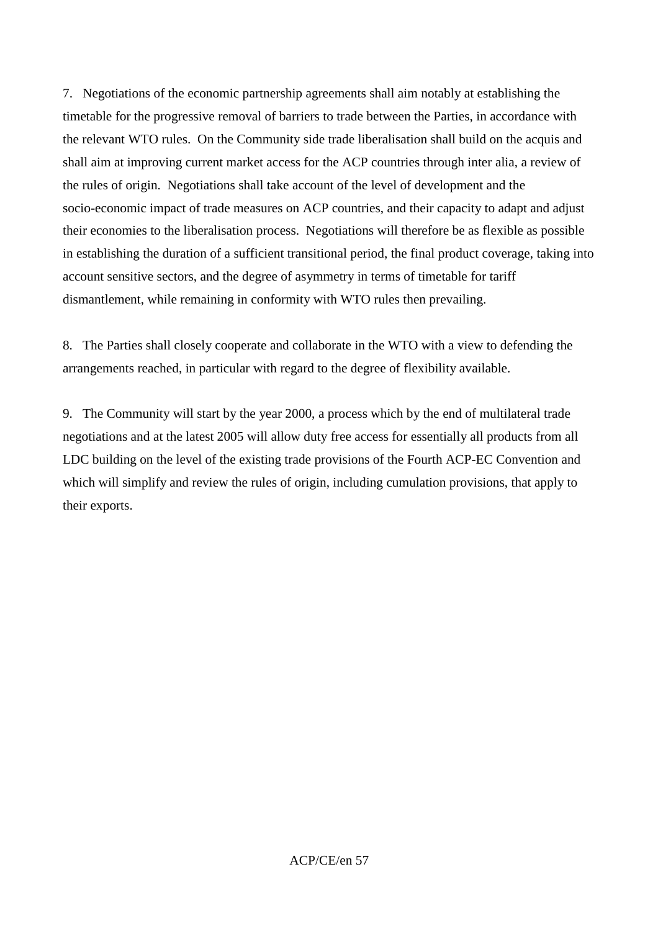7. Negotiations of the economic partnership agreements shall aim notably at establishing the timetable for the progressive removal of barriers to trade between the Parties, in accordance with the relevant WTO rules. On the Community side trade liberalisation shall build on the acquis and shall aim at improving current market access for the ACP countries through inter alia, a review of the rules of origin. Negotiations shall take account of the level of development and the socio-economic impact of trade measures on ACP countries, and their capacity to adapt and adjust their economies to the liberalisation process. Negotiations will therefore be as flexible as possible in establishing the duration of a sufficient transitional period, the final product coverage, taking into account sensitive sectors, and the degree of asymmetry in terms of timetable for tariff dismantlement, while remaining in conformity with WTO rules then prevailing.

8. The Parties shall closely cooperate and collaborate in the WTO with a view to defending the arrangements reached, in particular with regard to the degree of flexibility available.

9. The Community will start by the year 2000, a process which by the end of multilateral trade negotiations and at the latest 2005 will allow duty free access for essentially all products from all LDC building on the level of the existing trade provisions of the Fourth ACP-EC Convention and which will simplify and review the rules of origin, including cumulation provisions, that apply to their exports.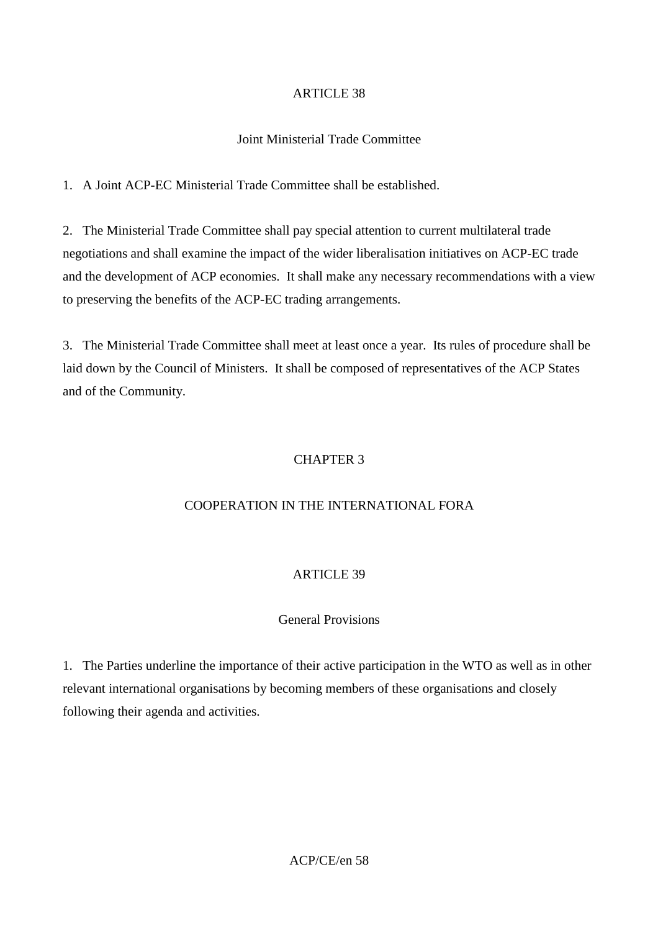## Joint Ministerial Trade Committee

1. A Joint ACP-EC Ministerial Trade Committee shall be established.

2. The Ministerial Trade Committee shall pay special attention to current multilateral trade negotiations and shall examine the impact of the wider liberalisation initiatives on ACP-EC trade and the development of ACP economies. It shall make any necessary recommendations with a view to preserving the benefits of the ACP-EC trading arrangements.

3. The Ministerial Trade Committee shall meet at least once a year. Its rules of procedure shall be laid down by the Council of Ministers. It shall be composed of representatives of the ACP States and of the Community.

# CHAPTER 3

# COOPERATION IN THE INTERNATIONAL FORA

# ARTICLE 39

# General Provisions

1. The Parties underline the importance of their active participation in the WTO as well as in other relevant international organisations by becoming members of these organisations and closely following their agenda and activities.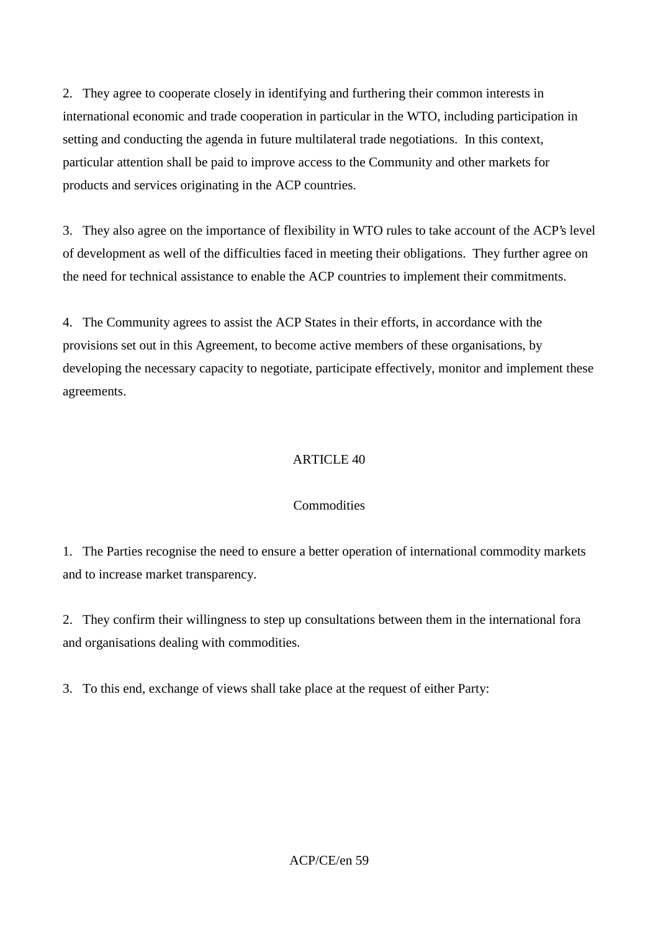2. They agree to cooperate closely in identifying and furthering their common interests in international economic and trade cooperation in particular in the WTO, including participation in setting and conducting the agenda in future multilateral trade negotiations. In this context, particular attention shall be paid to improve access to the Community and other markets for products and services originating in the ACP countries.

3. They also agree on the importance of flexibility in WTO rules to take account of the ACP's level of development as well of the difficulties faced in meeting their obligations. They further agree on the need for technical assistance to enable the ACP countries to implement their commitments.

4. The Community agrees to assist the ACP States in their efforts, in accordance with the provisions set out in this Agreement, to become active members of these organisations, by developing the necessary capacity to negotiate, participate effectively, monitor and implement these agreements.

# ARTICLE 40

# **Commodities**

1. The Parties recognise the need to ensure a better operation of international commodity markets and to increase market transparency.

2. They confirm their willingness to step up consultations between them in the international fora and organisations dealing with commodities.

3. To this end, exchange of views shall take place at the request of either Party: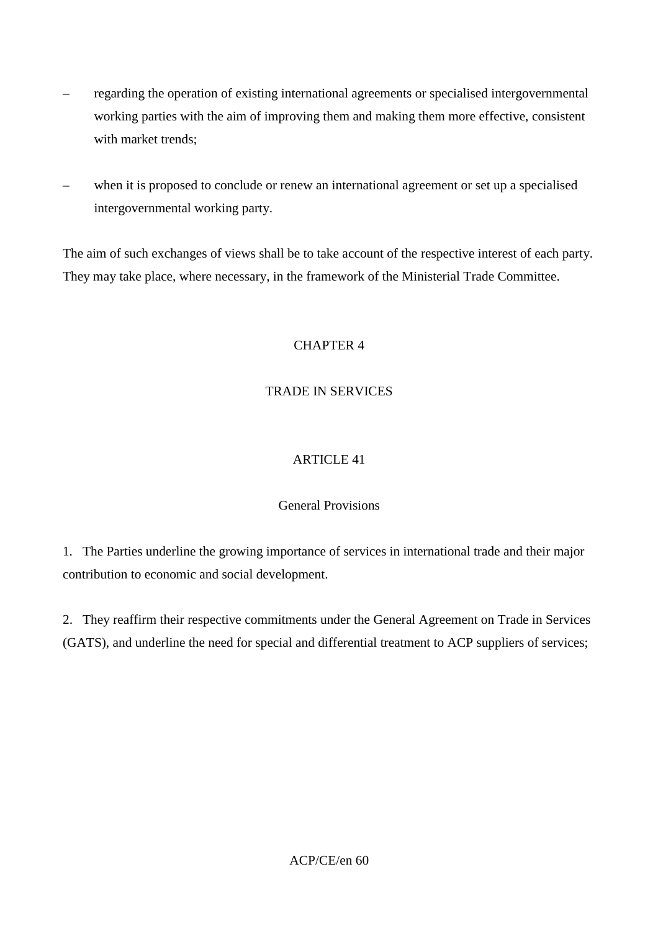- regarding the operation of existing international agreements or specialised intergovernmental working parties with the aim of improving them and making them more effective, consistent with market trends;
- when it is proposed to conclude or renew an international agreement or set up a specialised intergovernmental working party.

The aim of such exchanges of views shall be to take account of the respective interest of each party. They may take place, where necessary, in the framework of the Ministerial Trade Committee.

# CHAPTER 4

# TRADE IN SERVICES

# ARTICLE 41

# General Provisions

1. The Parties underline the growing importance of services in international trade and their major contribution to economic and social development.

2. They reaffirm their respective commitments under the General Agreement on Trade in Services (GATS), and underline the need for special and differential treatment to ACP suppliers of services;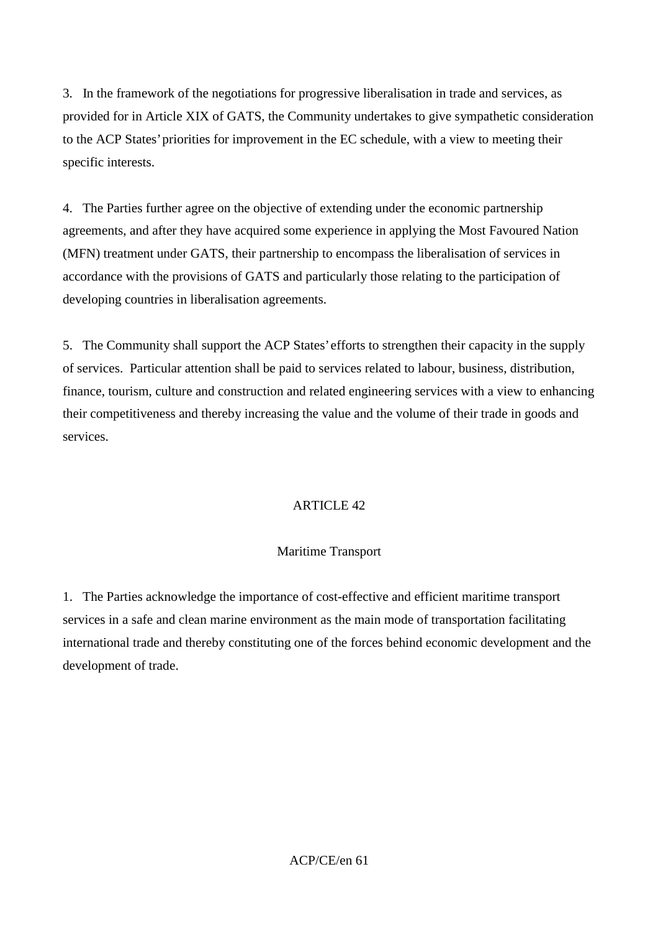3. In the framework of the negotiations for progressive liberalisation in trade and services, as provided for in Article XIX of GATS, the Community undertakes to give sympathetic consideration to the ACP States' priorities for improvement in the EC schedule, with a view to meeting their specific interests.

4. The Parties further agree on the objective of extending under the economic partnership agreements, and after they have acquired some experience in applying the Most Favoured Nation (MFN) treatment under GATS, their partnership to encompass the liberalisation of services in accordance with the provisions of GATS and particularly those relating to the participation of developing countries in liberalisation agreements.

5. The Community shall support the ACP States' efforts to strengthen their capacity in the supply of services. Particular attention shall be paid to services related to labour, business, distribution, finance, tourism, culture and construction and related engineering services with a view to enhancing their competitiveness and thereby increasing the value and the volume of their trade in goods and services.

# ARTICLE 42

# Maritime Transport

1. The Parties acknowledge the importance of cost-effective and efficient maritime transport services in a safe and clean marine environment as the main mode of transportation facilitating international trade and thereby constituting one of the forces behind economic development and the development of trade.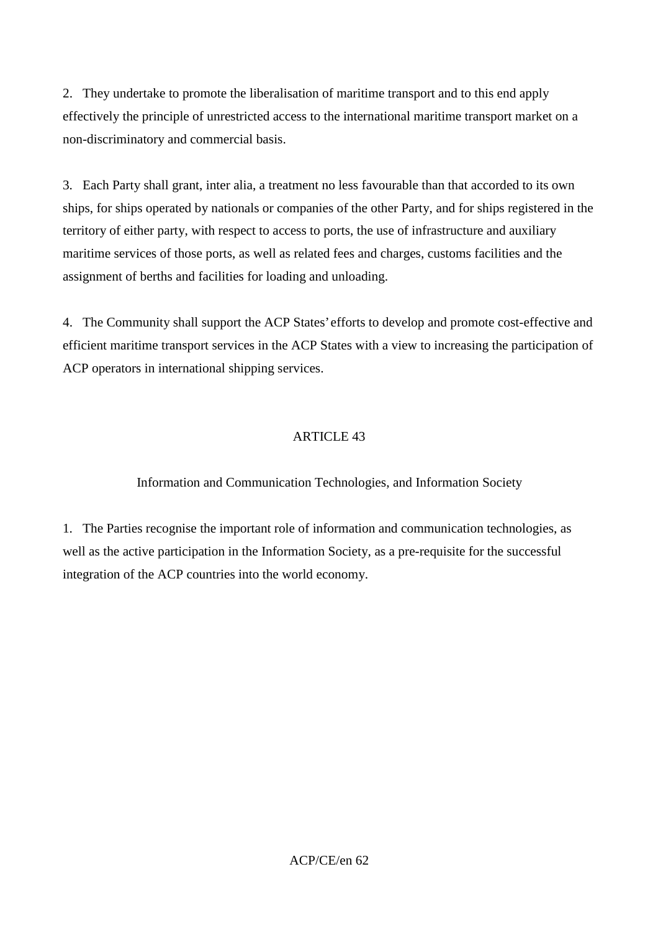2. They undertake to promote the liberalisation of maritime transport and to this end apply effectively the principle of unrestricted access to the international maritime transport market on a non-discriminatory and commercial basis.

3. Each Party shall grant, inter alia, a treatment no less favourable than that accorded to its own ships, for ships operated by nationals or companies of the other Party, and for ships registered in the territory of either party, with respect to access to ports, the use of infrastructure and auxiliary maritime services of those ports, as well as related fees and charges, customs facilities and the assignment of berths and facilities for loading and unloading.

4. The Community shall support the ACP States' efforts to develop and promote cost-effective and efficient maritime transport services in the ACP States with a view to increasing the participation of ACP operators in international shipping services.

# ARTICLE 43

# Information and Communication Technologies, and Information Society

1. The Parties recognise the important role of information and communication technologies, as well as the active participation in the Information Society, as a pre-requisite for the successful integration of the ACP countries into the world economy.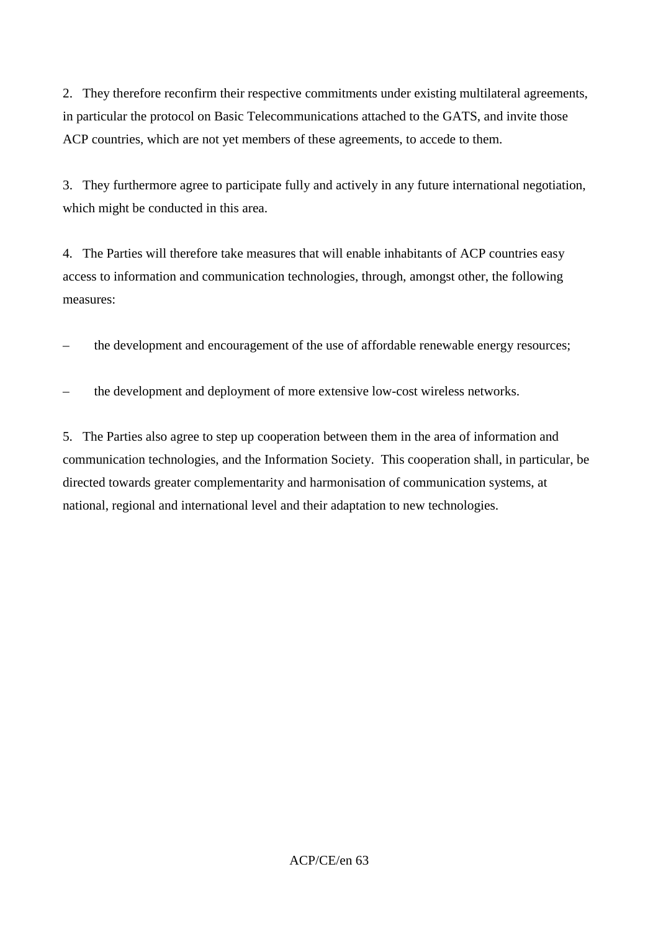2. They therefore reconfirm their respective commitments under existing multilateral agreements, in particular the protocol on Basic Telecommunications attached to the GATS, and invite those ACP countries, which are not yet members of these agreements, to accede to them.

3. They furthermore agree to participate fully and actively in any future international negotiation, which might be conducted in this area.

4. The Parties will therefore take measures that will enable inhabitants of ACP countries easy access to information and communication technologies, through, amongst other, the following measures:

– the development and encouragement of the use of affordable renewable energy resources;

– the development and deployment of more extensive low-cost wireless networks.

5. The Parties also agree to step up cooperation between them in the area of information and communication technologies, and the Information Society. This cooperation shall, in particular, be directed towards greater complementarity and harmonisation of communication systems, at national, regional and international level and their adaptation to new technologies.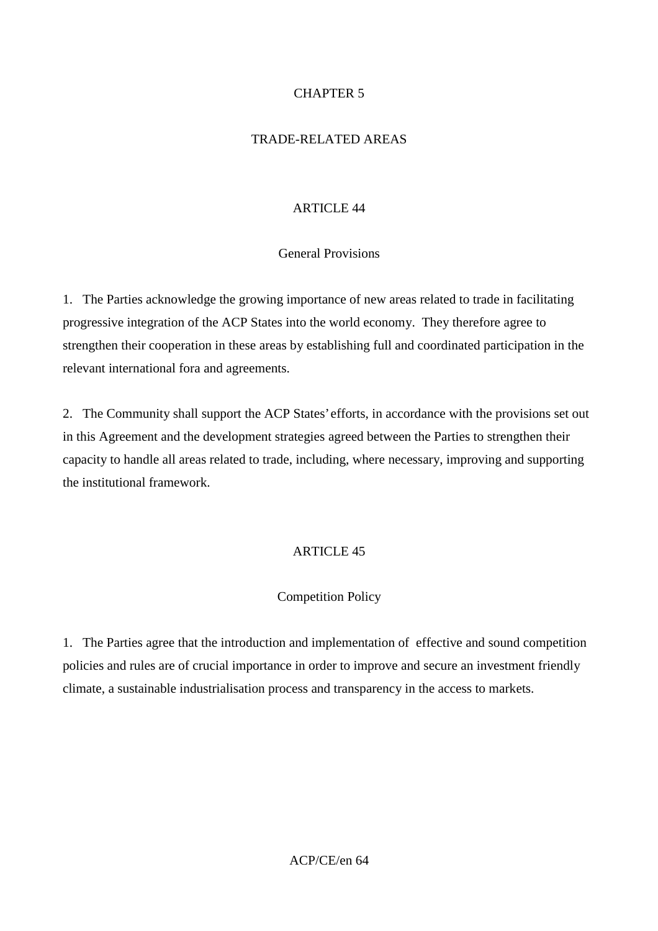## CHAPTER 5

### TRADE-RELATED AREAS

#### ARTICLE 44

### General Provisions

1. The Parties acknowledge the growing importance of new areas related to trade in facilitating progressive integration of the ACP States into the world economy. They therefore agree to strengthen their cooperation in these areas by establishing full and coordinated participation in the relevant international fora and agreements.

2. The Community shall support the ACP States' efforts, in accordance with the provisions set out in this Agreement and the development strategies agreed between the Parties to strengthen their capacity to handle all areas related to trade, including, where necessary, improving and supporting the institutional framework.

### ARTICLE 45

### Competition Policy

1. The Parties agree that the introduction and implementation of effective and sound competition policies and rules are of crucial importance in order to improve and secure an investment friendly climate, a sustainable industrialisation process and transparency in the access to markets.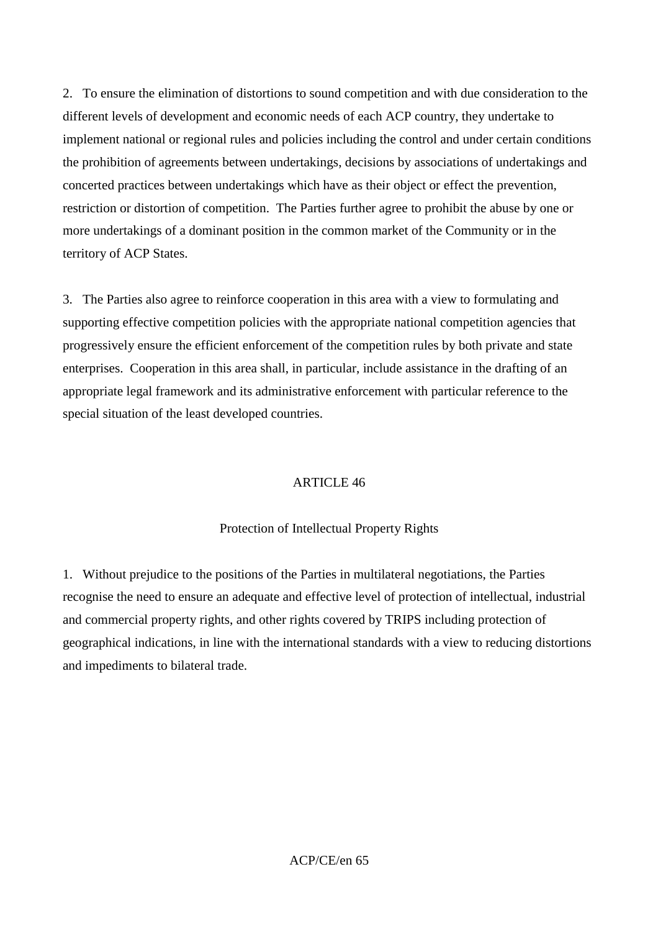2. To ensure the elimination of distortions to sound competition and with due consideration to the different levels of development and economic needs of each ACP country, they undertake to implement national or regional rules and policies including the control and under certain conditions the prohibition of agreements between undertakings, decisions by associations of undertakings and concerted practices between undertakings which have as their object or effect the prevention, restriction or distortion of competition. The Parties further agree to prohibit the abuse by one or more undertakings of a dominant position in the common market of the Community or in the territory of ACP States.

3. The Parties also agree to reinforce cooperation in this area with a view to formulating and supporting effective competition policies with the appropriate national competition agencies that progressively ensure the efficient enforcement of the competition rules by both private and state enterprises. Cooperation in this area shall, in particular, include assistance in the drafting of an appropriate legal framework and its administrative enforcement with particular reference to the special situation of the least developed countries.

# ARTICLE 46

### Protection of Intellectual Property Rights

1. Without prejudice to the positions of the Parties in multilateral negotiations, the Parties recognise the need to ensure an adequate and effective level of protection of intellectual, industrial and commercial property rights, and other rights covered by TRIPS including protection of geographical indications, in line with the international standards with a view to reducing distortions and impediments to bilateral trade.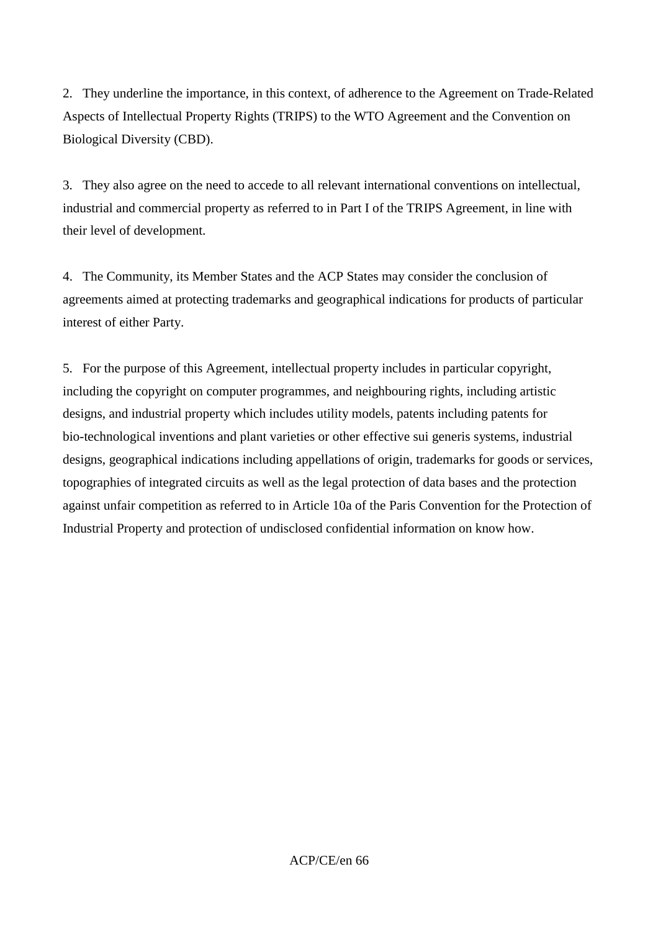2. They underline the importance, in this context, of adherence to the Agreement on Trade-Related Aspects of Intellectual Property Rights (TRIPS) to the WTO Agreement and the Convention on Biological Diversity (CBD).

3. They also agree on the need to accede to all relevant international conventions on intellectual, industrial and commercial property as referred to in Part I of the TRIPS Agreement, in line with their level of development.

4. The Community, its Member States and the ACP States may consider the conclusion of agreements aimed at protecting trademarks and geographical indications for products of particular interest of either Party.

5. For the purpose of this Agreement, intellectual property includes in particular copyright, including the copyright on computer programmes, and neighbouring rights, including artistic designs, and industrial property which includes utility models, patents including patents for bio-technological inventions and plant varieties or other effective sui generis systems, industrial designs, geographical indications including appellations of origin, trademarks for goods or services, topographies of integrated circuits as well as the legal protection of data bases and the protection against unfair competition as referred to in Article 10a of the Paris Convention for the Protection of Industrial Property and protection of undisclosed confidential information on know how.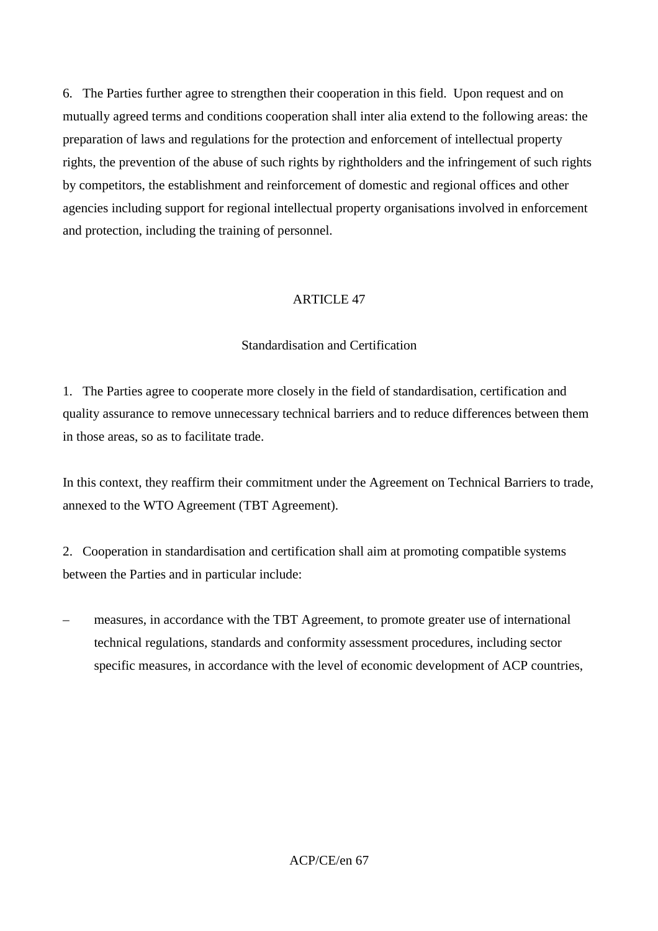6. The Parties further agree to strengthen their cooperation in this field. Upon request and on mutually agreed terms and conditions cooperation shall inter alia extend to the following areas: the preparation of laws and regulations for the protection and enforcement of intellectual property rights, the prevention of the abuse of such rights by rightholders and the infringement of such rights by competitors, the establishment and reinforcement of domestic and regional offices and other agencies including support for regional intellectual property organisations involved in enforcement and protection, including the training of personnel.

## ARTICLE 47

## Standardisation and Certification

1. The Parties agree to cooperate more closely in the field of standardisation, certification and quality assurance to remove unnecessary technical barriers and to reduce differences between them in those areas, so as to facilitate trade.

In this context, they reaffirm their commitment under the Agreement on Technical Barriers to trade, annexed to the WTO Agreement (TBT Agreement).

2. Cooperation in standardisation and certification shall aim at promoting compatible systems between the Parties and in particular include:

– measures, in accordance with the TBT Agreement, to promote greater use of international technical regulations, standards and conformity assessment procedures, including sector specific measures, in accordance with the level of economic development of ACP countries,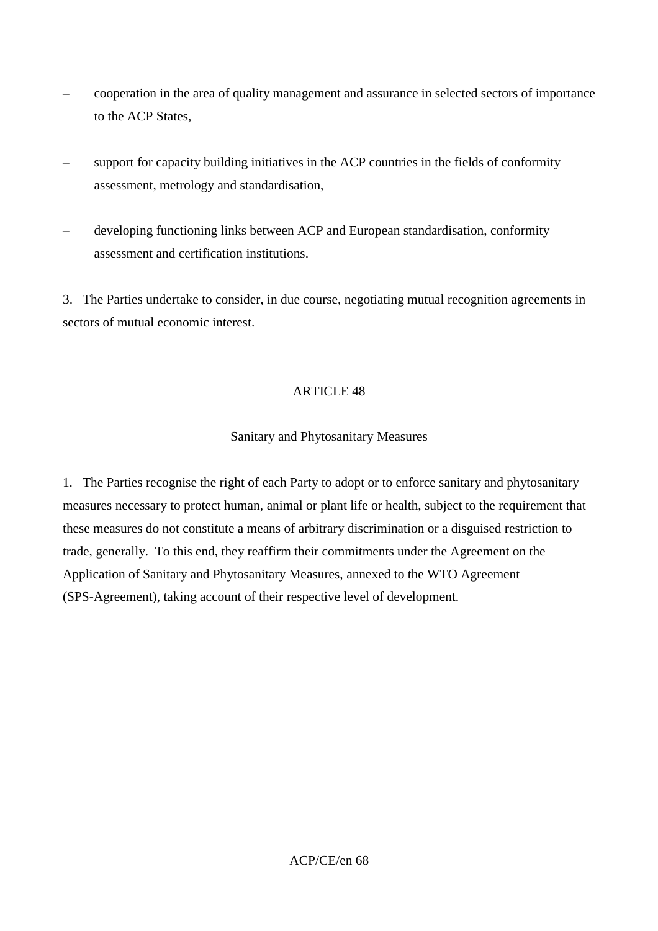- cooperation in the area of quality management and assurance in selected sectors of importance to the ACP States,
- support for capacity building initiatives in the ACP countries in the fields of conformity assessment, metrology and standardisation,
- developing functioning links between ACP and European standardisation, conformity assessment and certification institutions.

3. The Parties undertake to consider, in due course, negotiating mutual recognition agreements in sectors of mutual economic interest.

## ARTICLE 48

## Sanitary and Phytosanitary Measures

1. The Parties recognise the right of each Party to adopt or to enforce sanitary and phytosanitary measures necessary to protect human, animal or plant life or health, subject to the requirement that these measures do not constitute a means of arbitrary discrimination or a disguised restriction to trade, generally. To this end, they reaffirm their commitments under the Agreement on the Application of Sanitary and Phytosanitary Measures, annexed to the WTO Agreement (SPS-Agreement), taking account of their respective level of development.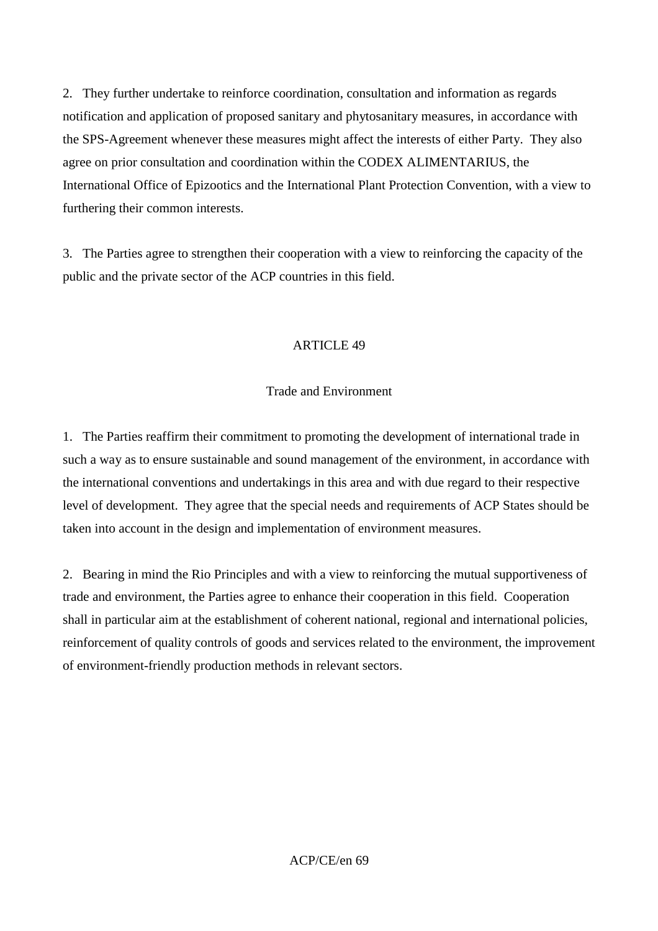2. They further undertake to reinforce coordination, consultation and information as regards notification and application of proposed sanitary and phytosanitary measures, in accordance with the SPS-Agreement whenever these measures might affect the interests of either Party. They also agree on prior consultation and coordination within the CODEX ALIMENTARIUS, the International Office of Epizootics and the International Plant Protection Convention, with a view to furthering their common interests.

3. The Parties agree to strengthen their cooperation with a view to reinforcing the capacity of the public and the private sector of the ACP countries in this field.

## **ARTICLE 49**

## Trade and Environment

1. The Parties reaffirm their commitment to promoting the development of international trade in such a way as to ensure sustainable and sound management of the environment, in accordance with the international conventions and undertakings in this area and with due regard to their respective level of development. They agree that the special needs and requirements of ACP States should be taken into account in the design and implementation of environment measures.

2. Bearing in mind the Rio Principles and with a view to reinforcing the mutual supportiveness of trade and environment, the Parties agree to enhance their cooperation in this field. Cooperation shall in particular aim at the establishment of coherent national, regional and international policies, reinforcement of quality controls of goods and services related to the environment, the improvement of environment-friendly production methods in relevant sectors.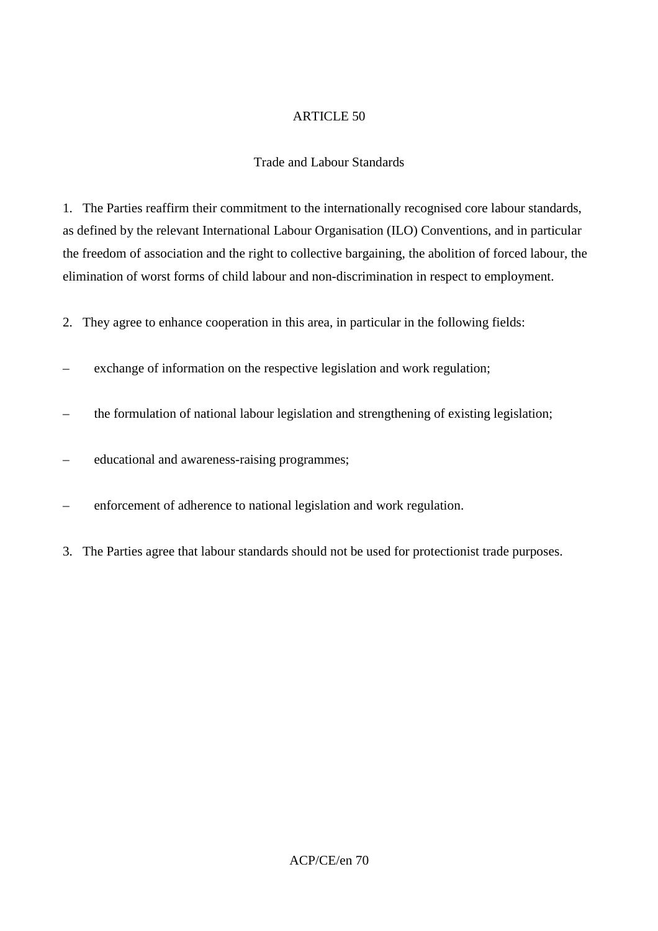## Trade and Labour Standards

1. The Parties reaffirm their commitment to the internationally recognised core labour standards, as defined by the relevant International Labour Organisation (ILO) Conventions, and in particular the freedom of association and the right to collective bargaining, the abolition of forced labour, the elimination of worst forms of child labour and non-discrimination in respect to employment.

2. They agree to enhance cooperation in this area, in particular in the following fields:

- exchange of information on the respective legislation and work regulation;
- the formulation of national labour legislation and strengthening of existing legislation;
- educational and awareness-raising programmes;
- enforcement of adherence to national legislation and work regulation.
- 3. The Parties agree that labour standards should not be used for protectionist trade purposes.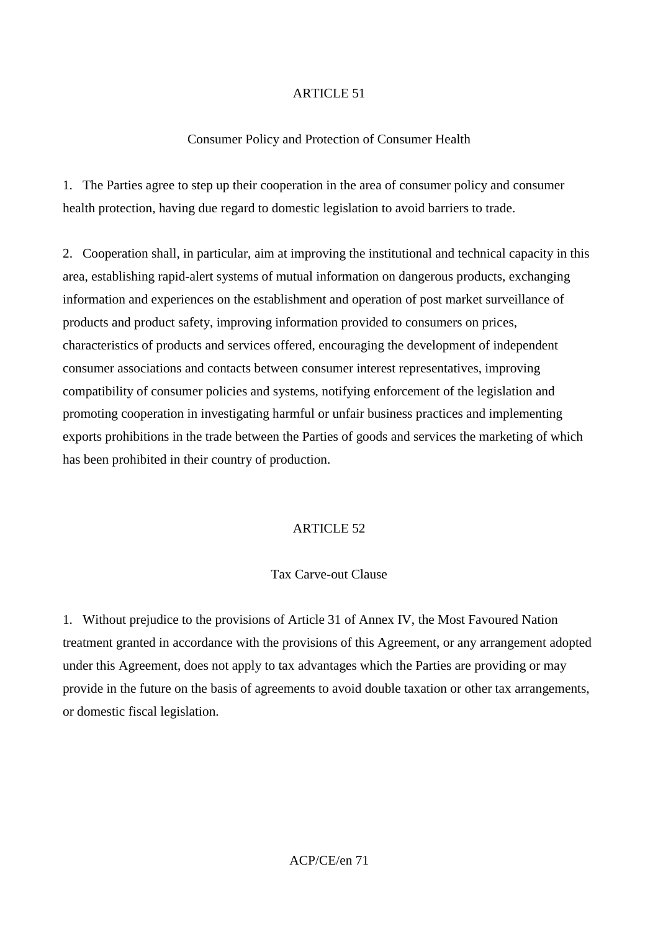#### Consumer Policy and Protection of Consumer Health

1. The Parties agree to step up their cooperation in the area of consumer policy and consumer health protection, having due regard to domestic legislation to avoid barriers to trade.

2. Cooperation shall, in particular, aim at improving the institutional and technical capacity in this area, establishing rapid-alert systems of mutual information on dangerous products, exchanging information and experiences on the establishment and operation of post market surveillance of products and product safety, improving information provided to consumers on prices, characteristics of products and services offered, encouraging the development of independent consumer associations and contacts between consumer interest representatives, improving compatibility of consumer policies and systems, notifying enforcement of the legislation and promoting cooperation in investigating harmful or unfair business practices and implementing exports prohibitions in the trade between the Parties of goods and services the marketing of which has been prohibited in their country of production.

### ARTICLE 52

#### Tax Carve-out Clause

1. Without prejudice to the provisions of Article 31 of Annex IV, the Most Favoured Nation treatment granted in accordance with the provisions of this Agreement, or any arrangement adopted under this Agreement, does not apply to tax advantages which the Parties are providing or may provide in the future on the basis of agreements to avoid double taxation or other tax arrangements, or domestic fiscal legislation.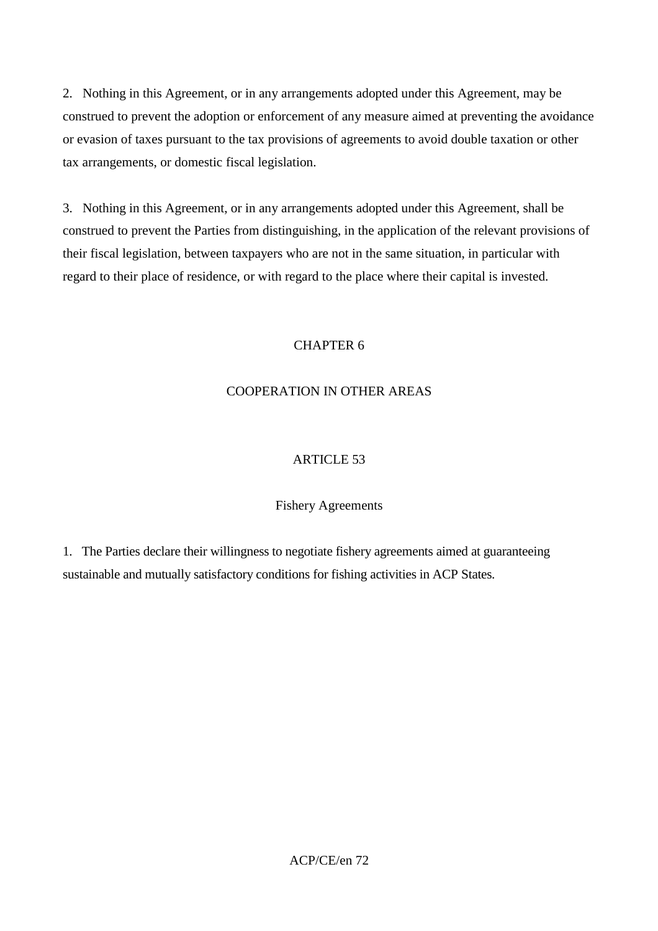2. Nothing in this Agreement, or in any arrangements adopted under this Agreement, may be construed to prevent the adoption or enforcement of any measure aimed at preventing the avoidance or evasion of taxes pursuant to the tax provisions of agreements to avoid double taxation or other tax arrangements, or domestic fiscal legislation.

3. Nothing in this Agreement, or in any arrangements adopted under this Agreement, shall be construed to prevent the Parties from distinguishing, in the application of the relevant provisions of their fiscal legislation, between taxpayers who are not in the same situation, in particular with regard to their place of residence, or with regard to the place where their capital is invested.

# CHAPTER 6

# COOPERATION IN OTHER AREAS

# ARTICLE 53

# Fishery Agreements

1. The Parties declare their willingness to negotiate fishery agreements aimed at guaranteeing sustainable and mutually satisfactory conditions for fishing activities in ACP States.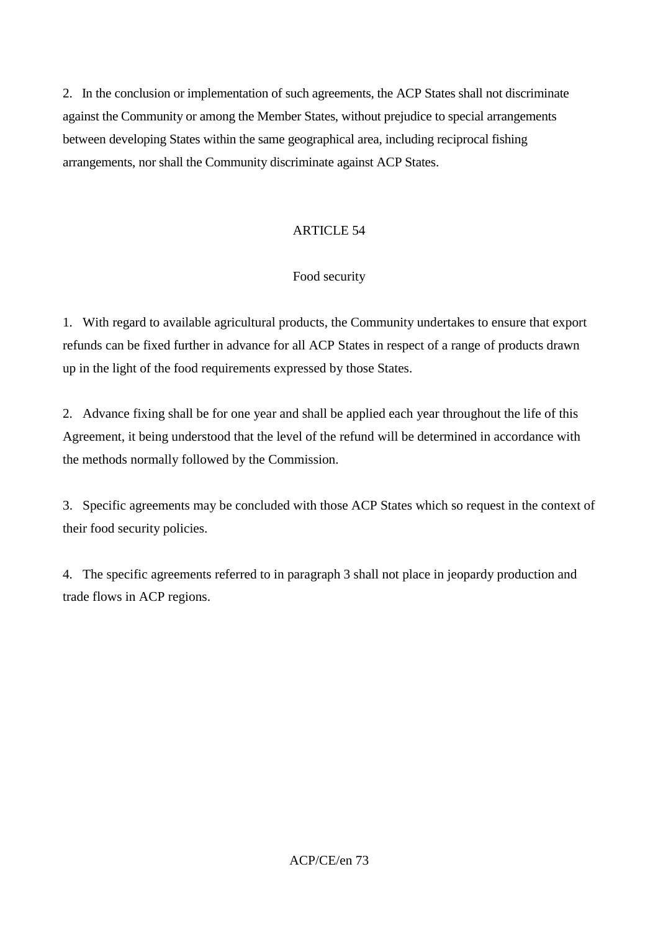2. In the conclusion or implementation of such agreements, the ACP States shall not discriminate against the Community or among the Member States, without prejudice to special arrangements between developing States within the same geographical area, including reciprocal fishing arrangements, nor shall the Community discriminate against ACP States.

## ARTICLE 54

## Food security

1. With regard to available agricultural products, the Community undertakes to ensure that export refunds can be fixed further in advance for all ACP States in respect of a range of products drawn up in the light of the food requirements expressed by those States.

2. Advance fixing shall be for one year and shall be applied each year throughout the life of this Agreement, it being understood that the level of the refund will be determined in accordance with the methods normally followed by the Commission.

3. Specific agreements may be concluded with those ACP States which so request in the context of their food security policies.

4. The specific agreements referred to in paragraph 3 shall not place in jeopardy production and trade flows in ACP regions.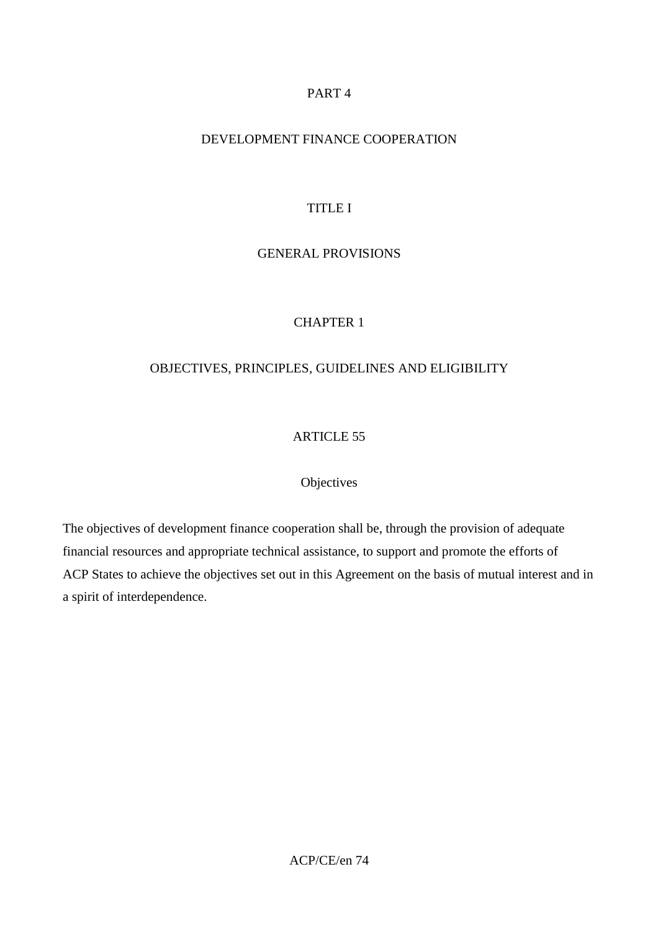## PART 4

## DEVELOPMENT FINANCE COOPERATION

## TITLE I

## GENERAL PROVISIONS

# CHAPTER 1

## OBJECTIVES, PRINCIPLES, GUIDELINES AND ELIGIBILITY

# ARTICLE 55

### **Objectives**

The objectives of development finance cooperation shall be, through the provision of adequate financial resources and appropriate technical assistance, to support and promote the efforts of ACP States to achieve the objectives set out in this Agreement on the basis of mutual interest and in a spirit of interdependence.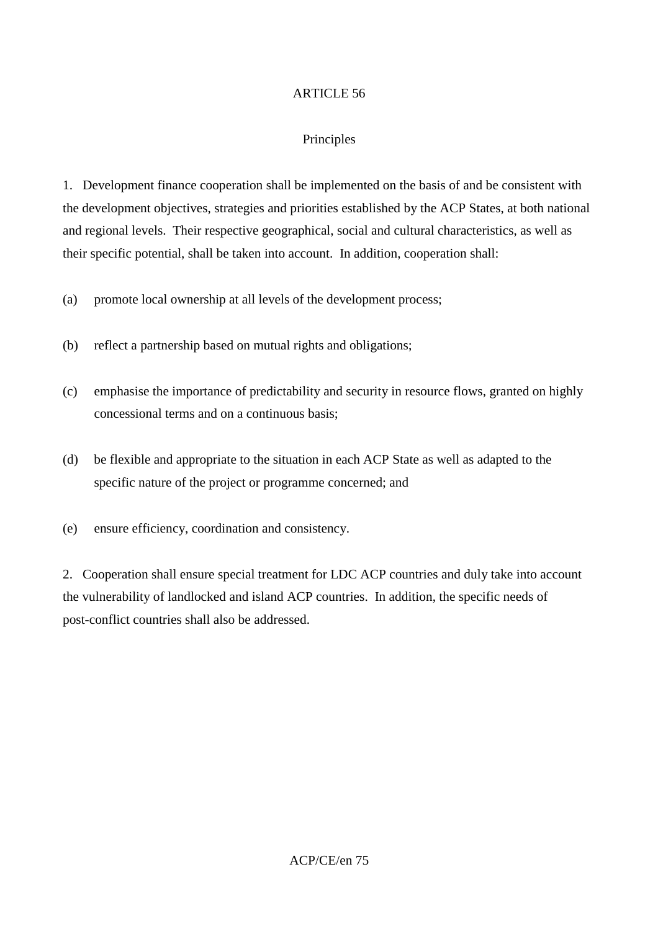## Principles

1. Development finance cooperation shall be implemented on the basis of and be consistent with the development objectives, strategies and priorities established by the ACP States, at both national and regional levels. Their respective geographical, social and cultural characteristics, as well as their specific potential, shall be taken into account. In addition, cooperation shall:

(a) promote local ownership at all levels of the development process;

(b) reflect a partnership based on mutual rights and obligations;

- (c) emphasise the importance of predictability and security in resource flows, granted on highly concessional terms and on a continuous basis;
- (d) be flexible and appropriate to the situation in each ACP State as well as adapted to the specific nature of the project or programme concerned; and
- (e) ensure efficiency, coordination and consistency.

2. Cooperation shall ensure special treatment for LDC ACP countries and duly take into account the vulnerability of landlocked and island ACP countries. In addition, the specific needs of post-conflict countries shall also be addressed.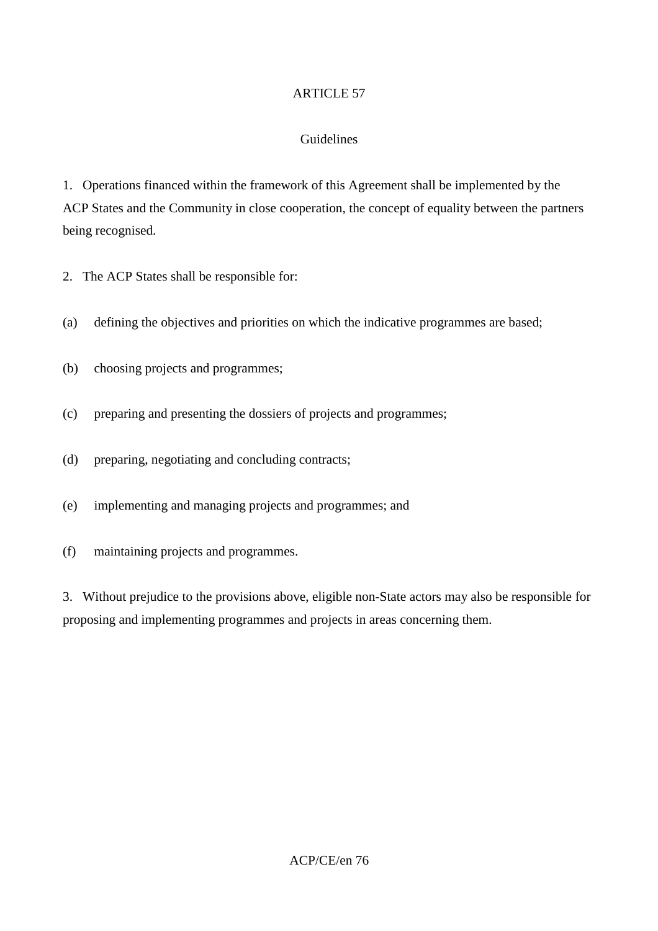## Guidelines

1. Operations financed within the framework of this Agreement shall be implemented by the ACP States and the Community in close cooperation, the concept of equality between the partners being recognised.

- 2. The ACP States shall be responsible for:
- (a) defining the objectives and priorities on which the indicative programmes are based;
- (b) choosing projects and programmes;
- (c) preparing and presenting the dossiers of projects and programmes;
- (d) preparing, negotiating and concluding contracts;
- (e) implementing and managing projects and programmes; and
- (f) maintaining projects and programmes.

3. Without prejudice to the provisions above, eligible non-State actors may also be responsible for proposing and implementing programmes and projects in areas concerning them.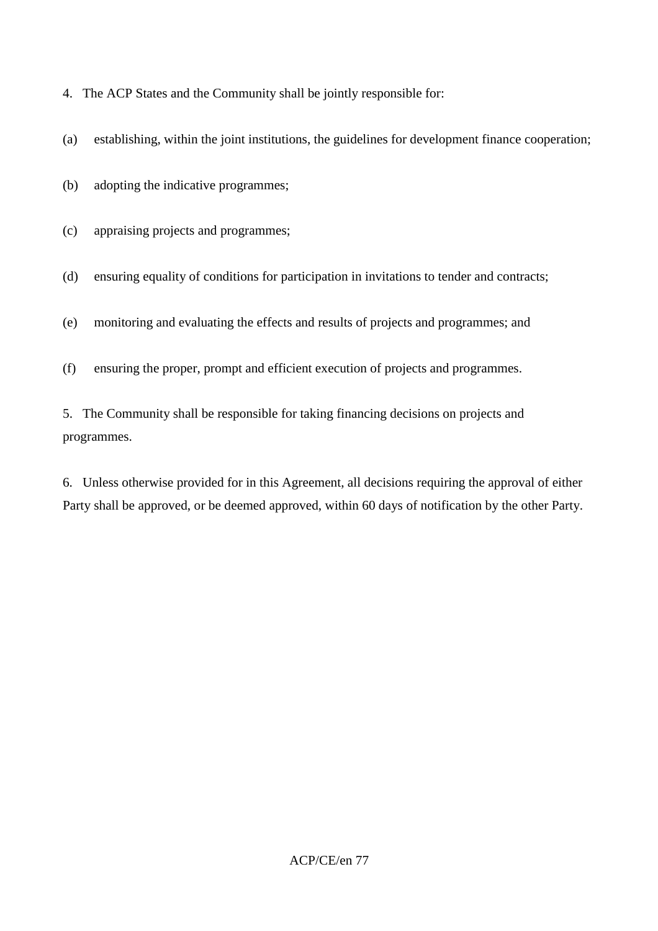4. The ACP States and the Community shall be jointly responsible for:

(a) establishing, within the joint institutions, the guidelines for development finance cooperation;

(b) adopting the indicative programmes;

(c) appraising projects and programmes;

(d) ensuring equality of conditions for participation in invitations to tender and contracts;

(e) monitoring and evaluating the effects and results of projects and programmes; and

(f) ensuring the proper, prompt and efficient execution of projects and programmes.

5. The Community shall be responsible for taking financing decisions on projects and programmes.

6. Unless otherwise provided for in this Agreement, all decisions requiring the approval of either Party shall be approved, or be deemed approved, within 60 days of notification by the other Party.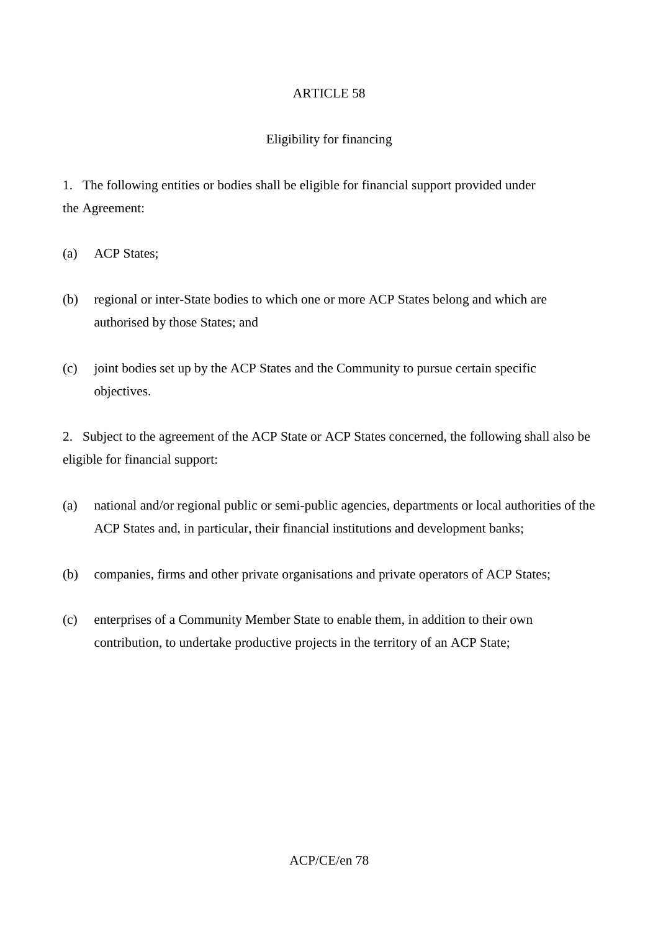## Eligibility for financing

1. The following entities or bodies shall be eligible for financial support provided under the Agreement:

- (a) ACP States;
- (b) regional or inter-State bodies to which one or more ACP States belong and which are authorised by those States; and
- (c) joint bodies set up by the ACP States and the Community to pursue certain specific objectives.

2. Subject to the agreement of the ACP State or ACP States concerned, the following shall also be eligible for financial support:

- (a) national and/or regional public or semi-public agencies, departments or local authorities of the ACP States and, in particular, their financial institutions and development banks;
- (b) companies, firms and other private organisations and private operators of ACP States;
- (c) enterprises of a Community Member State to enable them, in addition to their own contribution, to undertake productive projects in the territory of an ACP State;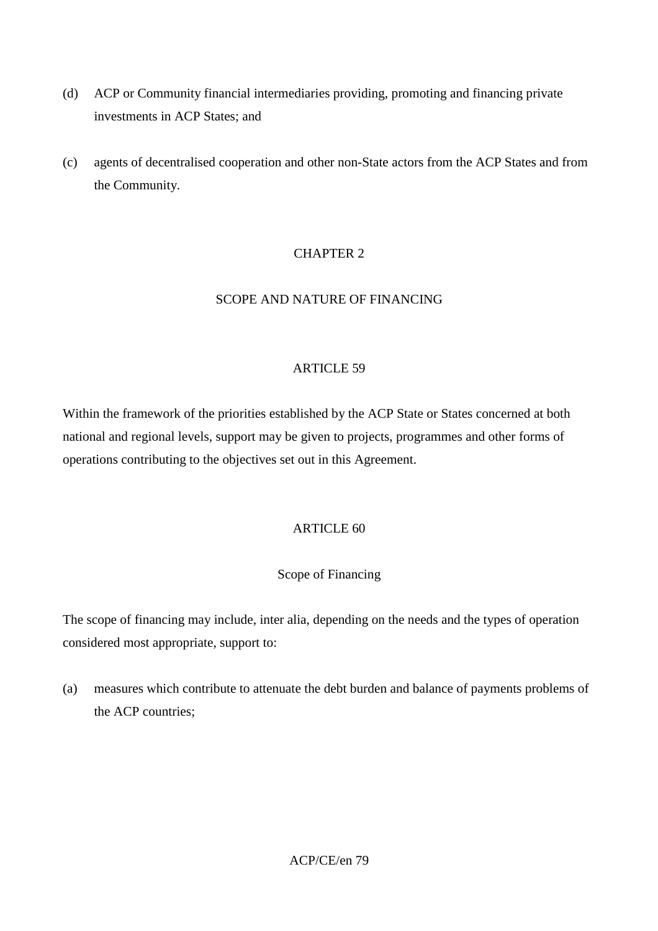- (d) ACP or Community financial intermediaries providing, promoting and financing private investments in ACP States; and
- (c) agents of decentralised cooperation and other non-State actors from the ACP States and from the Community.

# CHAPTER 2

## SCOPE AND NATURE OF FINANCING

### ARTICLE 59

Within the framework of the priorities established by the ACP State or States concerned at both national and regional levels, support may be given to projects, programmes and other forms of operations contributing to the objectives set out in this Agreement.

## ARTICLE 60

### Scope of Financing

The scope of financing may include, inter alia, depending on the needs and the types of operation considered most appropriate, support to:

(a) measures which contribute to attenuate the debt burden and balance of payments problems of the ACP countries;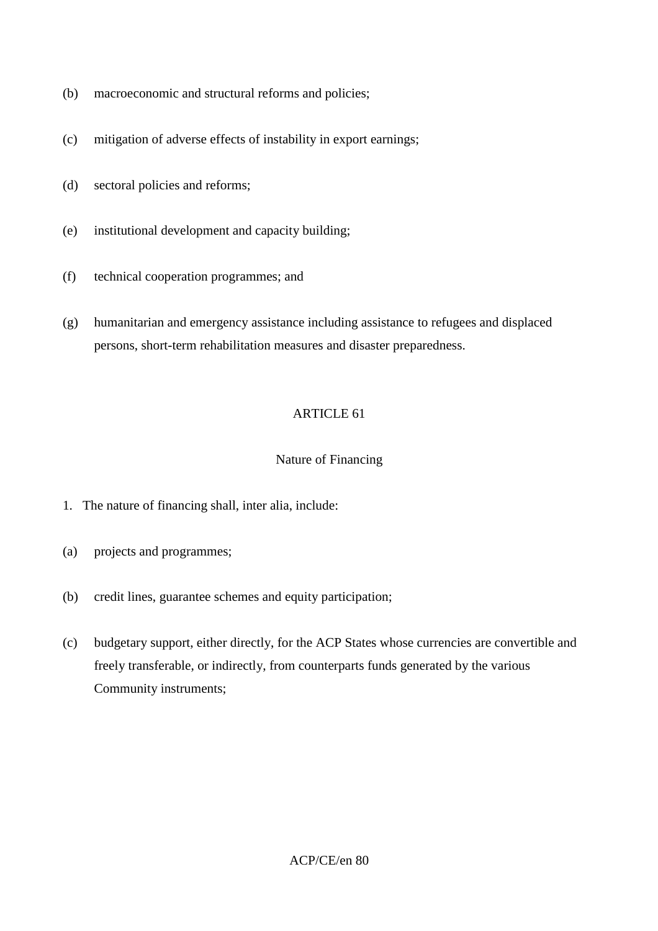- (b) macroeconomic and structural reforms and policies;
- (c) mitigation of adverse effects of instability in export earnings;
- (d) sectoral policies and reforms;
- (e) institutional development and capacity building;
- (f) technical cooperation programmes; and
- (g) humanitarian and emergency assistance including assistance to refugees and displaced persons, short-term rehabilitation measures and disaster preparedness.

## Nature of Financing

- 1. The nature of financing shall, inter alia, include:
- (a) projects and programmes;
- (b) credit lines, guarantee schemes and equity participation;
- (c) budgetary support, either directly, for the ACP States whose currencies are convertible and freely transferable, or indirectly, from counterparts funds generated by the various Community instruments;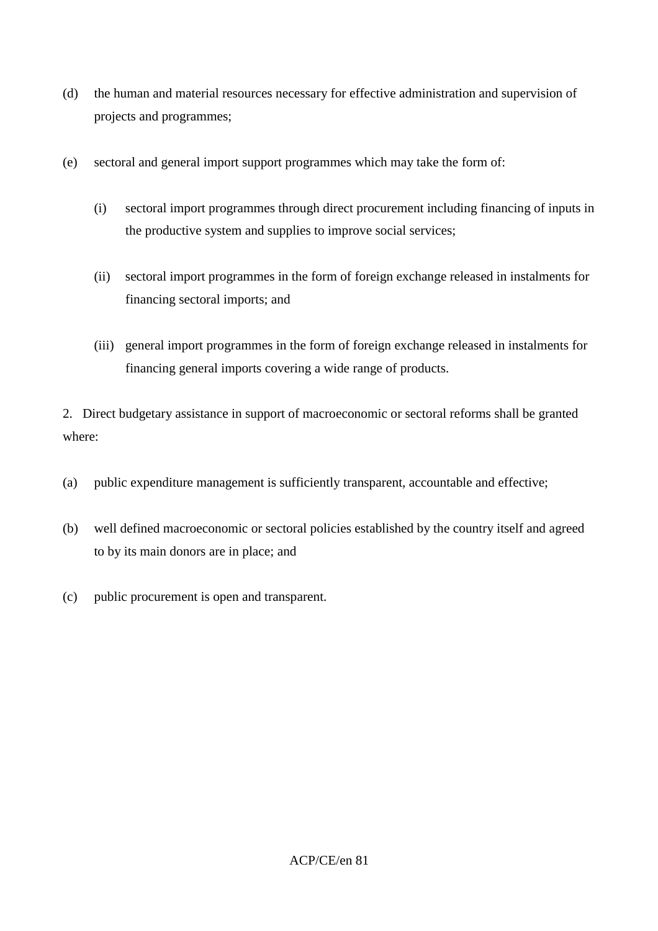- (d) the human and material resources necessary for effective administration and supervision of projects and programmes;
- (e) sectoral and general import support programmes which may take the form of:
	- (i) sectoral import programmes through direct procurement including financing of inputs in the productive system and supplies to improve social services;
	- (ii) sectoral import programmes in the form of foreign exchange released in instalments for financing sectoral imports; and
	- (iii) general import programmes in the form of foreign exchange released in instalments for financing general imports covering a wide range of products.

2. Direct budgetary assistance in support of macroeconomic or sectoral reforms shall be granted where:

- (a) public expenditure management is sufficiently transparent, accountable and effective;
- (b) well defined macroeconomic or sectoral policies established by the country itself and agreed to by its main donors are in place; and
- (c) public procurement is open and transparent.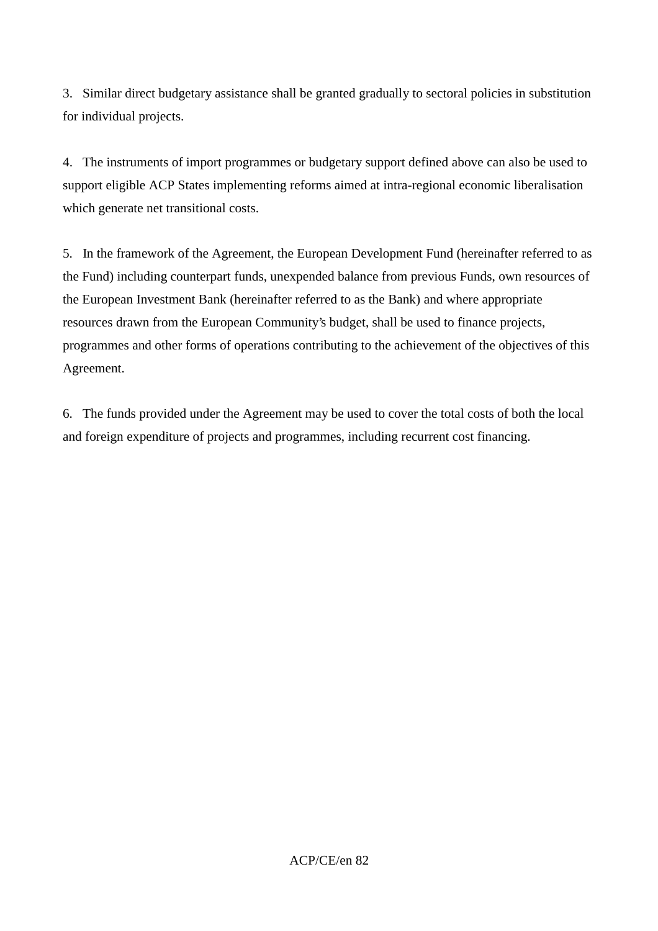3. Similar direct budgetary assistance shall be granted gradually to sectoral policies in substitution for individual projects.

4. The instruments of import programmes or budgetary support defined above can also be used to support eligible ACP States implementing reforms aimed at intra-regional economic liberalisation which generate net transitional costs.

5. In the framework of the Agreement, the European Development Fund (hereinafter referred to as the Fund) including counterpart funds, unexpended balance from previous Funds, own resources of the European Investment Bank (hereinafter referred to as the Bank) and where appropriate resources drawn from the European Community's budget, shall be used to finance projects, programmes and other forms of operations contributing to the achievement of the objectives of this Agreement.

6. The funds provided under the Agreement may be used to cover the total costs of both the local and foreign expenditure of projects and programmes, including recurrent cost financing.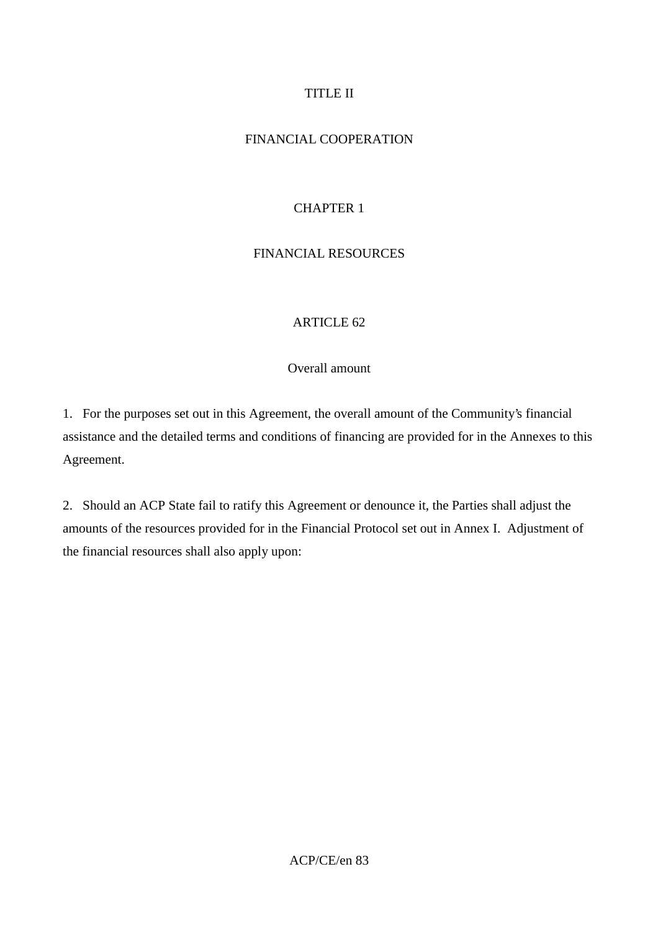## TITLE II

## FINANCIAL COOPERATION

# CHAPTER 1

# FINANCIAL RESOURCES

## ARTICLE 62

## Overall amount

1. For the purposes set out in this Agreement, the overall amount of the Community's financial assistance and the detailed terms and conditions of financing are provided for in the Annexes to this Agreement.

2. Should an ACP State fail to ratify this Agreement or denounce it, the Parties shall adjust the amounts of the resources provided for in the Financial Protocol set out in Annex I. Adjustment of the financial resources shall also apply upon: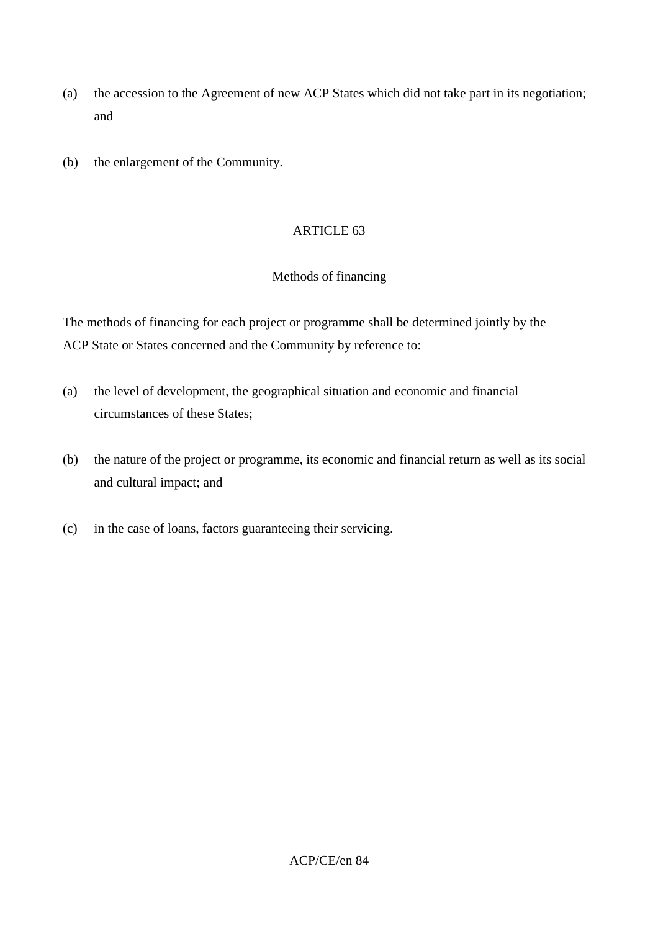- (a) the accession to the Agreement of new ACP States which did not take part in its negotiation; and
- (b) the enlargement of the Community.

## Methods of financing

The methods of financing for each project or programme shall be determined jointly by the ACP State or States concerned and the Community by reference to:

- (a) the level of development, the geographical situation and economic and financial circumstances of these States;
- (b) the nature of the project or programme, its economic and financial return as well as its social and cultural impact; and
- (c) in the case of loans, factors guaranteeing their servicing.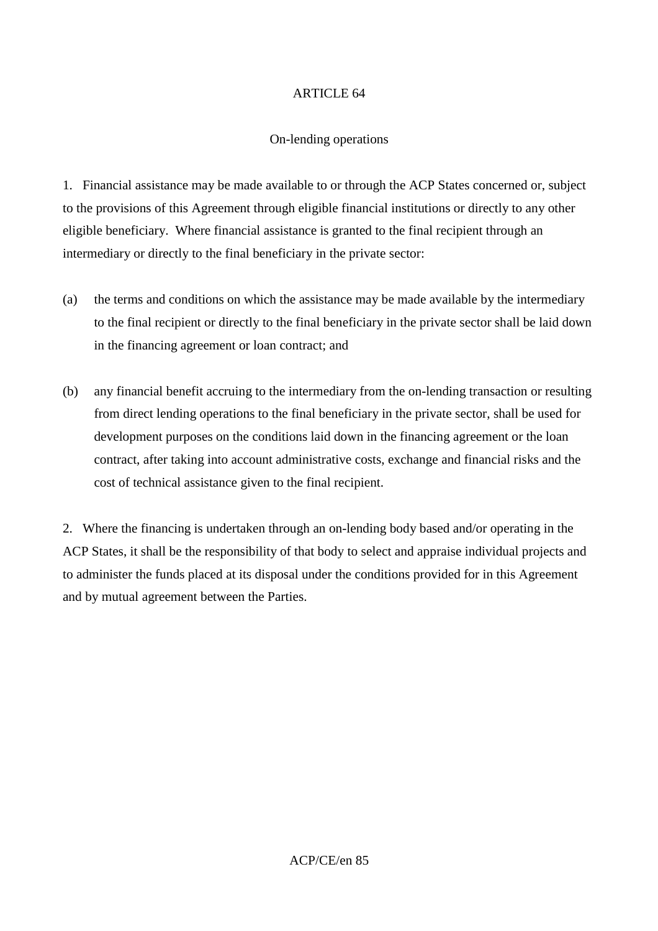### On-lending operations

1. Financial assistance may be made available to or through the ACP States concerned or, subject to the provisions of this Agreement through eligible financial institutions or directly to any other eligible beneficiary. Where financial assistance is granted to the final recipient through an intermediary or directly to the final beneficiary in the private sector:

- (a) the terms and conditions on which the assistance may be made available by the intermediary to the final recipient or directly to the final beneficiary in the private sector shall be laid down in the financing agreement or loan contract; and
- (b) any financial benefit accruing to the intermediary from the on-lending transaction or resulting from direct lending operations to the final beneficiary in the private sector, shall be used for development purposes on the conditions laid down in the financing agreement or the loan contract, after taking into account administrative costs, exchange and financial risks and the cost of technical assistance given to the final recipient.

2. Where the financing is undertaken through an on-lending body based and/or operating in the ACP States, it shall be the responsibility of that body to select and appraise individual projects and to administer the funds placed at its disposal under the conditions provided for in this Agreement and by mutual agreement between the Parties.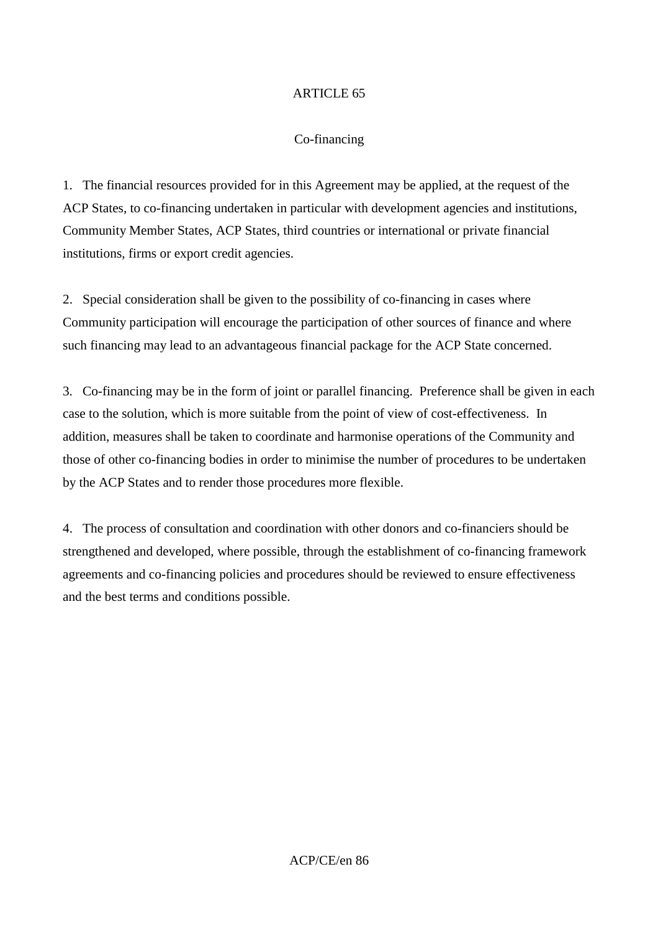## Co-financing

1. The financial resources provided for in this Agreement may be applied, at the request of the ACP States, to co-financing undertaken in particular with development agencies and institutions, Community Member States, ACP States, third countries or international or private financial institutions, firms or export credit agencies.

2. Special consideration shall be given to the possibility of co-financing in cases where Community participation will encourage the participation of other sources of finance and where such financing may lead to an advantageous financial package for the ACP State concerned.

3. Co-financing may be in the form of joint or parallel financing. Preference shall be given in each case to the solution, which is more suitable from the point of view of cost-effectiveness. In addition, measures shall be taken to coordinate and harmonise operations of the Community and those of other co-financing bodies in order to minimise the number of procedures to be undertaken by the ACP States and to render those procedures more flexible.

4. The process of consultation and coordination with other donors and co-financiers should be strengthened and developed, where possible, through the establishment of co-financing framework agreements and co-financing policies and procedures should be reviewed to ensure effectiveness and the best terms and conditions possible.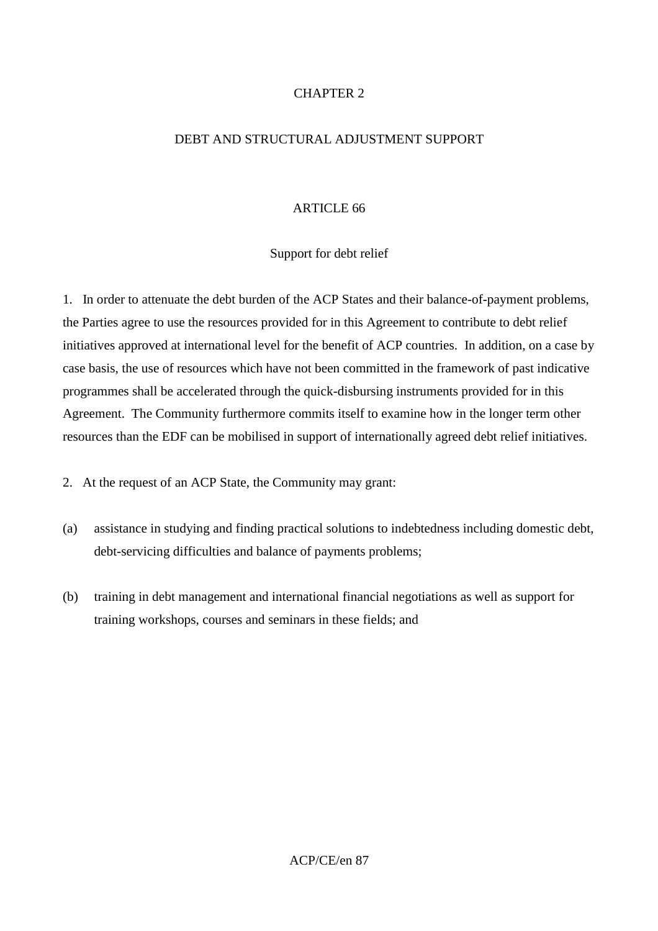## CHAPTER 2

### DEBT AND STRUCTURAL ADJUSTMENT SUPPORT

### ARTICLE 66

## Support for debt relief

1. In order to attenuate the debt burden of the ACP States and their balance-of-payment problems, the Parties agree to use the resources provided for in this Agreement to contribute to debt relief initiatives approved at international level for the benefit of ACP countries. In addition, on a case by case basis, the use of resources which have not been committed in the framework of past indicative programmes shall be accelerated through the quick-disbursing instruments provided for in this Agreement. The Community furthermore commits itself to examine how in the longer term other resources than the EDF can be mobilised in support of internationally agreed debt relief initiatives.

2. At the request of an ACP State, the Community may grant:

- (a) assistance in studying and finding practical solutions to indebtedness including domestic debt, debt-servicing difficulties and balance of payments problems;
- (b) training in debt management and international financial negotiations as well as support for training workshops, courses and seminars in these fields; and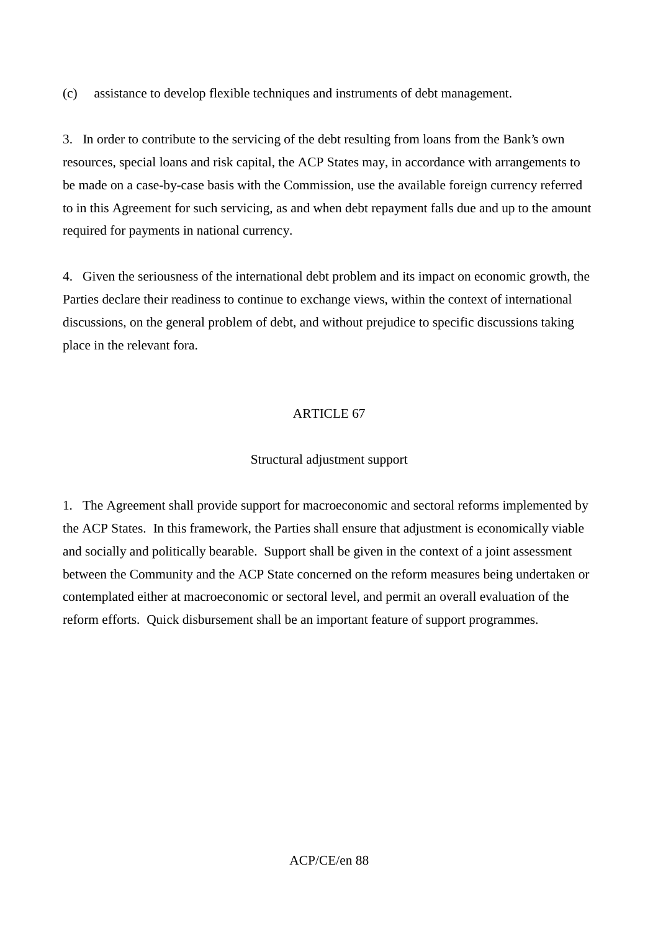(c) assistance to develop flexible techniques and instruments of debt management.

3. In order to contribute to the servicing of the debt resulting from loans from the Bank's own resources, special loans and risk capital, the ACP States may, in accordance with arrangements to be made on a case-by-case basis with the Commission, use the available foreign currency referred to in this Agreement for such servicing, as and when debt repayment falls due and up to the amount required for payments in national currency.

4. Given the seriousness of the international debt problem and its impact on economic growth, the Parties declare their readiness to continue to exchange views, within the context of international discussions, on the general problem of debt, and without prejudice to specific discussions taking place in the relevant fora.

# ARTICLE 67

## Structural adjustment support

1. The Agreement shall provide support for macroeconomic and sectoral reforms implemented by the ACP States. In this framework, the Parties shall ensure that adjustment is economically viable and socially and politically bearable. Support shall be given in the context of a joint assessment between the Community and the ACP State concerned on the reform measures being undertaken or contemplated either at macroeconomic or sectoral level, and permit an overall evaluation of the reform efforts. Quick disbursement shall be an important feature of support programmes.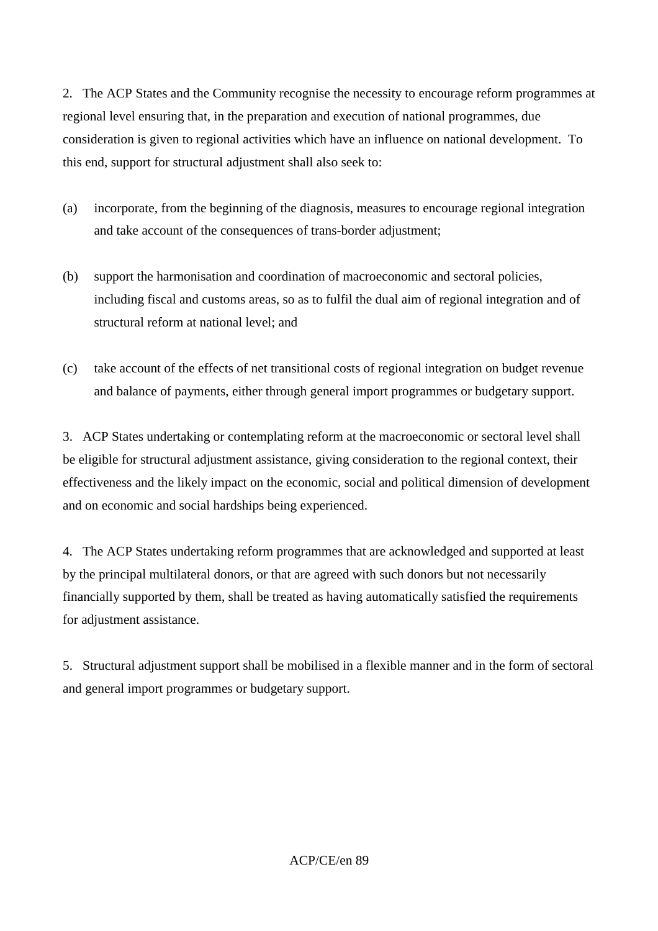2. The ACP States and the Community recognise the necessity to encourage reform programmes at regional level ensuring that, in the preparation and execution of national programmes, due consideration is given to regional activities which have an influence on national development. To this end, support for structural adjustment shall also seek to:

- (a) incorporate, from the beginning of the diagnosis, measures to encourage regional integration and take account of the consequences of trans-border adjustment;
- (b) support the harmonisation and coordination of macroeconomic and sectoral policies, including fiscal and customs areas, so as to fulfil the dual aim of regional integration and of structural reform at national level; and
- (c) take account of the effects of net transitional costs of regional integration on budget revenue and balance of payments, either through general import programmes or budgetary support.

3. ACP States undertaking or contemplating reform at the macroeconomic or sectoral level shall be eligible for structural adjustment assistance, giving consideration to the regional context, their effectiveness and the likely impact on the economic, social and political dimension of development and on economic and social hardships being experienced.

4. The ACP States undertaking reform programmes that are acknowledged and supported at least by the principal multilateral donors, or that are agreed with such donors but not necessarily financially supported by them, shall be treated as having automatically satisfied the requirements for adjustment assistance.

5. Structural adjustment support shall be mobilised in a flexible manner and in the form of sectoral and general import programmes or budgetary support.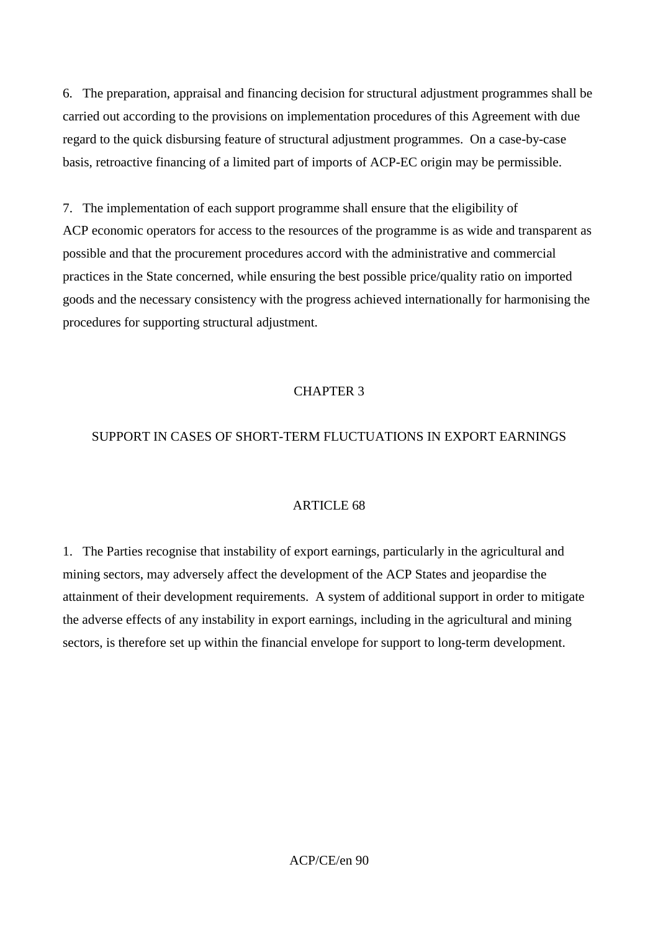6. The preparation, appraisal and financing decision for structural adjustment programmes shall be carried out according to the provisions on implementation procedures of this Agreement with due regard to the quick disbursing feature of structural adjustment programmes. On a case-by-case basis, retroactive financing of a limited part of imports of ACP-EC origin may be permissible.

7. The implementation of each support programme shall ensure that the eligibility of ACP economic operators for access to the resources of the programme is as wide and transparent as possible and that the procurement procedures accord with the administrative and commercial practices in the State concerned, while ensuring the best possible price/quality ratio on imported goods and the necessary consistency with the progress achieved internationally for harmonising the procedures for supporting structural adjustment.

## CHAPTER 3

## SUPPORT IN CASES OF SHORT-TERM FLUCTUATIONS IN EXPORT EARNINGS

### ARTICLE 68

1. The Parties recognise that instability of export earnings, particularly in the agricultural and mining sectors, may adversely affect the development of the ACP States and jeopardise the attainment of their development requirements. A system of additional support in order to mitigate the adverse effects of any instability in export earnings, including in the agricultural and mining sectors, is therefore set up within the financial envelope for support to long-term development.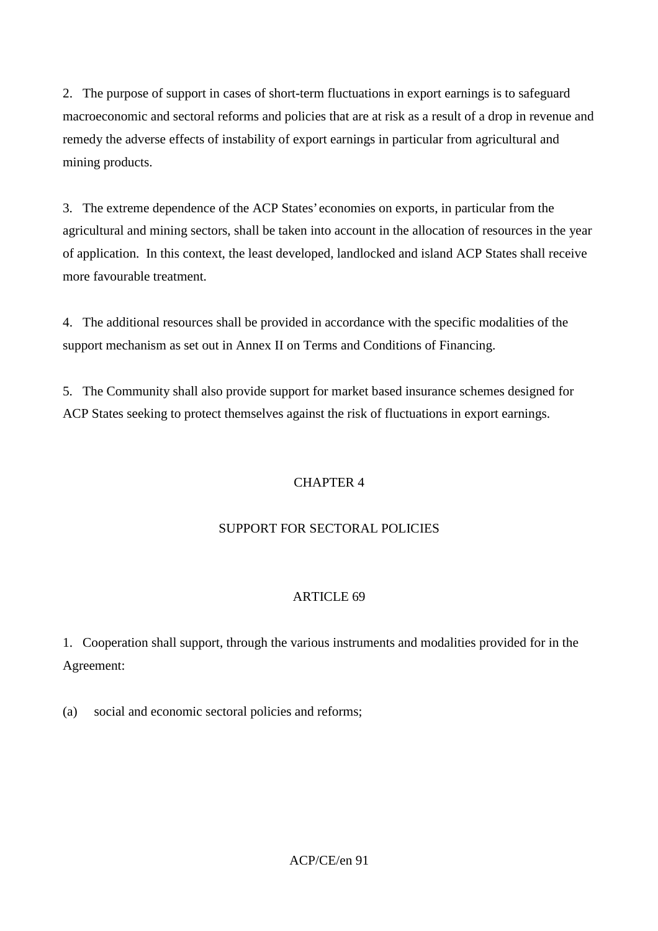2. The purpose of support in cases of short-term fluctuations in export earnings is to safeguard macroeconomic and sectoral reforms and policies that are at risk as a result of a drop in revenue and remedy the adverse effects of instability of export earnings in particular from agricultural and mining products.

3. The extreme dependence of the ACP States' economies on exports, in particular from the agricultural and mining sectors, shall be taken into account in the allocation of resources in the year of application. In this context, the least developed, landlocked and island ACP States shall receive more favourable treatment.

4. The additional resources shall be provided in accordance with the specific modalities of the support mechanism as set out in Annex II on Terms and Conditions of Financing.

5. The Community shall also provide support for market based insurance schemes designed for ACP States seeking to protect themselves against the risk of fluctuations in export earnings.

## CHAPTER 4

## SUPPORT FOR SECTORAL POLICIES

### ARTICLE 69

1. Cooperation shall support, through the various instruments and modalities provided for in the Agreement:

(a) social and economic sectoral policies and reforms;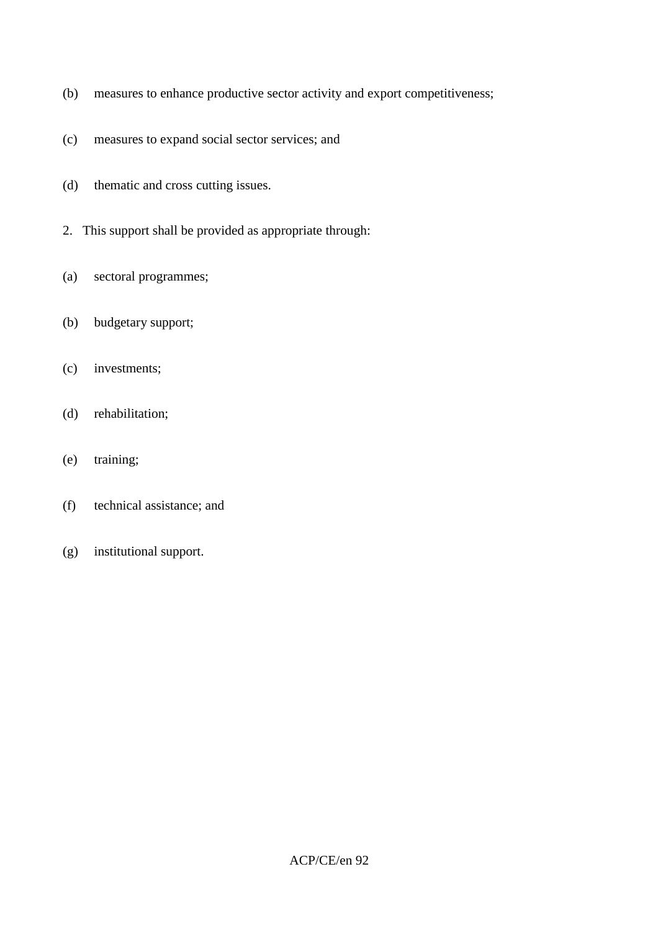- (b) measures to enhance productive sector activity and export competitiveness;
- (c) measures to expand social sector services; and
- (d) thematic and cross cutting issues.
- 2. This support shall be provided as appropriate through:
- (a) sectoral programmes;
- (b) budgetary support;
- (c) investments;
- (d) rehabilitation;
- (e) training;
- (f) technical assistance; and
- (g) institutional support.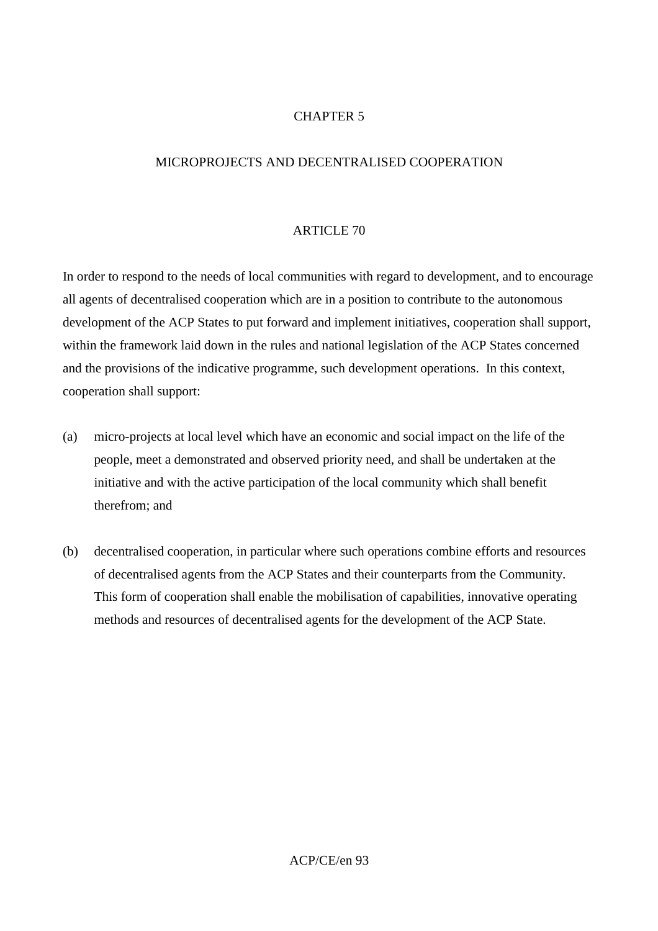## CHAPTER 5

### MICROPROJECTS AND DECENTRALISED COOPERATION

#### ARTICLE 70

In order to respond to the needs of local communities with regard to development, and to encourage all agents of decentralised cooperation which are in a position to contribute to the autonomous development of the ACP States to put forward and implement initiatives, cooperation shall support, within the framework laid down in the rules and national legislation of the ACP States concerned and the provisions of the indicative programme, such development operations. In this context, cooperation shall support:

- (a) micro-projects at local level which have an economic and social impact on the life of the people, meet a demonstrated and observed priority need, and shall be undertaken at the initiative and with the active participation of the local community which shall benefit therefrom; and
- (b) decentralised cooperation, in particular where such operations combine efforts and resources of decentralised agents from the ACP States and their counterparts from the Community. This form of cooperation shall enable the mobilisation of capabilities, innovative operating methods and resources of decentralised agents for the development of the ACP State.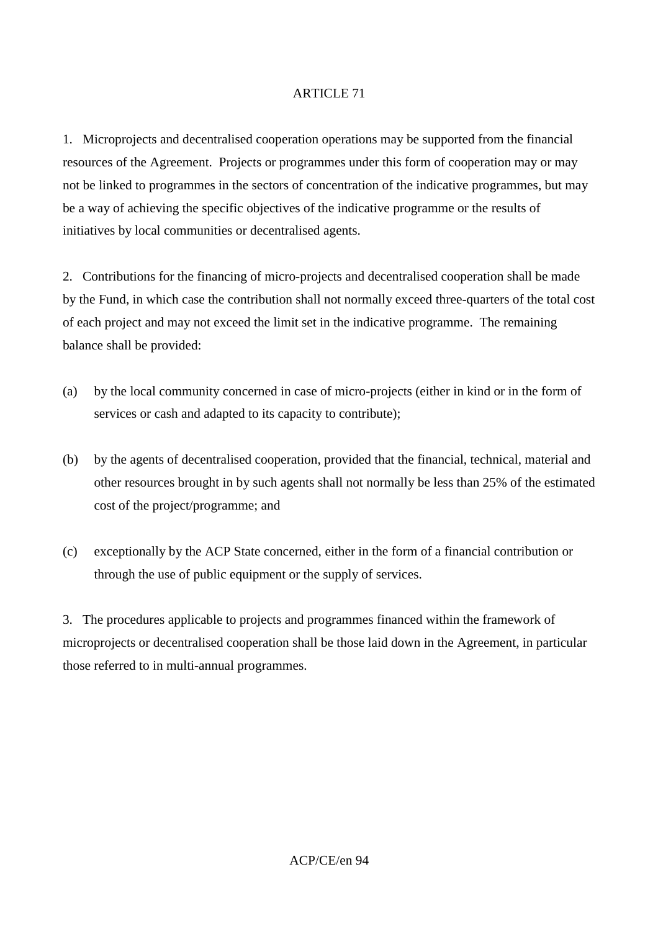1. Microprojects and decentralised cooperation operations may be supported from the financial resources of the Agreement. Projects or programmes under this form of cooperation may or may not be linked to programmes in the sectors of concentration of the indicative programmes, but may be a way of achieving the specific objectives of the indicative programme or the results of initiatives by local communities or decentralised agents.

2. Contributions for the financing of micro-projects and decentralised cooperation shall be made by the Fund, in which case the contribution shall not normally exceed three-quarters of the total cost of each project and may not exceed the limit set in the indicative programme. The remaining balance shall be provided:

- (a) by the local community concerned in case of micro-projects (either in kind or in the form of services or cash and adapted to its capacity to contribute);
- (b) by the agents of decentralised cooperation, provided that the financial, technical, material and other resources brought in by such agents shall not normally be less than 25% of the estimated cost of the project/programme; and
- (c) exceptionally by the ACP State concerned, either in the form of a financial contribution or through the use of public equipment or the supply of services.

3. The procedures applicable to projects and programmes financed within the framework of microprojects or decentralised cooperation shall be those laid down in the Agreement, in particular those referred to in multi-annual programmes.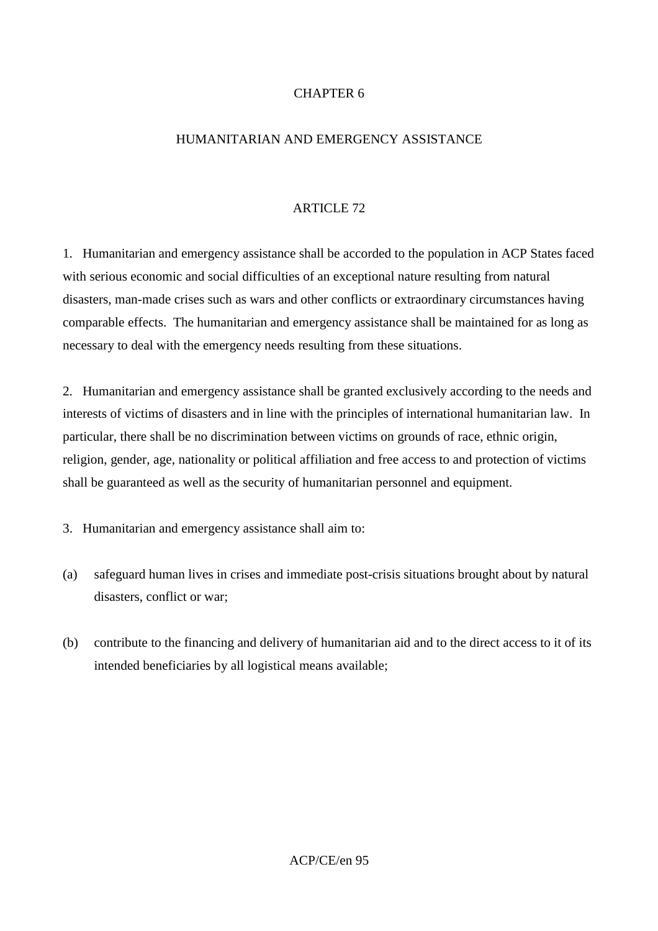## CHAPTER 6

### HUMANITARIAN AND EMERGENCY ASSISTANCE

### ARTICLE 72

1. Humanitarian and emergency assistance shall be accorded to the population in ACP States faced with serious economic and social difficulties of an exceptional nature resulting from natural disasters, man-made crises such as wars and other conflicts or extraordinary circumstances having comparable effects. The humanitarian and emergency assistance shall be maintained for as long as necessary to deal with the emergency needs resulting from these situations.

2. Humanitarian and emergency assistance shall be granted exclusively according to the needs and interests of victims of disasters and in line with the principles of international humanitarian law. In particular, there shall be no discrimination between victims on grounds of race, ethnic origin, religion, gender, age, nationality or political affiliation and free access to and protection of victims shall be guaranteed as well as the security of humanitarian personnel and equipment.

3. Humanitarian and emergency assistance shall aim to:

- (a) safeguard human lives in crises and immediate post-crisis situations brought about by natural disasters, conflict or war;
- (b) contribute to the financing and delivery of humanitarian aid and to the direct access to it of its intended beneficiaries by all logistical means available;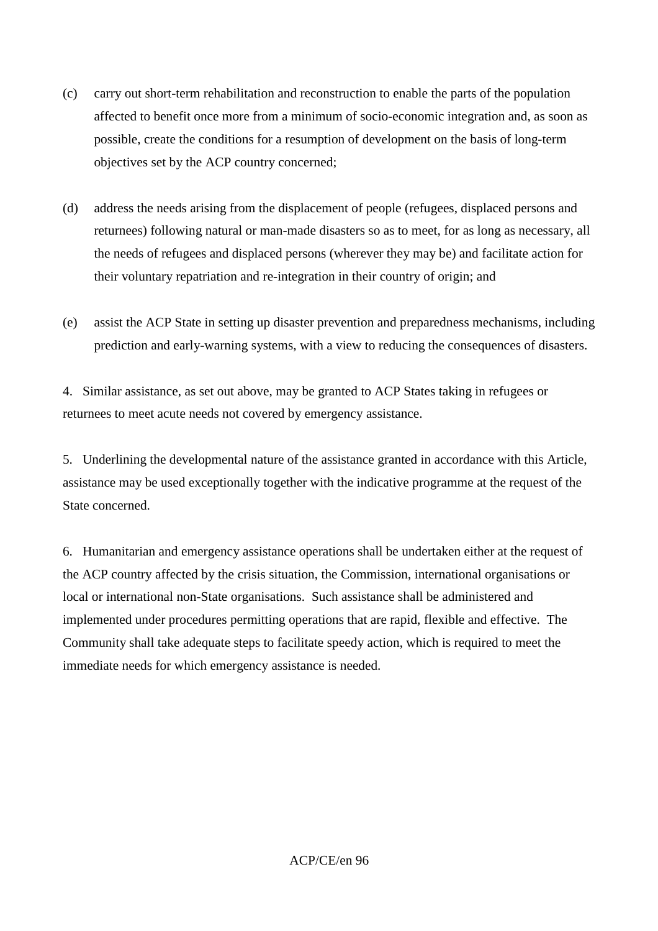- (c) carry out short-term rehabilitation and reconstruction to enable the parts of the population affected to benefit once more from a minimum of socio-economic integration and, as soon as possible, create the conditions for a resumption of development on the basis of long-term objectives set by the ACP country concerned;
- (d) address the needs arising from the displacement of people (refugees, displaced persons and returnees) following natural or man-made disasters so as to meet, for as long as necessary, all the needs of refugees and displaced persons (wherever they may be) and facilitate action for their voluntary repatriation and re-integration in their country of origin; and
- (e) assist the ACP State in setting up disaster prevention and preparedness mechanisms, including prediction and early-warning systems, with a view to reducing the consequences of disasters.

4. Similar assistance, as set out above, may be granted to ACP States taking in refugees or returnees to meet acute needs not covered by emergency assistance.

5. Underlining the developmental nature of the assistance granted in accordance with this Article, assistance may be used exceptionally together with the indicative programme at the request of the State concerned.

6. Humanitarian and emergency assistance operations shall be undertaken either at the request of the ACP country affected by the crisis situation, the Commission, international organisations or local or international non-State organisations. Such assistance shall be administered and implemented under procedures permitting operations that are rapid, flexible and effective. The Community shall take adequate steps to facilitate speedy action, which is required to meet the immediate needs for which emergency assistance is needed.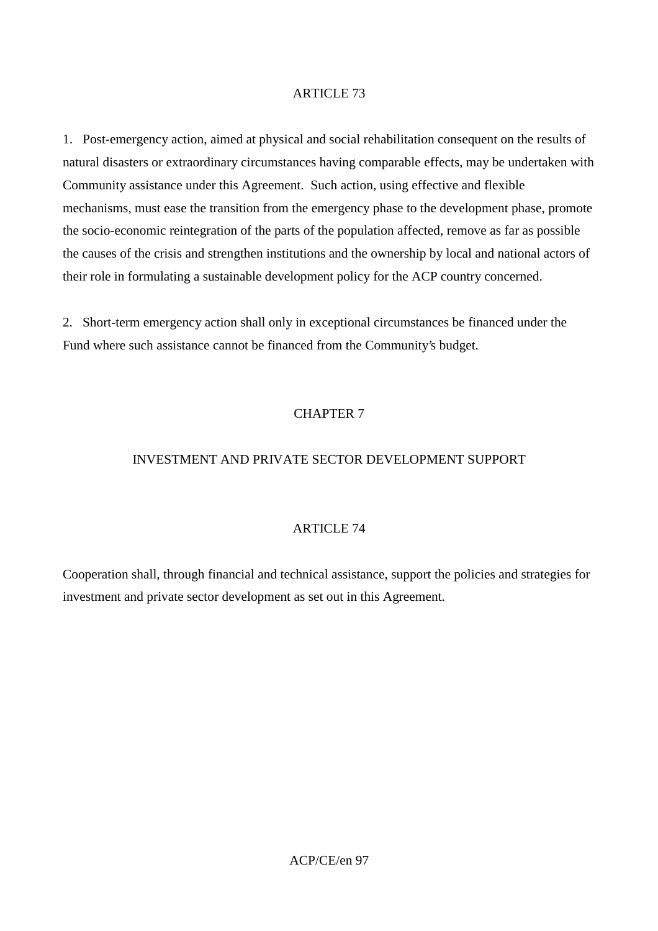1. Post-emergency action, aimed at physical and social rehabilitation consequent on the results of natural disasters or extraordinary circumstances having comparable effects, may be undertaken with Community assistance under this Agreement. Such action, using effective and flexible mechanisms, must ease the transition from the emergency phase to the development phase, promote the socio-economic reintegration of the parts of the population affected, remove as far as possible the causes of the crisis and strengthen institutions and the ownership by local and national actors of their role in formulating a sustainable development policy for the ACP country concerned.

2. Short-term emergency action shall only in exceptional circumstances be financed under the Fund where such assistance cannot be financed from the Community's budget.

## CHAPTER 7

## INVESTMENT AND PRIVATE SECTOR DEVELOPMENT SUPPORT

### ARTICLE 74

Cooperation shall, through financial and technical assistance, support the policies and strategies for investment and private sector development as set out in this Agreement.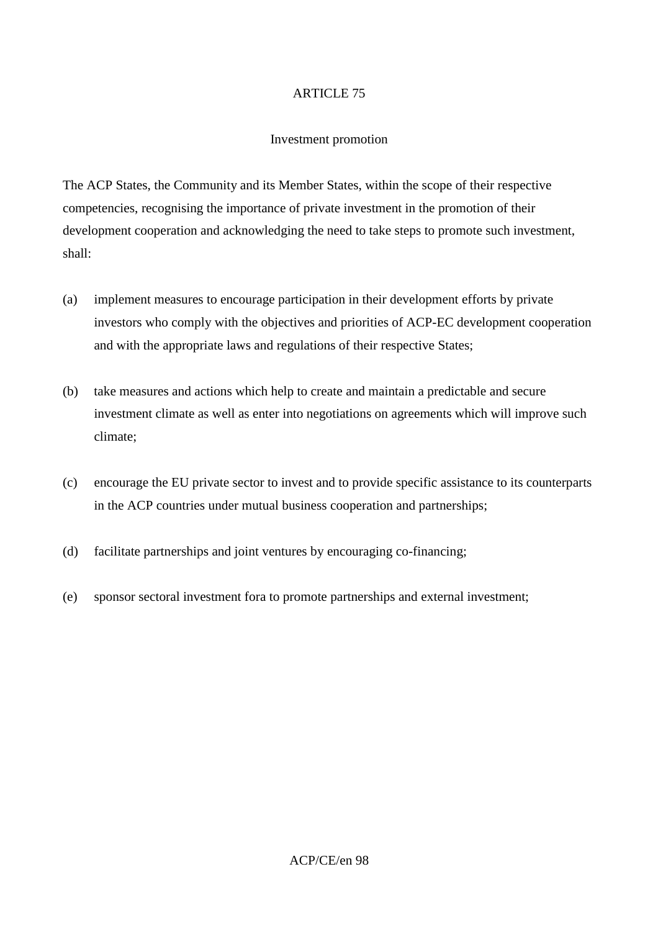#### Investment promotion

The ACP States, the Community and its Member States, within the scope of their respective competencies, recognising the importance of private investment in the promotion of their development cooperation and acknowledging the need to take steps to promote such investment, shall:

- (a) implement measures to encourage participation in their development efforts by private investors who comply with the objectives and priorities of ACP-EC development cooperation and with the appropriate laws and regulations of their respective States;
- (b) take measures and actions which help to create and maintain a predictable and secure investment climate as well as enter into negotiations on agreements which will improve such climate;
- (c) encourage the EU private sector to invest and to provide specific assistance to its counterparts in the ACP countries under mutual business cooperation and partnerships;
- (d) facilitate partnerships and joint ventures by encouraging co-financing;
- (e) sponsor sectoral investment fora to promote partnerships and external investment;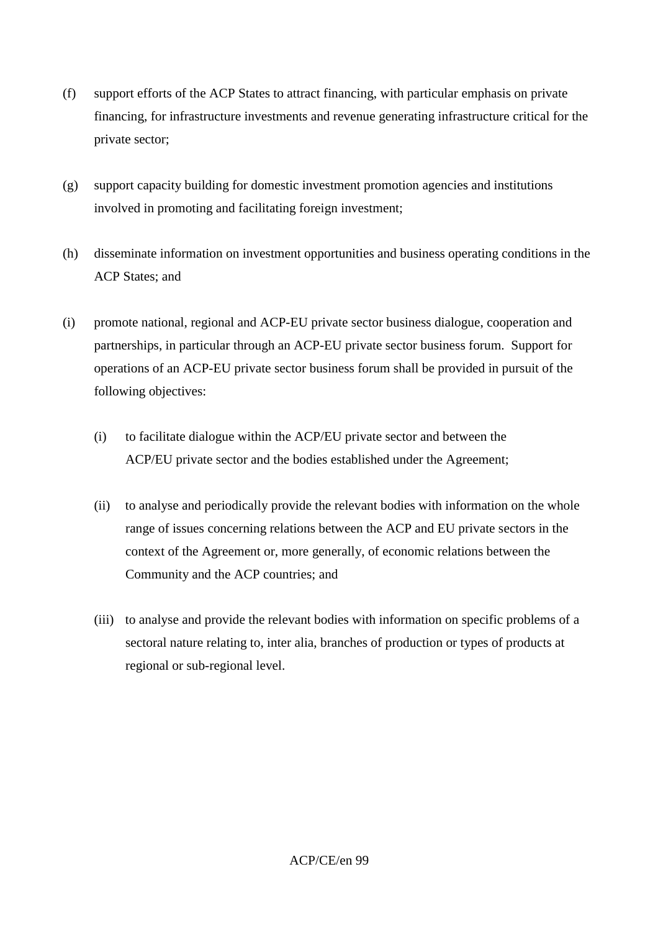- (f) support efforts of the ACP States to attract financing, with particular emphasis on private financing, for infrastructure investments and revenue generating infrastructure critical for the private sector;
- (g) support capacity building for domestic investment promotion agencies and institutions involved in promoting and facilitating foreign investment;
- (h) disseminate information on investment opportunities and business operating conditions in the ACP States; and
- (i) promote national, regional and ACP-EU private sector business dialogue, cooperation and partnerships, in particular through an ACP-EU private sector business forum. Support for operations of an ACP-EU private sector business forum shall be provided in pursuit of the following objectives:
	- (i) to facilitate dialogue within the ACP/EU private sector and between the ACP/EU private sector and the bodies established under the Agreement;
	- (ii) to analyse and periodically provide the relevant bodies with information on the whole range of issues concerning relations between the ACP and EU private sectors in the context of the Agreement or, more generally, of economic relations between the Community and the ACP countries; and
	- (iii) to analyse and provide the relevant bodies with information on specific problems of a sectoral nature relating to, inter alia, branches of production or types of products at regional or sub-regional level.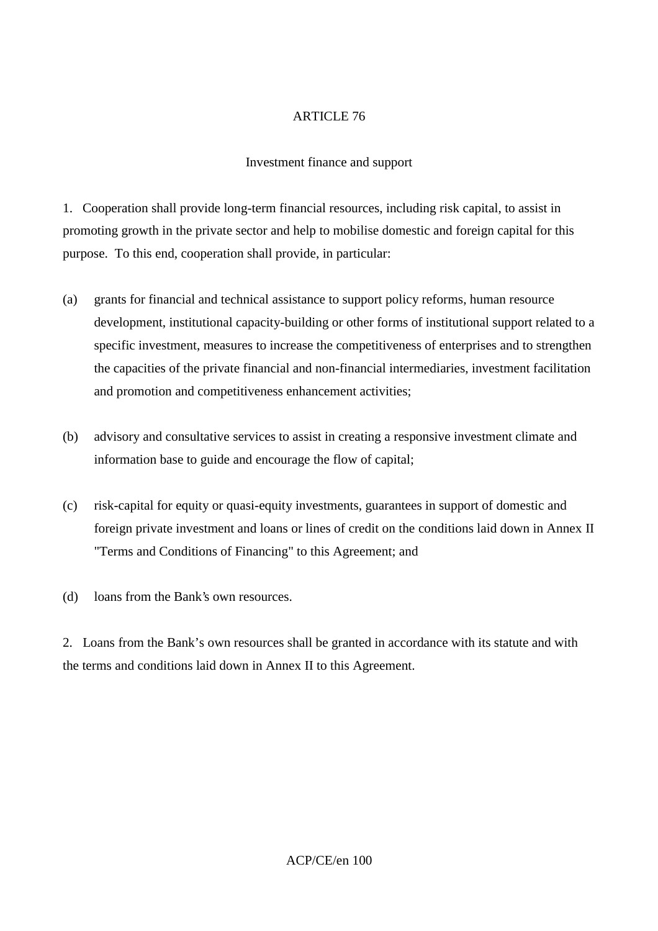### Investment finance and support

1. Cooperation shall provide long-term financial resources, including risk capital, to assist in promoting growth in the private sector and help to mobilise domestic and foreign capital for this purpose. To this end, cooperation shall provide, in particular:

- (a) grants for financial and technical assistance to support policy reforms, human resource development, institutional capacity-building or other forms of institutional support related to a specific investment, measures to increase the competitiveness of enterprises and to strengthen the capacities of the private financial and non-financial intermediaries, investment facilitation and promotion and competitiveness enhancement activities;
- (b) advisory and consultative services to assist in creating a responsive investment climate and information base to guide and encourage the flow of capital;
- (c) risk-capital for equity or quasi-equity investments, guarantees in support of domestic and foreign private investment and loans or lines of credit on the conditions laid down in Annex II "Terms and Conditions of Financing" to this Agreement; and
- (d) loans from the Bank's own resources.

2. Loans from the Bank's own resources shall be granted in accordance with its statute and with the terms and conditions laid down in Annex II to this Agreement.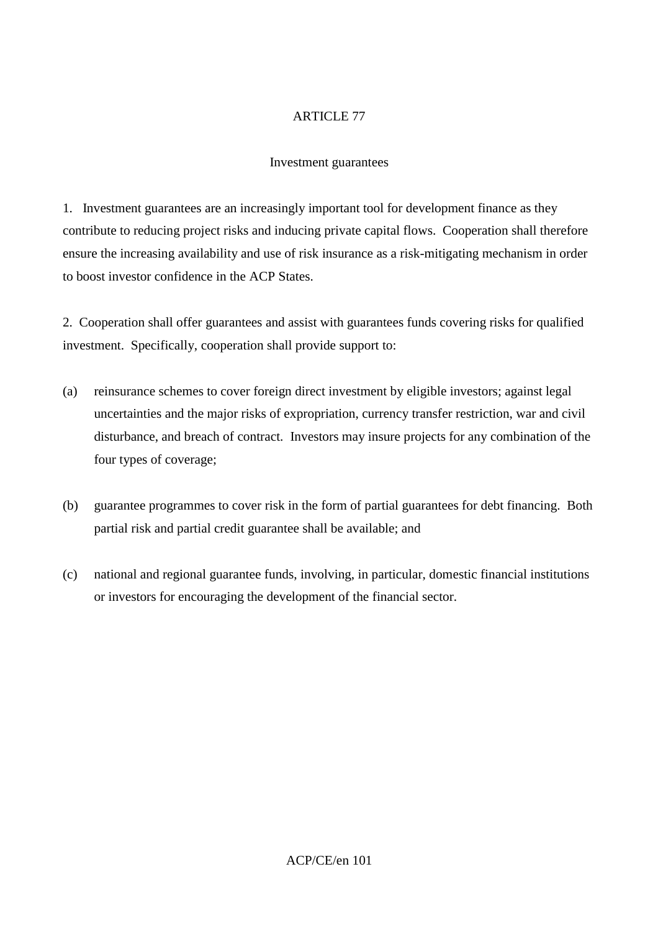### Investment guarantees

1. Investment guarantees are an increasingly important tool for development finance as they contribute to reducing project risks and inducing private capital flows. Cooperation shall therefore ensure the increasing availability and use of risk insurance as a risk-mitigating mechanism in order to boost investor confidence in the ACP States.

2. Cooperation shall offer guarantees and assist with guarantees funds covering risks for qualified investment. Specifically, cooperation shall provide support to:

- (a) reinsurance schemes to cover foreign direct investment by eligible investors; against legal uncertainties and the major risks of expropriation, currency transfer restriction, war and civil disturbance, and breach of contract. Investors may insure projects for any combination of the four types of coverage;
- (b) guarantee programmes to cover risk in the form of partial guarantees for debt financing. Both partial risk and partial credit guarantee shall be available; and
- (c) national and regional guarantee funds, involving, in particular, domestic financial institutions or investors for encouraging the development of the financial sector.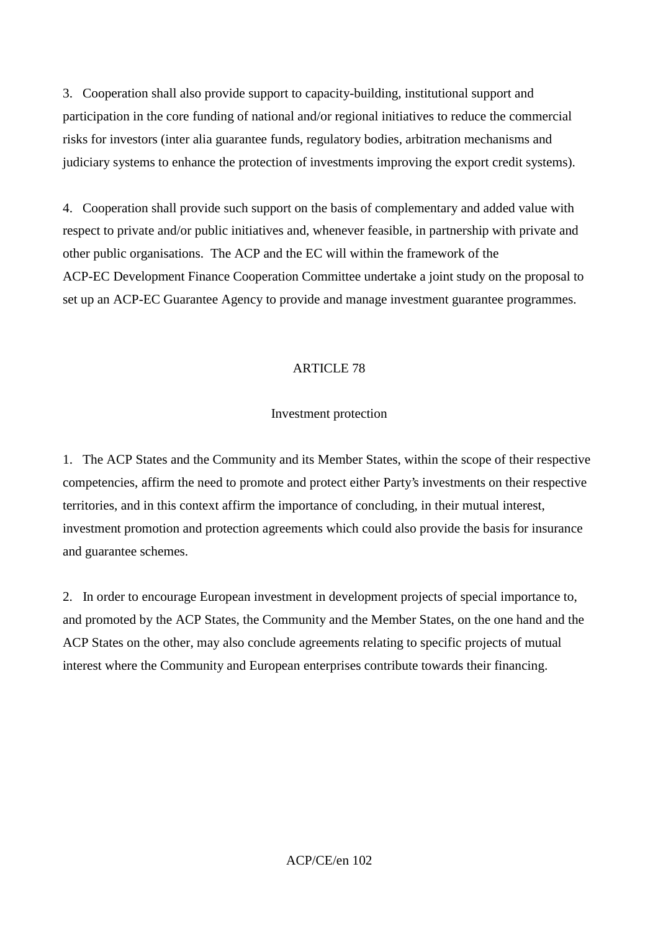3. Cooperation shall also provide support to capacity-building, institutional support and participation in the core funding of national and/or regional initiatives to reduce the commercial risks for investors (inter alia guarantee funds, regulatory bodies, arbitration mechanisms and judiciary systems to enhance the protection of investments improving the export credit systems).

4. Cooperation shall provide such support on the basis of complementary and added value with respect to private and/or public initiatives and, whenever feasible, in partnership with private and other public organisations. The ACP and the EC will within the framework of the ACP-EC Development Finance Cooperation Committee undertake a joint study on the proposal to set up an ACP-EC Guarantee Agency to provide and manage investment guarantee programmes.

## ARTICLE 78

### Investment protection

1. The ACP States and the Community and its Member States, within the scope of their respective competencies, affirm the need to promote and protect either Party's investments on their respective territories, and in this context affirm the importance of concluding, in their mutual interest, investment promotion and protection agreements which could also provide the basis for insurance and guarantee schemes.

2. In order to encourage European investment in development projects of special importance to, and promoted by the ACP States, the Community and the Member States, on the one hand and the ACP States on the other, may also conclude agreements relating to specific projects of mutual interest where the Community and European enterprises contribute towards their financing.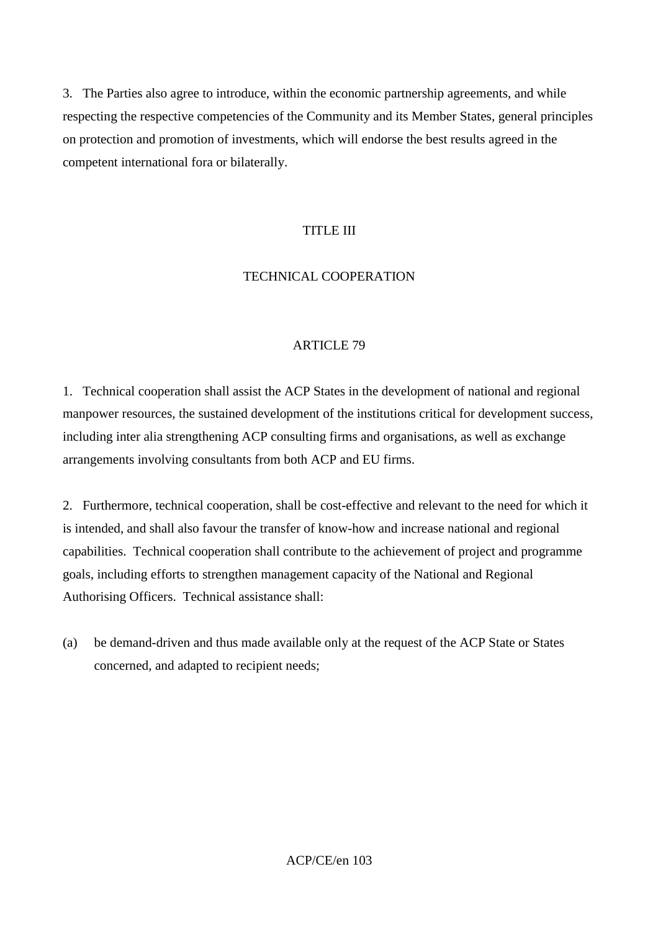3. The Parties also agree to introduce, within the economic partnership agreements, and while respecting the respective competencies of the Community and its Member States, general principles on protection and promotion of investments, which will endorse the best results agreed in the competent international fora or bilaterally.

#### TITLE III

#### TECHNICAL COOPERATION

#### ARTICLE 79

1. Technical cooperation shall assist the ACP States in the development of national and regional manpower resources, the sustained development of the institutions critical for development success, including inter alia strengthening ACP consulting firms and organisations, as well as exchange arrangements involving consultants from both ACP and EU firms.

2. Furthermore, technical cooperation, shall be cost-effective and relevant to the need for which it is intended, and shall also favour the transfer of know-how and increase national and regional capabilities. Technical cooperation shall contribute to the achievement of project and programme goals, including efforts to strengthen management capacity of the National and Regional Authorising Officers. Technical assistance shall:

(a) be demand-driven and thus made available only at the request of the ACP State or States concerned, and adapted to recipient needs;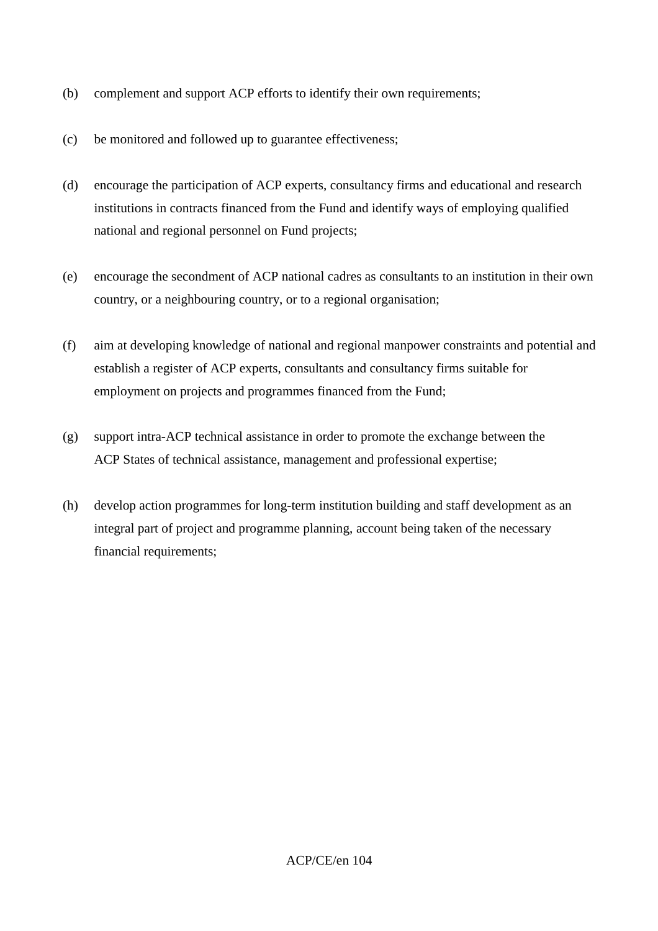- (b) complement and support ACP efforts to identify their own requirements;
- (c) be monitored and followed up to guarantee effectiveness;
- (d) encourage the participation of ACP experts, consultancy firms and educational and research institutions in contracts financed from the Fund and identify ways of employing qualified national and regional personnel on Fund projects;
- (e) encourage the secondment of ACP national cadres as consultants to an institution in their own country, or a neighbouring country, or to a regional organisation;
- (f) aim at developing knowledge of national and regional manpower constraints and potential and establish a register of ACP experts, consultants and consultancy firms suitable for employment on projects and programmes financed from the Fund;
- (g) support intra-ACP technical assistance in order to promote the exchange between the ACP States of technical assistance, management and professional expertise;
- (h) develop action programmes for long-term institution building and staff development as an integral part of project and programme planning, account being taken of the necessary financial requirements;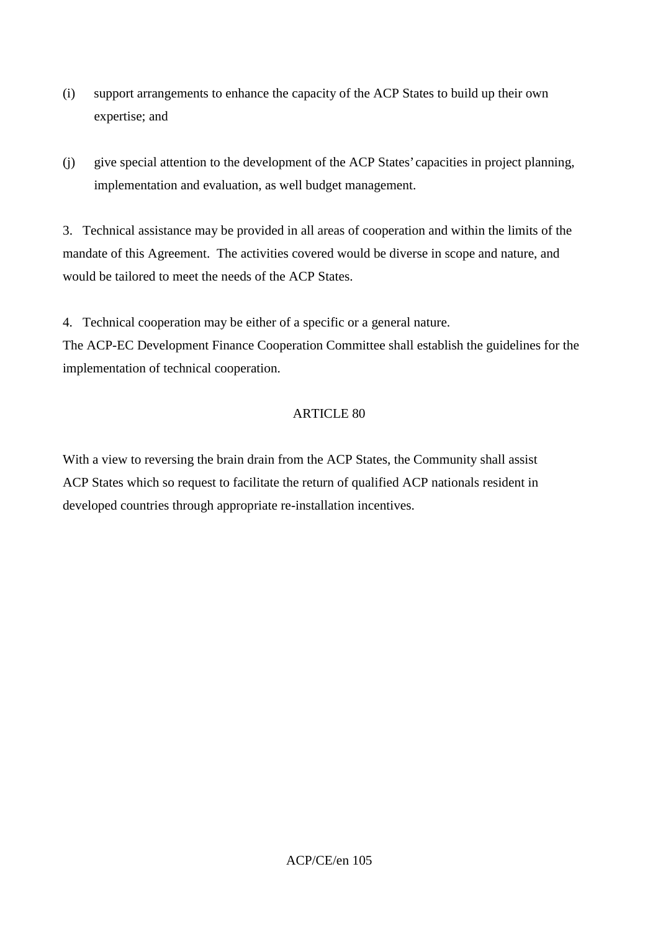- (i) support arrangements to enhance the capacity of the ACP States to build up their own expertise; and
- (j) give special attention to the development of the ACP States' capacities in project planning, implementation and evaluation, as well budget management.

3. Technical assistance may be provided in all areas of cooperation and within the limits of the mandate of this Agreement. The activities covered would be diverse in scope and nature, and would be tailored to meet the needs of the ACP States.

4. Technical cooperation may be either of a specific or a general nature.

The ACP-EC Development Finance Cooperation Committee shall establish the guidelines for the implementation of technical cooperation.

### ARTICLE 80

With a view to reversing the brain drain from the ACP States, the Community shall assist ACP States which so request to facilitate the return of qualified ACP nationals resident in developed countries through appropriate re-installation incentives.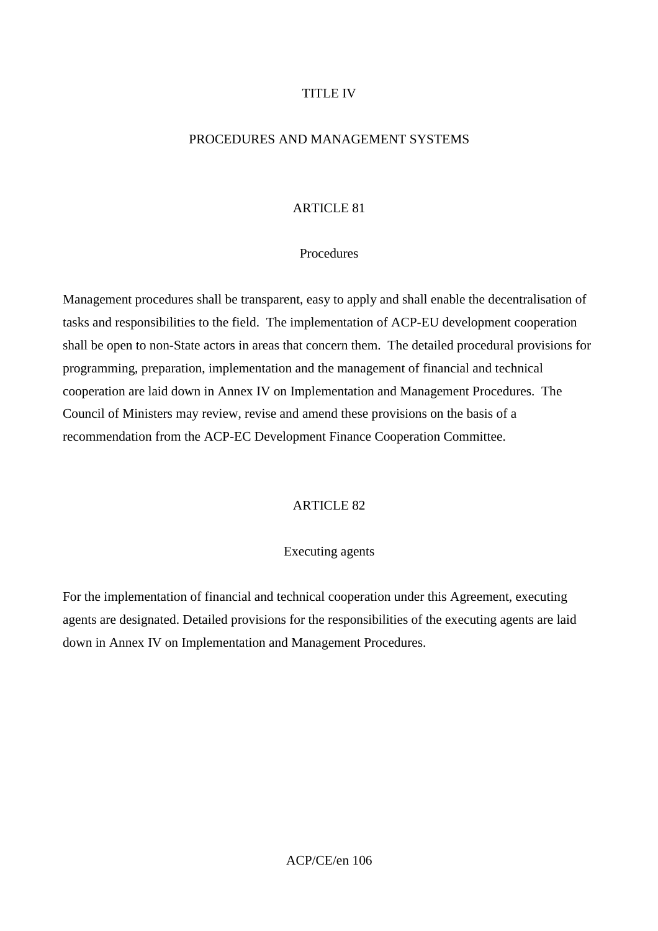#### TITLE IV

#### PROCEDURES AND MANAGEMENT SYSTEMS

#### ARTICLE 81

#### Procedures

Management procedures shall be transparent, easy to apply and shall enable the decentralisation of tasks and responsibilities to the field. The implementation of ACP-EU development cooperation shall be open to non-State actors in areas that concern them. The detailed procedural provisions for programming, preparation, implementation and the management of financial and technical cooperation are laid down in Annex IV on Implementation and Management Procedures. The Council of Ministers may review, revise and amend these provisions on the basis of a recommendation from the ACP-EC Development Finance Cooperation Committee.

## ARTICLE 82

#### Executing agents

For the implementation of financial and technical cooperation under this Agreement, executing agents are designated. Detailed provisions for the responsibilities of the executing agents are laid down in Annex IV on Implementation and Management Procedures.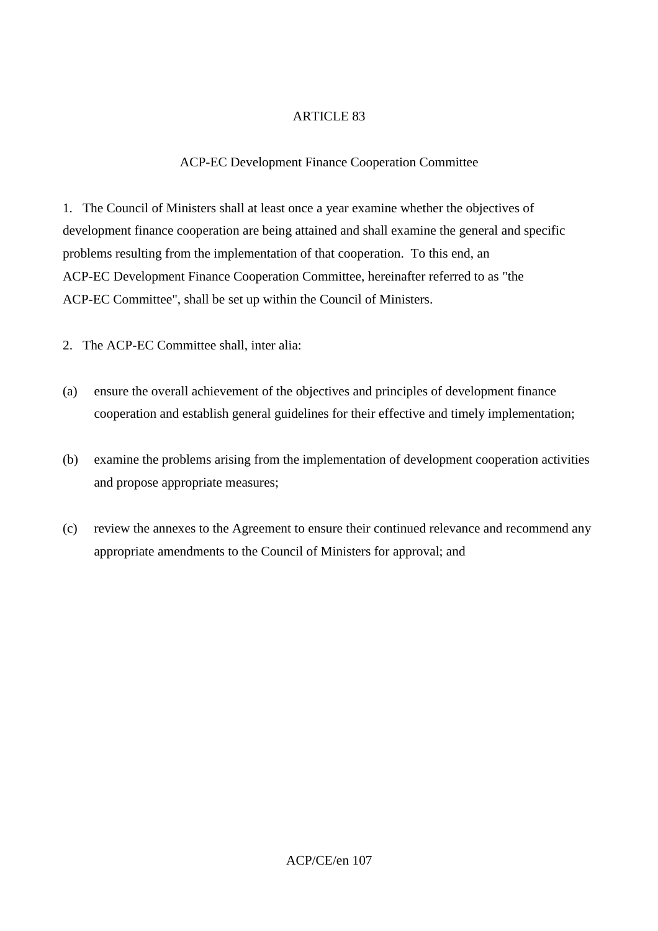## ACP-EC Development Finance Cooperation Committee

1. The Council of Ministers shall at least once a year examine whether the objectives of development finance cooperation are being attained and shall examine the general and specific problems resulting from the implementation of that cooperation. To this end, an ACP-EC Development Finance Cooperation Committee, hereinafter referred to as "the ACP-EC Committee", shall be set up within the Council of Ministers.

2. The ACP-EC Committee shall, inter alia:

- (a) ensure the overall achievement of the objectives and principles of development finance cooperation and establish general guidelines for their effective and timely implementation;
- (b) examine the problems arising from the implementation of development cooperation activities and propose appropriate measures;
- (c) review the annexes to the Agreement to ensure their continued relevance and recommend any appropriate amendments to the Council of Ministers for approval; and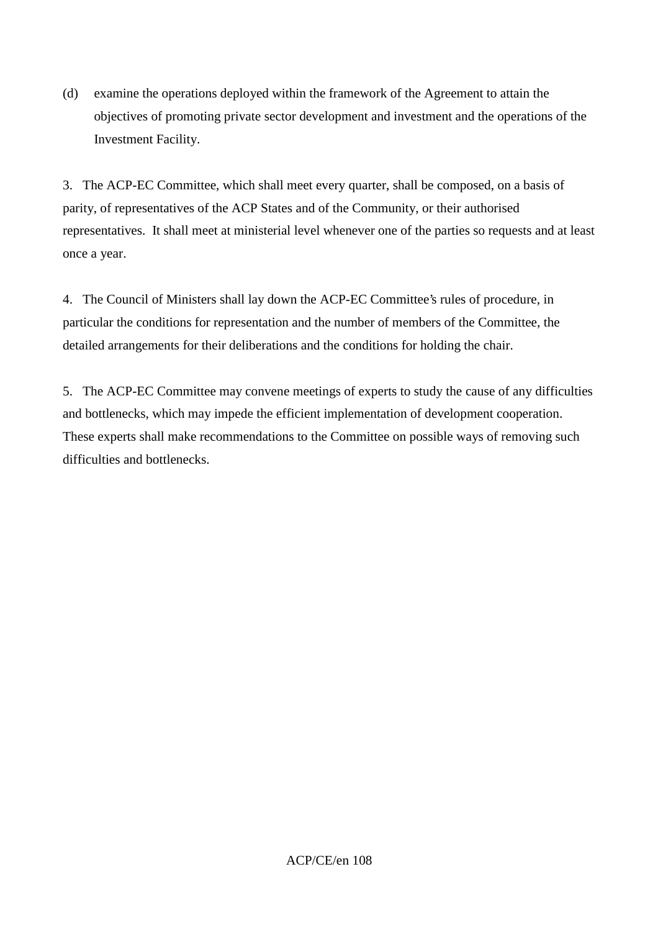(d) examine the operations deployed within the framework of the Agreement to attain the objectives of promoting private sector development and investment and the operations of the Investment Facility.

3. The ACP-EC Committee, which shall meet every quarter, shall be composed, on a basis of parity, of representatives of the ACP States and of the Community, or their authorised representatives. It shall meet at ministerial level whenever one of the parties so requests and at least once a year.

4. The Council of Ministers shall lay down the ACP-EC Committee's rules of procedure, in particular the conditions for representation and the number of members of the Committee, the detailed arrangements for their deliberations and the conditions for holding the chair.

5. The ACP-EC Committee may convene meetings of experts to study the cause of any difficulties and bottlenecks, which may impede the efficient implementation of development cooperation. These experts shall make recommendations to the Committee on possible ways of removing such difficulties and bottlenecks.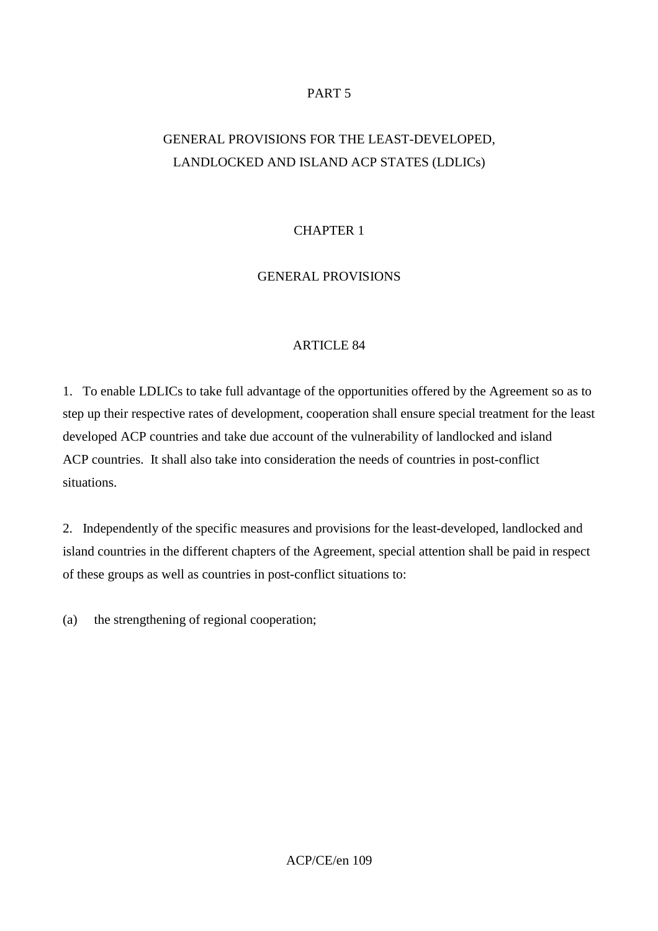### PART 5

# GENERAL PROVISIONS FOR THE LEAST-DEVELOPED, LANDLOCKED AND ISLAND ACP STATES (LDLICs)

# CHAPTER 1

### GENERAL PROVISIONS

### ARTICLE 84

1. To enable LDLICs to take full advantage of the opportunities offered by the Agreement so as to step up their respective rates of development, cooperation shall ensure special treatment for the least developed ACP countries and take due account of the vulnerability of landlocked and island ACP countries. It shall also take into consideration the needs of countries in post-conflict situations.

2. Independently of the specific measures and provisions for the least-developed, landlocked and island countries in the different chapters of the Agreement, special attention shall be paid in respect of these groups as well as countries in post-conflict situations to:

(a) the strengthening of regional cooperation;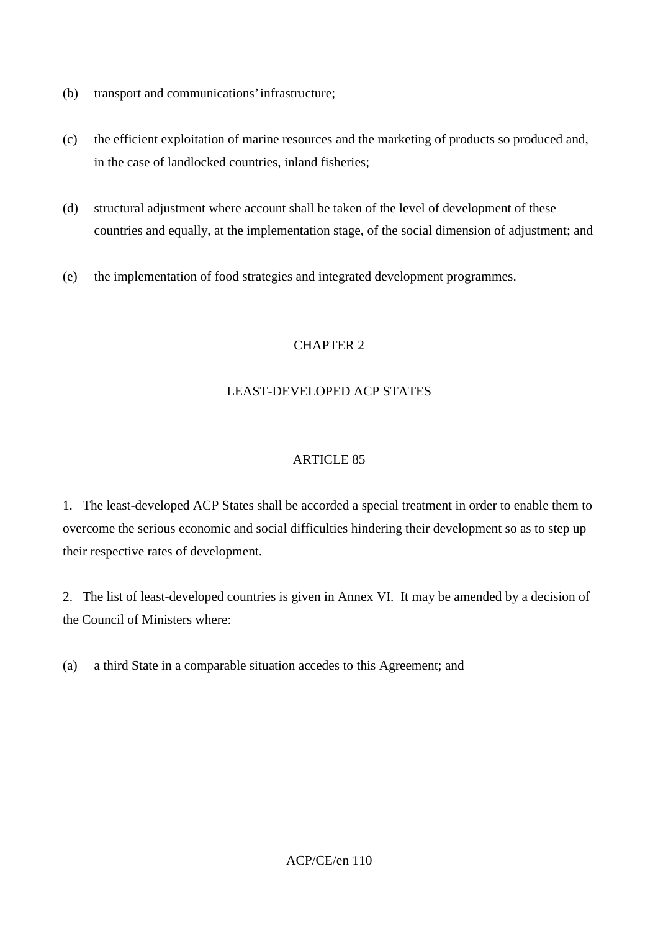- (b) transport and communications' infrastructure;
- (c) the efficient exploitation of marine resources and the marketing of products so produced and, in the case of landlocked countries, inland fisheries;
- (d) structural adjustment where account shall be taken of the level of development of these countries and equally, at the implementation stage, of the social dimension of adjustment; and
- (e) the implementation of food strategies and integrated development programmes.

# CHAPTER 2

# LEAST-DEVELOPED ACP STATES

# ARTICLE 85

1. The least-developed ACP States shall be accorded a special treatment in order to enable them to overcome the serious economic and social difficulties hindering their development so as to step up their respective rates of development.

2. The list of least-developed countries is given in Annex VI. It may be amended by a decision of the Council of Ministers where:

(a) a third State in a comparable situation accedes to this Agreement; and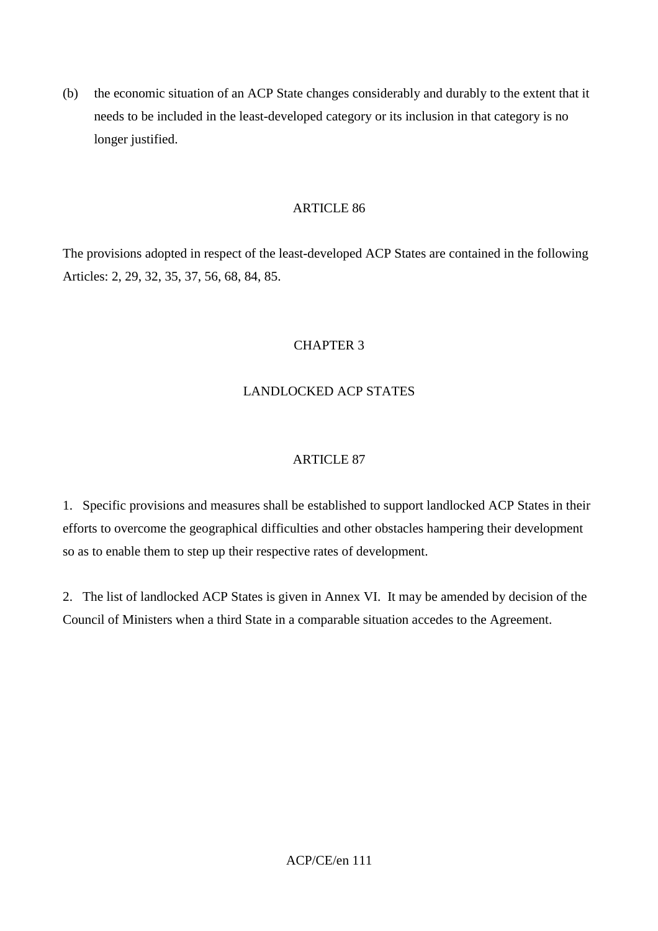(b) the economic situation of an ACP State changes considerably and durably to the extent that it needs to be included in the least-developed category or its inclusion in that category is no longer justified.

#### ARTICLE 86

The provisions adopted in respect of the least-developed ACP States are contained in the following Articles: 2, 29, 32, 35, 37, 56, 68, 84, 85.

# CHAPTER 3

# LANDLOCKED ACP STATES

### ARTICLE 87

1. Specific provisions and measures shall be established to support landlocked ACP States in their efforts to overcome the geographical difficulties and other obstacles hampering their development so as to enable them to step up their respective rates of development.

2. The list of landlocked ACP States is given in Annex VI. It may be amended by decision of the Council of Ministers when a third State in a comparable situation accedes to the Agreement.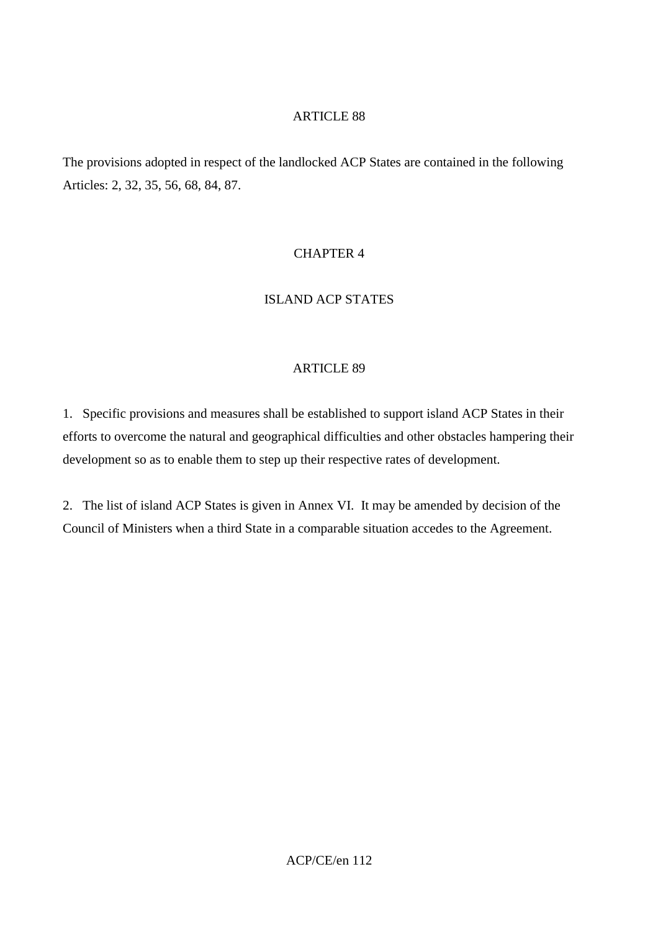The provisions adopted in respect of the landlocked ACP States are contained in the following Articles: 2, 32, 35, 56, 68, 84, 87.

# CHAPTER 4

# ISLAND ACP STATES

#### ARTICLE 89

1. Specific provisions and measures shall be established to support island ACP States in their efforts to overcome the natural and geographical difficulties and other obstacles hampering their development so as to enable them to step up their respective rates of development.

2. The list of island ACP States is given in Annex VI. It may be amended by decision of the Council of Ministers when a third State in a comparable situation accedes to the Agreement.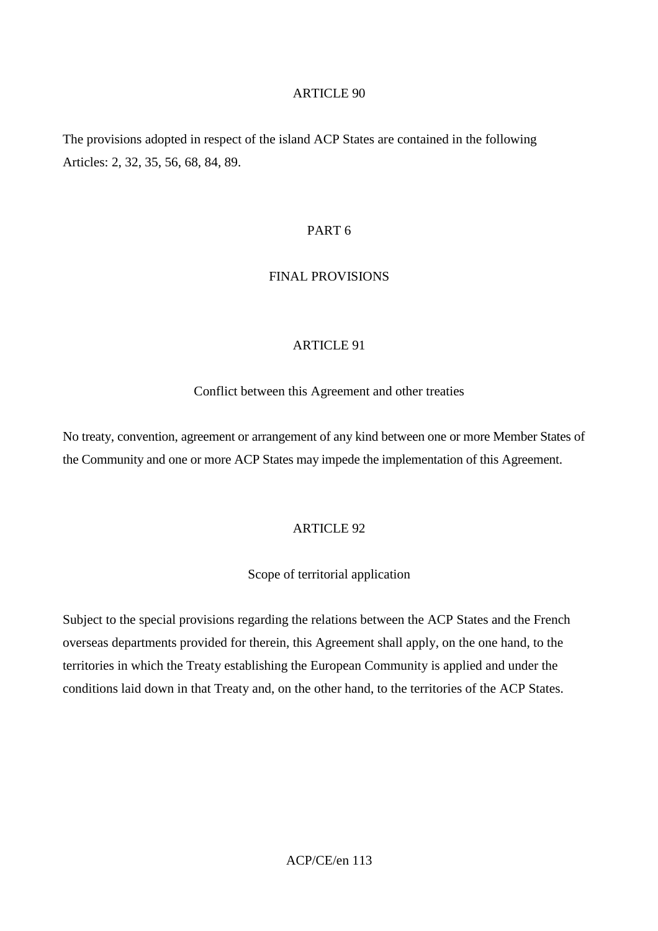The provisions adopted in respect of the island ACP States are contained in the following Articles: 2, 32, 35, 56, 68, 84, 89.

#### PART 6

#### FINAL PROVISIONS

#### ARTICLE 91

Conflict between this Agreement and other treaties

No treaty, convention, agreement or arrangement of any kind between one or more Member States of the Community and one or more ACP States may impede the implementation of this Agreement.

# ARTICLE 92

#### Scope of territorial application

Subject to the special provisions regarding the relations between the ACP States and the French overseas departments provided for therein, this Agreement shall apply, on the one hand, to the territories in which the Treaty establishing the European Community is applied and under the conditions laid down in that Treaty and, on the other hand, to the territories of the ACP States.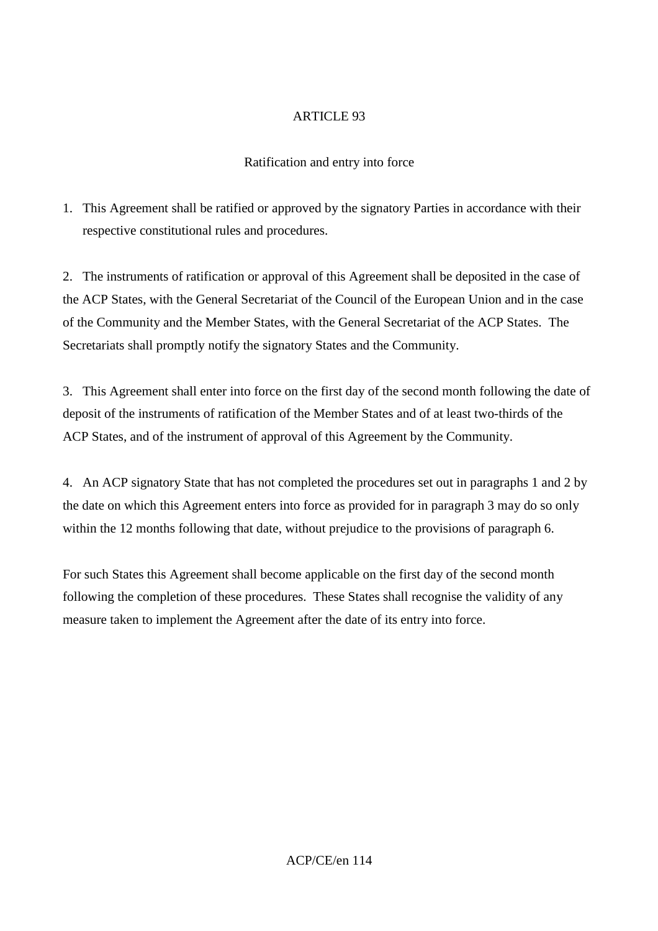# Ratification and entry into force

1. This Agreement shall be ratified or approved by the signatory Parties in accordance with their respective constitutional rules and procedures.

2. The instruments of ratification or approval of this Agreement shall be deposited in the case of the ACP States, with the General Secretariat of the Council of the European Union and in the case of the Community and the Member States, with the General Secretariat of the ACP States. The Secretariats shall promptly notify the signatory States and the Community.

3. This Agreement shall enter into force on the first day of the second month following the date of deposit of the instruments of ratification of the Member States and of at least two-thirds of the ACP States, and of the instrument of approval of this Agreement by the Community.

4. An ACP signatory State that has not completed the procedures set out in paragraphs 1 and 2 by the date on which this Agreement enters into force as provided for in paragraph 3 may do so only within the 12 months following that date, without prejudice to the provisions of paragraph 6.

For such States this Agreement shall become applicable on the first day of the second month following the completion of these procedures. These States shall recognise the validity of any measure taken to implement the Agreement after the date of its entry into force.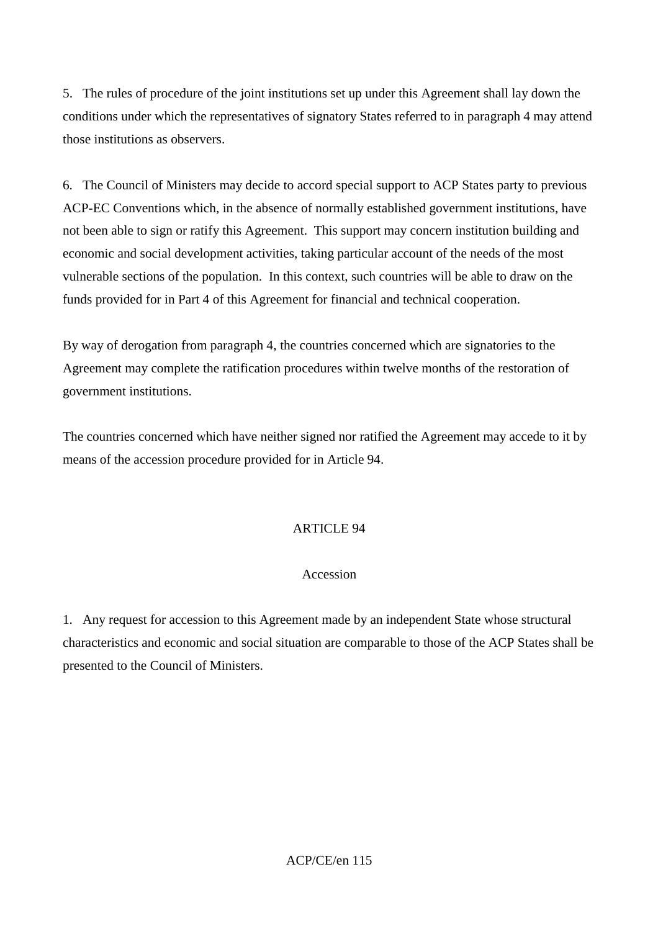5. The rules of procedure of the joint institutions set up under this Agreement shall lay down the conditions under which the representatives of signatory States referred to in paragraph 4 may attend those institutions as observers.

6. The Council of Ministers may decide to accord special support to ACP States party to previous ACP-EC Conventions which, in the absence of normally established government institutions, have not been able to sign or ratify this Agreement. This support may concern institution building and economic and social development activities, taking particular account of the needs of the most vulnerable sections of the population. In this context, such countries will be able to draw on the funds provided for in Part 4 of this Agreement for financial and technical cooperation.

By way of derogation from paragraph 4, the countries concerned which are signatories to the Agreement may complete the ratification procedures within twelve months of the restoration of government institutions.

The countries concerned which have neither signed nor ratified the Agreement may accede to it by means of the accession procedure provided for in Article 94.

### **ARTICLE 94**

### Accession

1. Any request for accession to this Agreement made by an independent State whose structural characteristics and economic and social situation are comparable to those of the ACP States shall be presented to the Council of Ministers.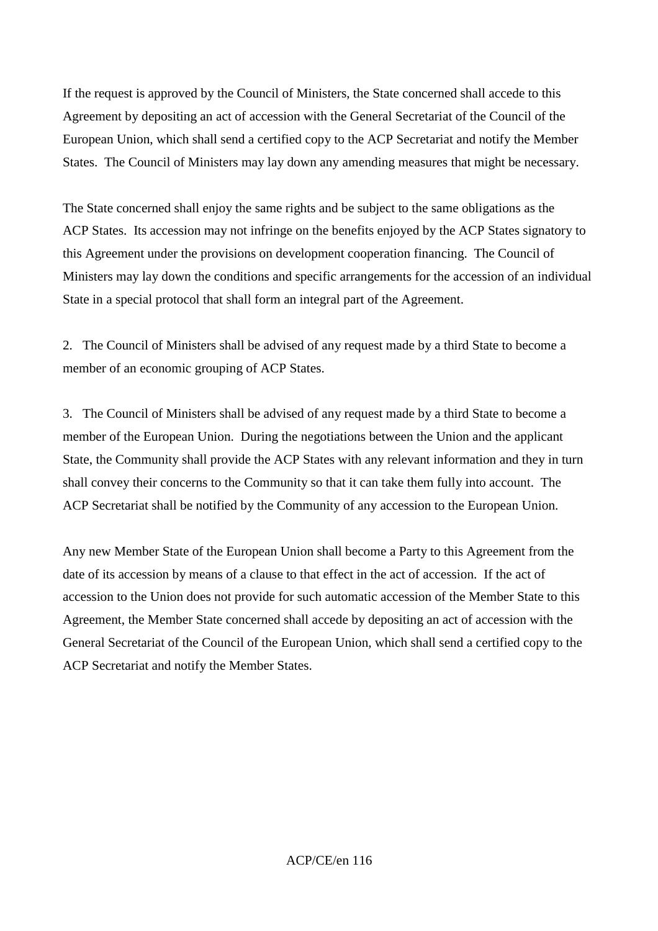If the request is approved by the Council of Ministers, the State concerned shall accede to this Agreement by depositing an act of accession with the General Secretariat of the Council of the European Union, which shall send a certified copy to the ACP Secretariat and notify the Member States. The Council of Ministers may lay down any amending measures that might be necessary.

The State concerned shall enjoy the same rights and be subject to the same obligations as the ACP States. Its accession may not infringe on the benefits enjoyed by the ACP States signatory to this Agreement under the provisions on development cooperation financing. The Council of Ministers may lay down the conditions and specific arrangements for the accession of an individual State in a special protocol that shall form an integral part of the Agreement.

2. The Council of Ministers shall be advised of any request made by a third State to become a member of an economic grouping of ACP States.

3. The Council of Ministers shall be advised of any request made by a third State to become a member of the European Union. During the negotiations between the Union and the applicant State, the Community shall provide the ACP States with any relevant information and they in turn shall convey their concerns to the Community so that it can take them fully into account. The ACP Secretariat shall be notified by the Community of any accession to the European Union.

Any new Member State of the European Union shall become a Party to this Agreement from the date of its accession by means of a clause to that effect in the act of accession. If the act of accession to the Union does not provide for such automatic accession of the Member State to this Agreement, the Member State concerned shall accede by depositing an act of accession with the General Secretariat of the Council of the European Union, which shall send a certified copy to the ACP Secretariat and notify the Member States.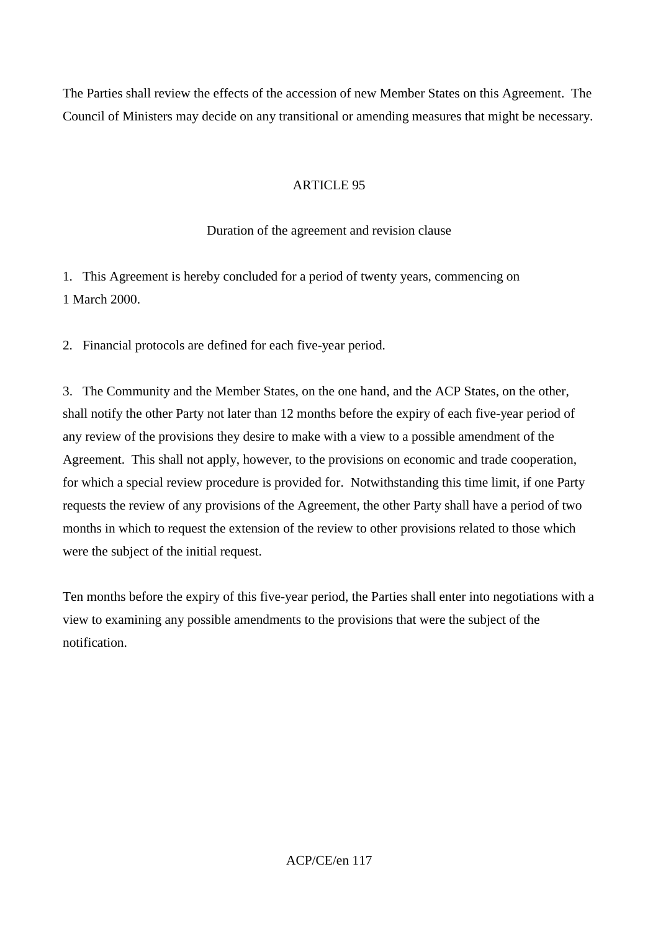The Parties shall review the effects of the accession of new Member States on this Agreement. The Council of Ministers may decide on any transitional or amending measures that might be necessary.

### ARTICLE 95

#### Duration of the agreement and revision clause

1. This Agreement is hereby concluded for a period of twenty years, commencing on 1 March 2000.

2. Financial protocols are defined for each five-year period.

3. The Community and the Member States, on the one hand, and the ACP States, on the other, shall notify the other Party not later than 12 months before the expiry of each five-year period of any review of the provisions they desire to make with a view to a possible amendment of the Agreement. This shall not apply, however, to the provisions on economic and trade cooperation, for which a special review procedure is provided for. Notwithstanding this time limit, if one Party requests the review of any provisions of the Agreement, the other Party shall have a period of two months in which to request the extension of the review to other provisions related to those which were the subject of the initial request.

Ten months before the expiry of this five-year period, the Parties shall enter into negotiations with a view to examining any possible amendments to the provisions that were the subject of the notification.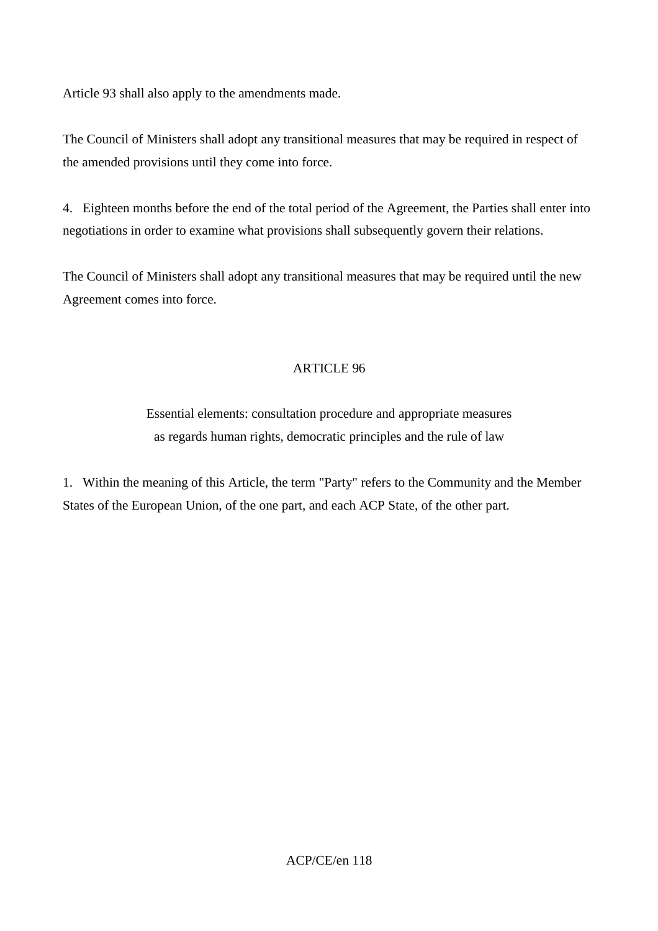Article 93 shall also apply to the amendments made.

The Council of Ministers shall adopt any transitional measures that may be required in respect of the amended provisions until they come into force.

4. Eighteen months before the end of the total period of the Agreement, the Parties shall enter into negotiations in order to examine what provisions shall subsequently govern their relations.

The Council of Ministers shall adopt any transitional measures that may be required until the new Agreement comes into force.

# ARTICLE 96

Essential elements: consultation procedure and appropriate measures as regards human rights, democratic principles and the rule of law

1. Within the meaning of this Article, the term "Party" refers to the Community and the Member States of the European Union, of the one part, and each ACP State, of the other part.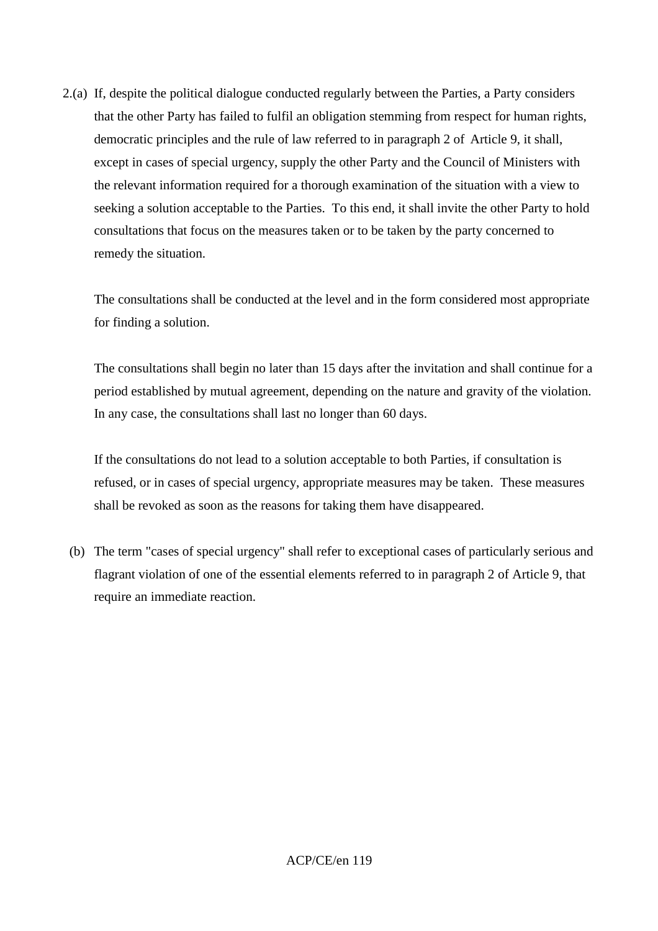2.(a) If, despite the political dialogue conducted regularly between the Parties, a Party considers that the other Party has failed to fulfil an obligation stemming from respect for human rights, democratic principles and the rule of law referred to in paragraph 2 of Article 9, it shall, except in cases of special urgency, supply the other Party and the Council of Ministers with the relevant information required for a thorough examination of the situation with a view to seeking a solution acceptable to the Parties. To this end, it shall invite the other Party to hold consultations that focus on the measures taken or to be taken by the party concerned to remedy the situation.

The consultations shall be conducted at the level and in the form considered most appropriate for finding a solution.

The consultations shall begin no later than 15 days after the invitation and shall continue for a period established by mutual agreement, depending on the nature and gravity of the violation. In any case, the consultations shall last no longer than 60 days.

If the consultations do not lead to a solution acceptable to both Parties, if consultation is refused, or in cases of special urgency, appropriate measures may be taken. These measures shall be revoked as soon as the reasons for taking them have disappeared.

 (b) The term "cases of special urgency" shall refer to exceptional cases of particularly serious and flagrant violation of one of the essential elements referred to in paragraph 2 of Article 9, that require an immediate reaction.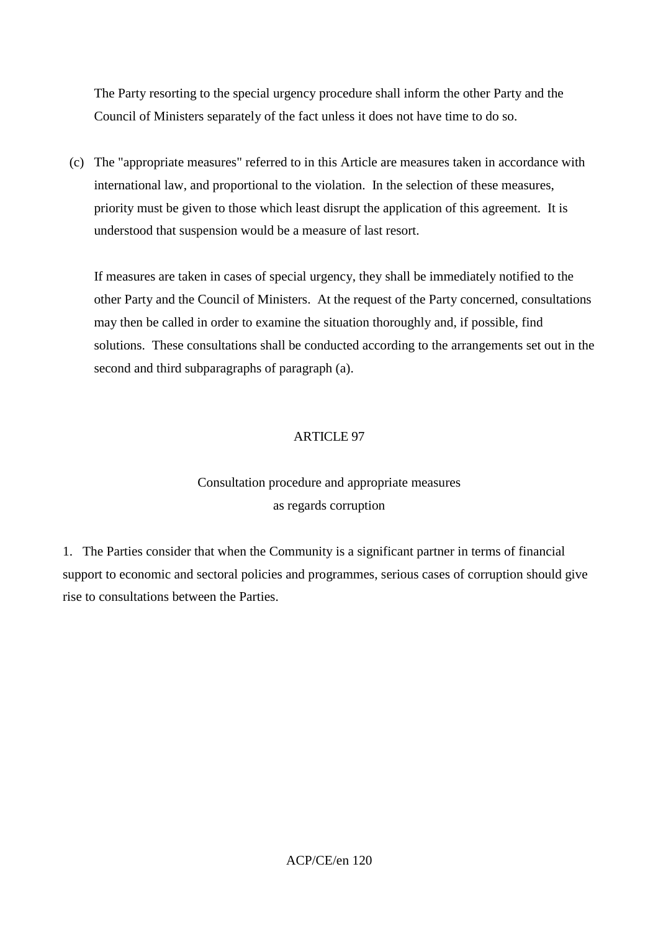The Party resorting to the special urgency procedure shall inform the other Party and the Council of Ministers separately of the fact unless it does not have time to do so.

 (c) The "appropriate measures" referred to in this Article are measures taken in accordance with international law, and proportional to the violation. In the selection of these measures, priority must be given to those which least disrupt the application of this agreement. It is understood that suspension would be a measure of last resort.

If measures are taken in cases of special urgency, they shall be immediately notified to the other Party and the Council of Ministers. At the request of the Party concerned, consultations may then be called in order to examine the situation thoroughly and, if possible, find solutions. These consultations shall be conducted according to the arrangements set out in the second and third subparagraphs of paragraph (a).

# ARTICLE 97

# Consultation procedure and appropriate measures as regards corruption

1. The Parties consider that when the Community is a significant partner in terms of financial support to economic and sectoral policies and programmes, serious cases of corruption should give rise to consultations between the Parties.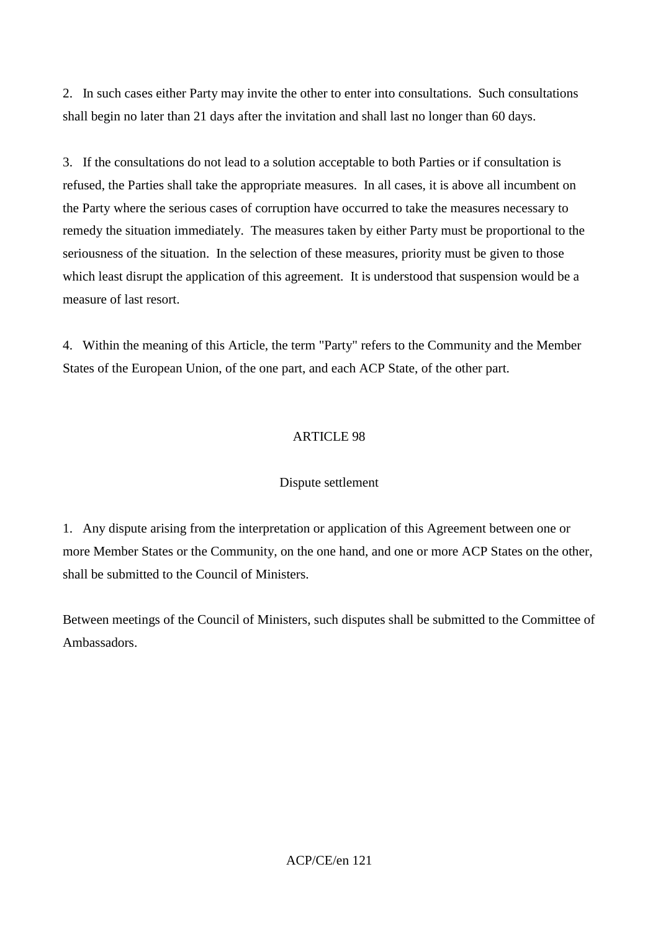2. In such cases either Party may invite the other to enter into consultations. Such consultations shall begin no later than 21 days after the invitation and shall last no longer than 60 days.

3. If the consultations do not lead to a solution acceptable to both Parties or if consultation is refused, the Parties shall take the appropriate measures. In all cases, it is above all incumbent on the Party where the serious cases of corruption have occurred to take the measures necessary to remedy the situation immediately. The measures taken by either Party must be proportional to the seriousness of the situation. In the selection of these measures, priority must be given to those which least disrupt the application of this agreement. It is understood that suspension would be a measure of last resort.

4. Within the meaning of this Article, the term "Party" refers to the Community and the Member States of the European Union, of the one part, and each ACP State, of the other part.

# ARTICLE 98

### Dispute settlement

1. Any dispute arising from the interpretation or application of this Agreement between one or more Member States or the Community, on the one hand, and one or more ACP States on the other, shall be submitted to the Council of Ministers.

Between meetings of the Council of Ministers, such disputes shall be submitted to the Committee of Ambassadors.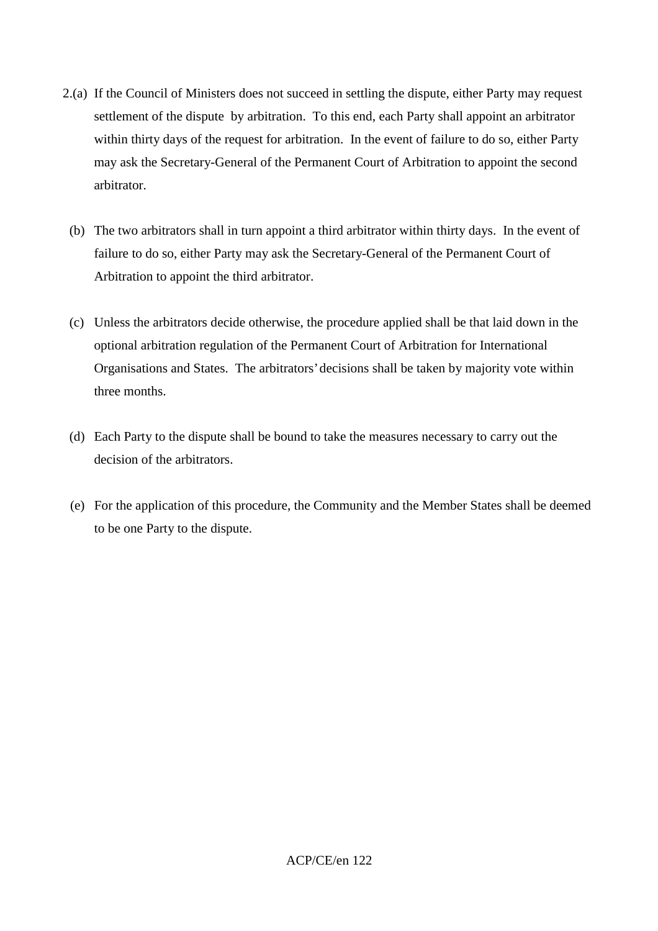- 2.(a) If the Council of Ministers does not succeed in settling the dispute, either Party may request settlement of the dispute by arbitration. To this end, each Party shall appoint an arbitrator within thirty days of the request for arbitration. In the event of failure to do so, either Party may ask the Secretary-General of the Permanent Court of Arbitration to appoint the second arbitrator.
	- (b) The two arbitrators shall in turn appoint a third arbitrator within thirty days. In the event of failure to do so, either Party may ask the Secretary-General of the Permanent Court of Arbitration to appoint the third arbitrator.
	- (c) Unless the arbitrators decide otherwise, the procedure applied shall be that laid down in the optional arbitration regulation of the Permanent Court of Arbitration for International Organisations and States. The arbitrators' decisions shall be taken by majority vote within three months.
	- (d) Each Party to the dispute shall be bound to take the measures necessary to carry out the decision of the arbitrators.
	- (e) For the application of this procedure, the Community and the Member States shall be deemed to be one Party to the dispute.